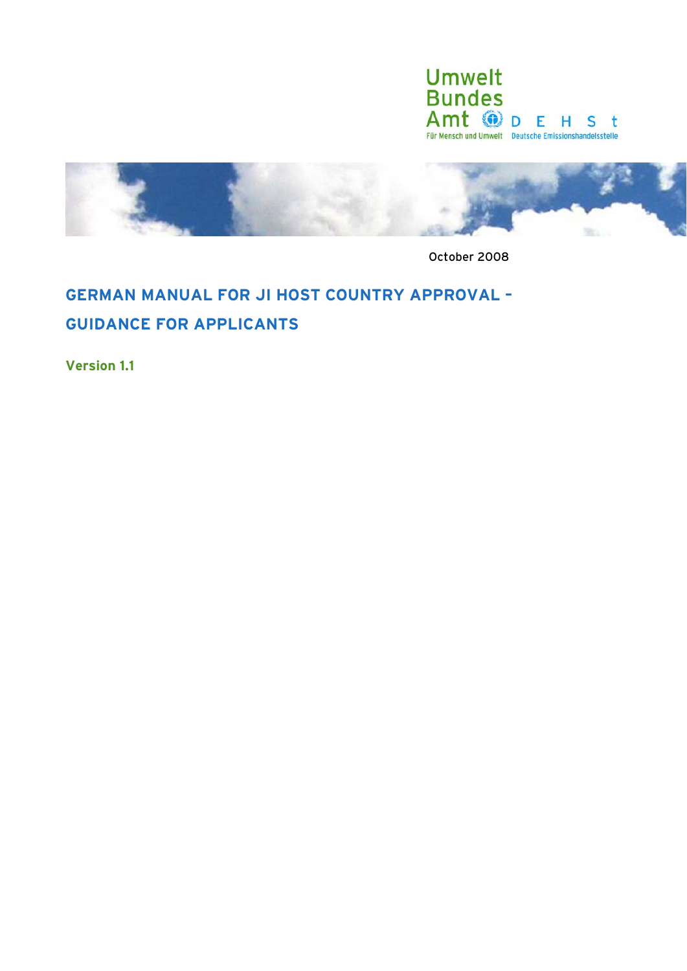

<span id="page-0-0"></span>

October 2008

# **GERMAN MANUAL FOR JI HOST COUNTRY APPROVAL – GUIDANCE FOR APPLICANTS**

**Version 1.1**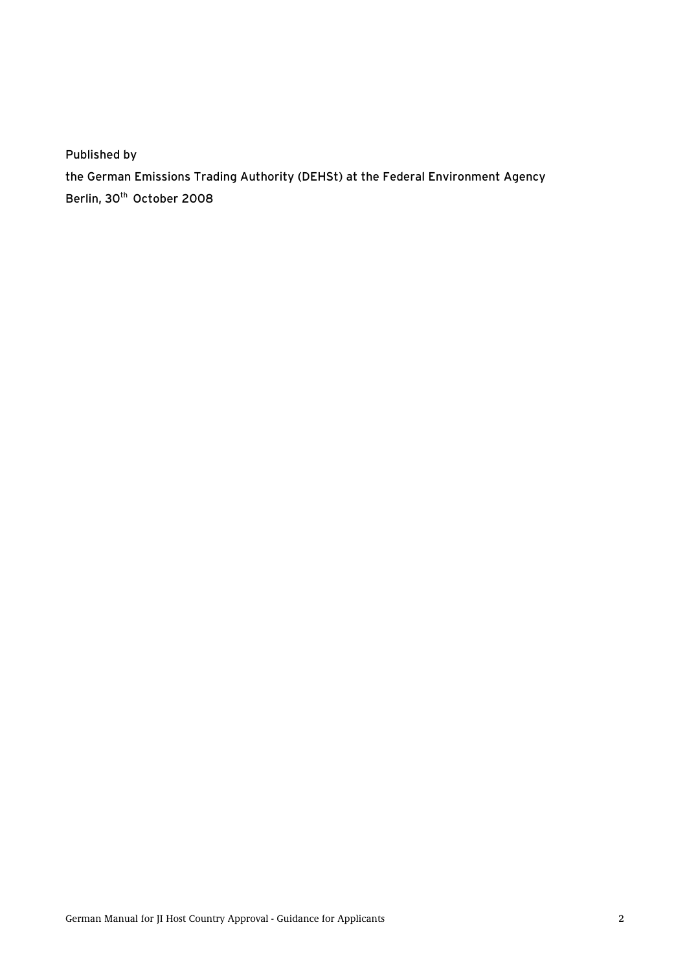Published by

the German Emissions Trading Authority (DEHSt) at the Federal Environment Agency Berlin, 30<sup>th</sup> October 2008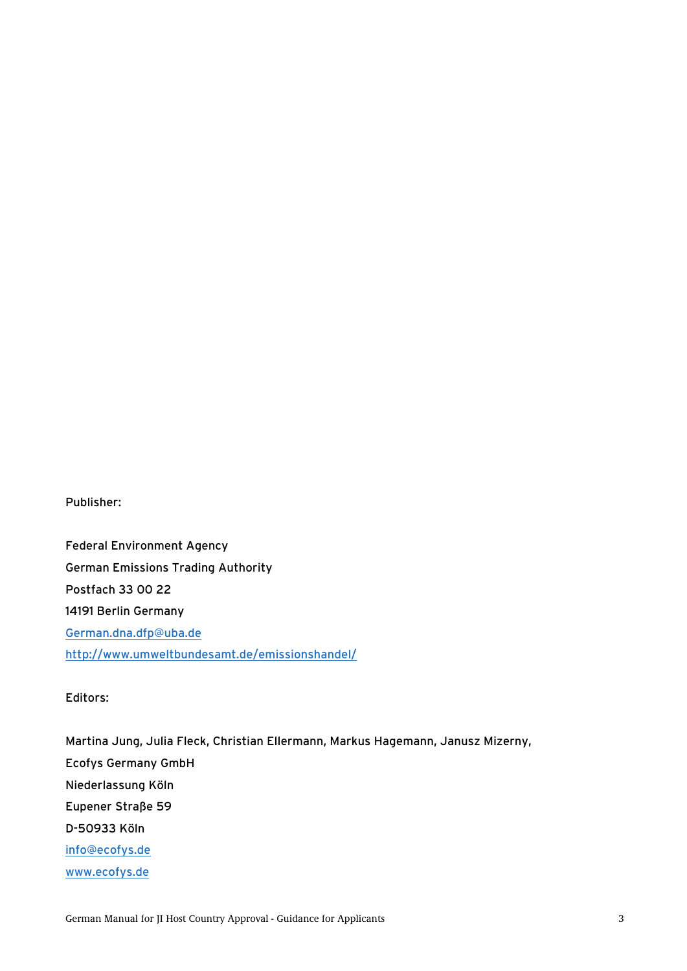Publisher:

Federal Environment Agency German Emissions Trading Authority Postfach 33 00 22 14191 Berlin Germany [German.dna.dfp@uba.de](mailto:emissionshandel@uba.de)  <http://www.umweltbundesamt.de/emissionshandel/>

#### Editors:

Martina Jung, Julia Fleck, Christian Ellermann, Markus Hagemann, Janusz Mizerny, Ecofys Germany GmbH Niederlassung Köln Eupener Straße 59 D-50933 Köln [info@ecofys.de](mailto:info@ecofys.de)  [www.ecofys.de](http://www.ecofys.de/)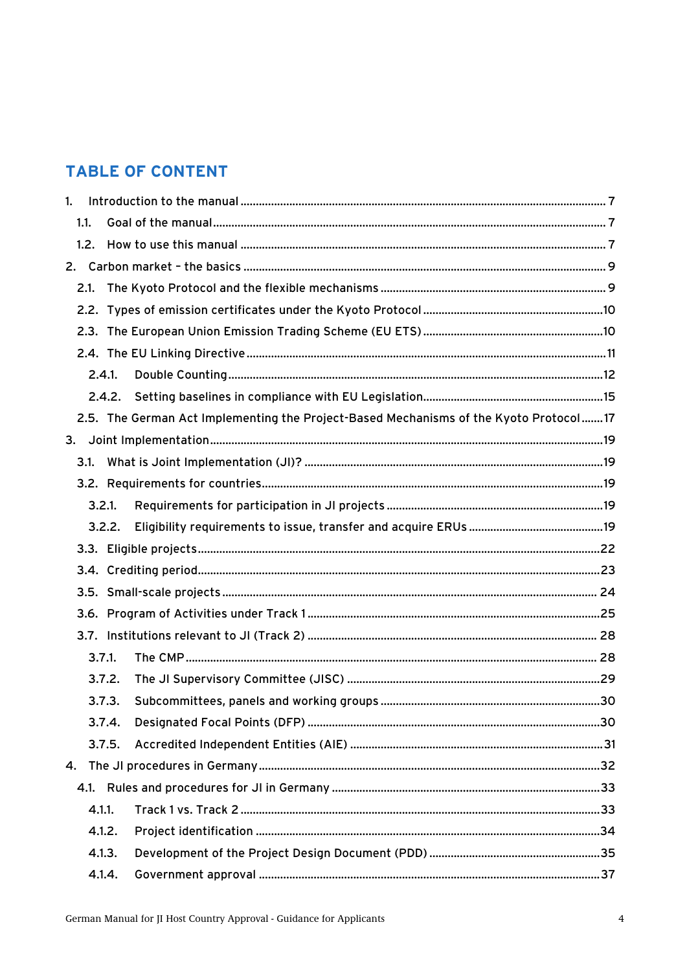## **TABLE OF CONTENT**

|    | 1.1.   |        |                                                                                        |  |
|----|--------|--------|----------------------------------------------------------------------------------------|--|
|    |        |        |                                                                                        |  |
|    |        |        |                                                                                        |  |
|    | 2.1.   |        |                                                                                        |  |
|    |        |        |                                                                                        |  |
|    |        |        |                                                                                        |  |
|    |        |        |                                                                                        |  |
|    |        | 2.4.1. |                                                                                        |  |
|    |        |        |                                                                                        |  |
|    |        |        | 2.5. The German Act Implementing the Project-Based Mechanisms of the Kyoto Protocol 17 |  |
| 3. |        |        |                                                                                        |  |
|    |        |        |                                                                                        |  |
|    |        |        |                                                                                        |  |
|    | 3.2.1. |        |                                                                                        |  |
|    |        | 3.2.2. |                                                                                        |  |
|    |        |        |                                                                                        |  |
|    |        |        |                                                                                        |  |
|    |        |        |                                                                                        |  |
|    |        |        |                                                                                        |  |
|    |        |        |                                                                                        |  |
|    | 3.7.1. |        |                                                                                        |  |
|    |        | 3.7.2. |                                                                                        |  |
|    |        | 3.7.3. |                                                                                        |  |
|    |        | 3.7.4. |                                                                                        |  |
|    |        | 3.7.5. |                                                                                        |  |
| 4. |        |        |                                                                                        |  |
|    |        |        |                                                                                        |  |
|    | 4.1.1. |        |                                                                                        |  |
|    | 4.1.2. |        |                                                                                        |  |
|    | 4.1.3. |        |                                                                                        |  |
|    |        | 4.1.4. |                                                                                        |  |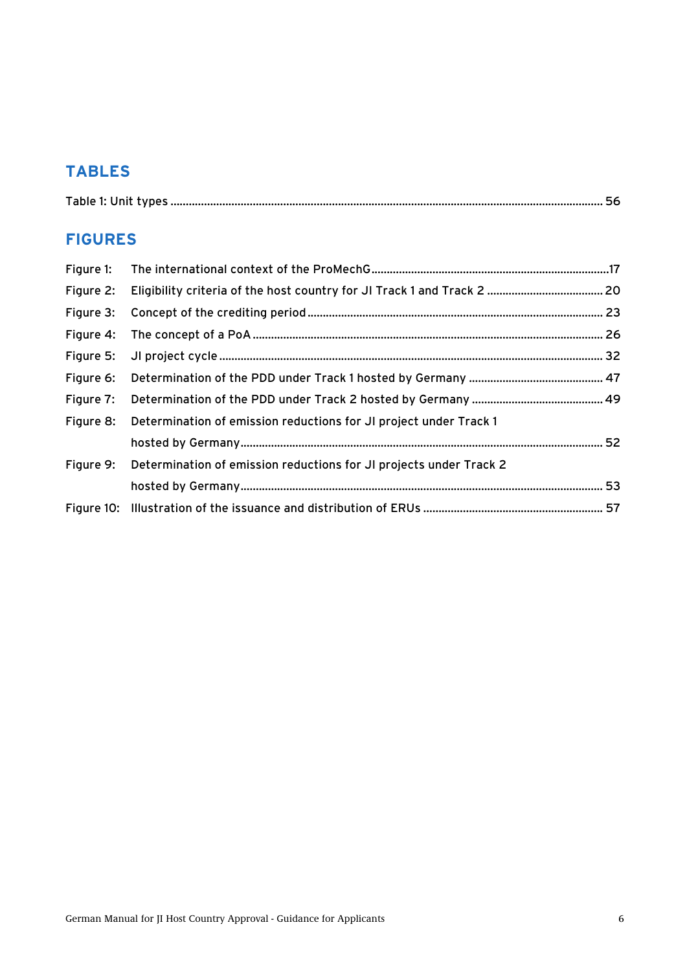## **TABLES**

|--|

# **FIGURES**

| Figure 1: |                                                                    |  |
|-----------|--------------------------------------------------------------------|--|
| Figure 2: |                                                                    |  |
| Figure 3: |                                                                    |  |
| Figure 4: |                                                                    |  |
|           |                                                                    |  |
| Figure 6: |                                                                    |  |
| Figure 7: |                                                                    |  |
| Figure 8: | Determination of emission reductions for JI project under Track 1  |  |
|           |                                                                    |  |
| Figure 9: | Determination of emission reductions for JI projects under Track 2 |  |
|           |                                                                    |  |
|           |                                                                    |  |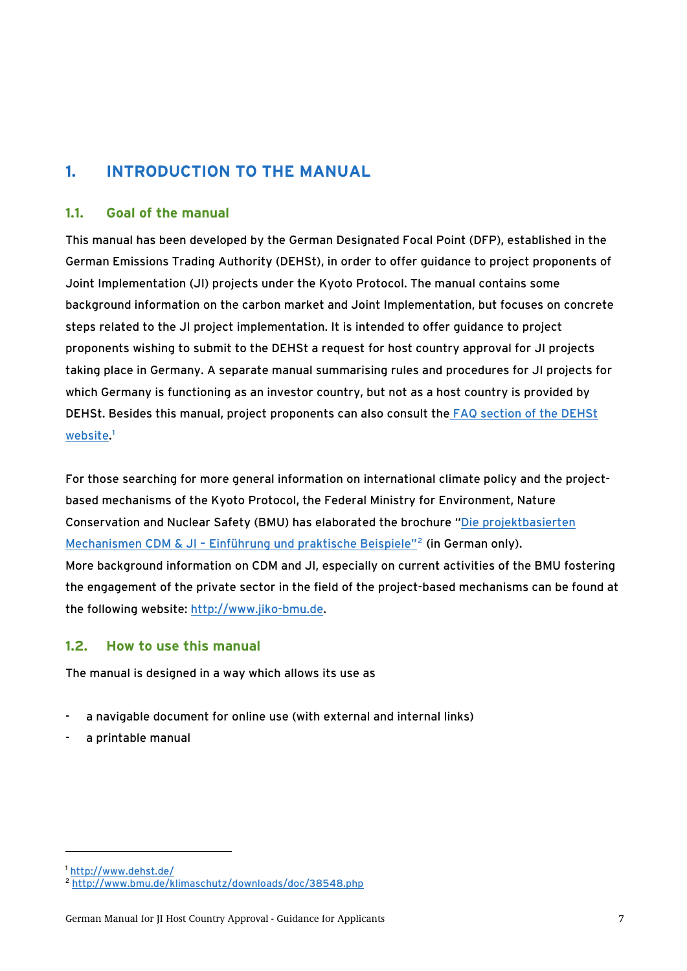## <span id="page-6-0"></span>**1. INTRODUCTION TO THE MANUAL**

#### **1.1. Goal of the manual**

This manual has been developed by the German Designated Focal Point (DFP), established in the German Emissions Trading Authority (DEHSt), in order to offer guidance to project proponents of Joint Implementation (JI) projects under the Kyoto Protocol. The manual contains some background information on the carbon market and Joint Implementation, but focuses on concrete steps related to the JI project implementation. It is intended to offer guidance to project proponents wishing to submit to the DEHSt a request for host country approval for JI projects taking place in Germany. A separate manual summarising rules and procedures for JI projects for which Germany is functioning as an investor country, but not as a host country is provided by DEHSt. Besides this manual, project proponents can also consult the [FAQ section of the DEHSt](http://www.dehst.de/)  [website](http://www.dehst.de/). [1](#page-6-1)

For those searching for more general information on international climate policy and the projectbased mechanisms of the Kyoto Protocol, the Federal Ministry for Environment, Nature Conservation and Nuclear Safety (BMU) has elaborated the brochure "[Die projektbasierten](http://www.bmu.de/klimaschutz/kyoto-mechanismen/doc/38548.php)  Mechanismen CDM & JI - Einführung und praktische Beispiele"<sup>2</sup> (in German only). More background information on CDM and JI, especially on current activities of the BMU fostering the engagement of the private sector in the field of the project-based mechanisms can be found at the following website: [http://www.jiko-bmu.de](http://www.jiko-bmu.de/).

## **1.2. How to use this manual**

The manual is designed in a way which allows its use as

- a navigable document for online use (with external and internal links)
- a printable manual

<span id="page-6-1"></span>

<sup>1</sup> <http://www.dehst.de/>2 <http://www.bmu.de/klimaschutz/downloads/doc/38548.php>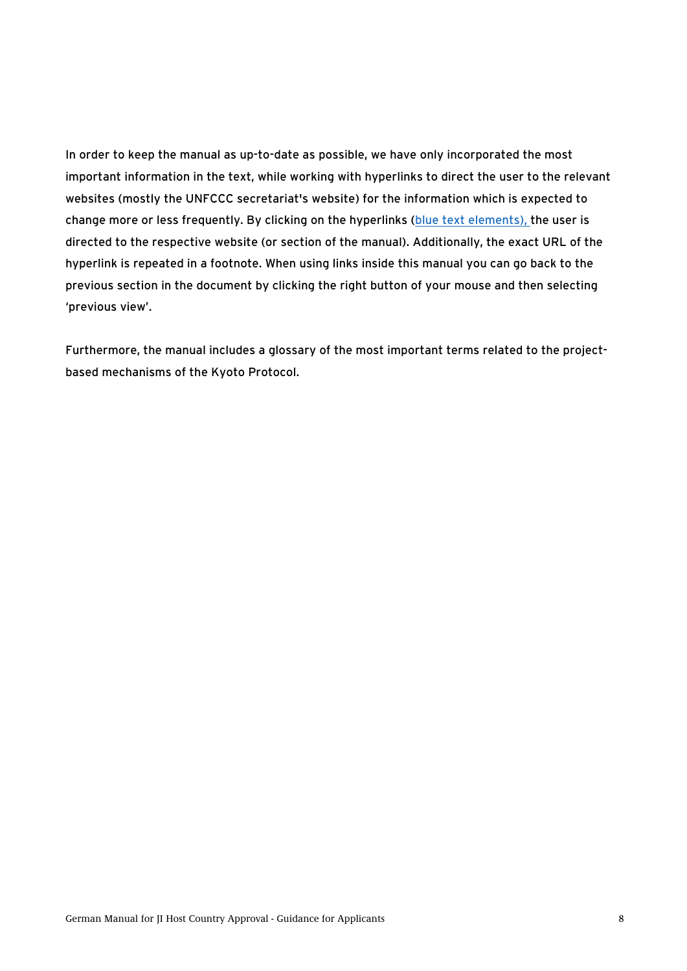In order to keep the manual as up-to-date as possible, we have only incorporated the most important information in the text, while working with hyperlinks to direct the user to the relevant websites (mostly the UNFCCC secretariat's website) for the information which is expected to change more or less frequently. By clicking on the hyperlinks (blue text elements), the user is directed to the respective website (or section of the manual). Additionally, the exact URL of the hyperlink is repeated in a footnote. When using links inside this manual you can go back to the previous section in the document by clicking the right button of your mouse and then selecting 'previous view'.

Furthermore, the manual includes a glossary of the most important terms related to the projectbased mechanisms of the Kyoto Protocol.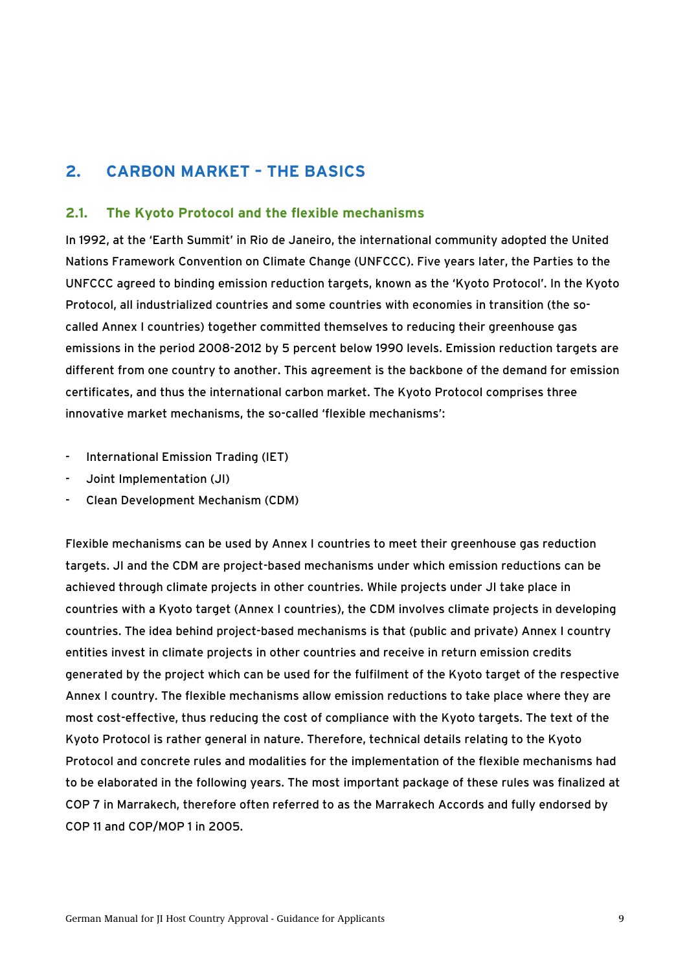## <span id="page-8-0"></span>**2. CARBON MARKET – THE BASICS**

#### **2.1. The Kyoto Protocol and the flexible mechanisms**

In 1992, at the 'Earth Summit' in Rio de Janeiro, the international community adopted the United Nations Framework Convention on Climate Change (UNFCCC). Five years later, the Parties to the UNFCCC agreed to binding emission reduction targets, known as the 'Kyoto Protocol'. In the Kyoto Protocol, all industrialized countries and some countries with economies in transition (the socalled Annex I countries) together committed themselves to reducing their greenhouse gas emissions in the period 2008-2012 by 5 percent below 1990 levels. Emission reduction targets are different from one country to another. This agreement is the backbone of the demand for emission certificates, and thus the international carbon market. The Kyoto Protocol comprises three innovative market mechanisms, the so-called 'flexible mechanisms':

- International Emission Trading (IET)
- Joint Implementation (JI)
- Clean Development Mechanism (CDM)

Flexible mechanisms can be used by Annex I countries to meet their greenhouse gas reduction targets. JI and the CDM are project-based mechanisms under which emission reductions can be achieved through climate projects in other countries. While projects under JI take place in countries with a Kyoto target (Annex I countries), the CDM involves climate projects in developing countries. The idea behind project-based mechanisms is that (public and private) Annex I country entities invest in climate projects in other countries and receive in return emission credits generated by the project which can be used for the fulfilment of the Kyoto target of the respective Annex I country. The flexible mechanisms allow emission reductions to take place where they are most cost-effective, thus reducing the cost of compliance with the Kyoto targets. The text of the Kyoto Protocol is rather general in nature. Therefore, technical details relating to the Kyoto Protocol and concrete rules and modalities for the implementation of the flexible mechanisms had to be elaborated in the following years. The most important package of these rules was finalized at COP 7 in Marrakech, therefore often referred to as the Marrakech Accords and fully endorsed by COP 11 and COP/MOP 1 in 2005.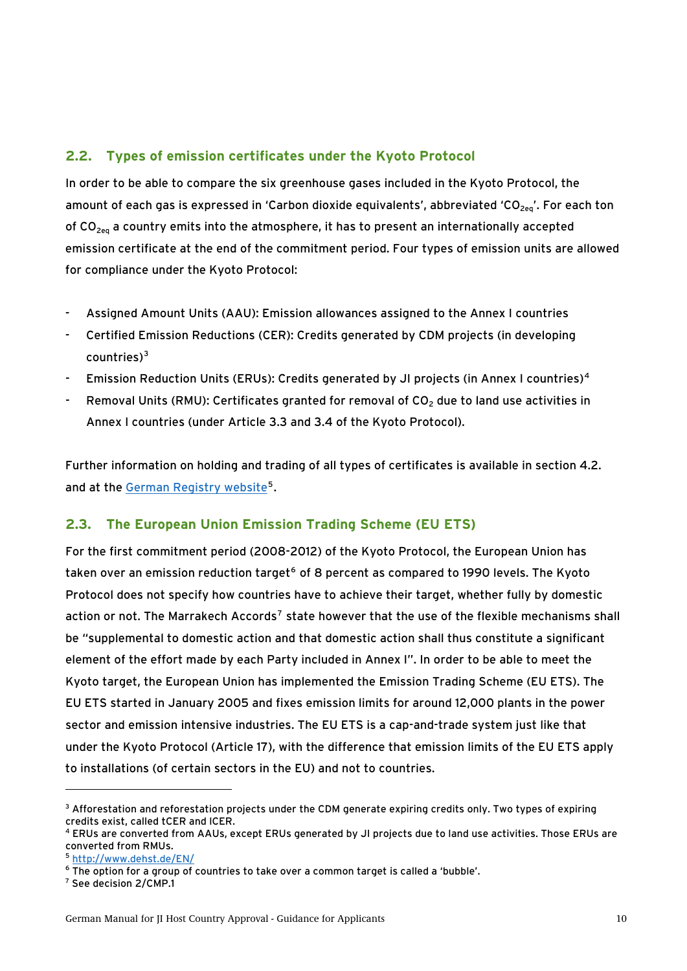#### <span id="page-9-0"></span>**2.2. Types of emission certificates under the Kyoto Protocol**

In order to be able to compare the six greenhouse gases included in the Kyoto Protocol, the amount of each gas is expressed in 'Carbon dioxide equivalents', abbreviated 'CO<sub>2eq</sub>'. For each ton of  $CO<sub>2e0</sub>$  a country emits into the atmosphere, it has to present an internationally accepted emission certificate at the end of the commitment period. Four types of emission units are allowed for compliance under the Kyoto Protocol:

- Assigned Amount Units (AAU): Emission allowances assigned to the Annex I countries
- Certified Emission Reductions (CER): Credits generated by CDM projects (in developing  $countries$ <sup>[3](#page-9-1)</sup>
- Emission Reduction Units (ERUs): Credits generated by JI projects (in Annex I countries)<sup>[4](#page-9-2)</sup>
- Removal Units (RMU): Certificates granted for removal of  $CO<sub>2</sub>$  due to land use activities in Annex I countries (under Article 3.3 and 3.4 of the Kyoto Protocol).

Further information on holding and trading of all types of certificates is available in section [4.2.](#page-55-1) and at the [German Registry website](http://www.dehst.de/EN/Home/homepage__node.html?__nnn=true)<sup>[5](#page-9-3)</sup>.

#### **2.3. The European Union Emission Trading Scheme (EU ETS)**

For the first commitment period (2008-2012) of the Kyoto Protocol, the European Union has taken over an emission reduction target<sup>[6](#page-9-4)</sup> of 8 percent as compared to 1990 levels. The Kyoto Protocol does not specify how countries have to achieve their target, whether fully by domestic action or not. The Marrakech Accords<sup>[7](#page-9-5)</sup> state however that the use of the flexible mechanisms shall be "supplemental to domestic action and that domestic action shall thus constitute a significant element of the effort made by each Party included in Annex I". In order to be able to meet the Kyoto target, the European Union has implemented the Emission Trading Scheme (EU ETS). The EU ETS started in January 2005 and fixes emission limits for around 12,000 plants in the power sector and emission intensive industries. The EU ETS is a cap-and-trade system just like that under the Kyoto Protocol (Article 17), with the difference that emission limits of the EU ETS apply to installations (of certain sectors in the EU) and not to countries.

<span id="page-9-1"></span> $^3$  Afforestation and reforestation projects under the CDM generate expiring credits only. Two types of expiring credits exist, called tCER and lCER.

<span id="page-9-2"></span><sup>4</sup> ERUs are converted from AAUs, except ERUs generated by JI projects due to land use activities. Those ERUs are converted from RMUs.

<span id="page-9-4"></span><span id="page-9-3"></span> $5 \frac{\text{http://www.dehst.de/EN/}}{\text{6} \text{ The option for a group of countries to take over a common target is called a 'bubble'.}$  $5 \frac{\text{http://www.dehst.de/EN/}}{\text{6} \text{ The option for a group of countries to take over a common target is called a 'bubble'.}$  $5 \frac{\text{http://www.dehst.de/EN/}}{\text{6} \text{ The option for a group of countries to take over a common target is called a 'bubble'.}$ 

<span id="page-9-5"></span><sup>7</sup> See decision 2/CMP.1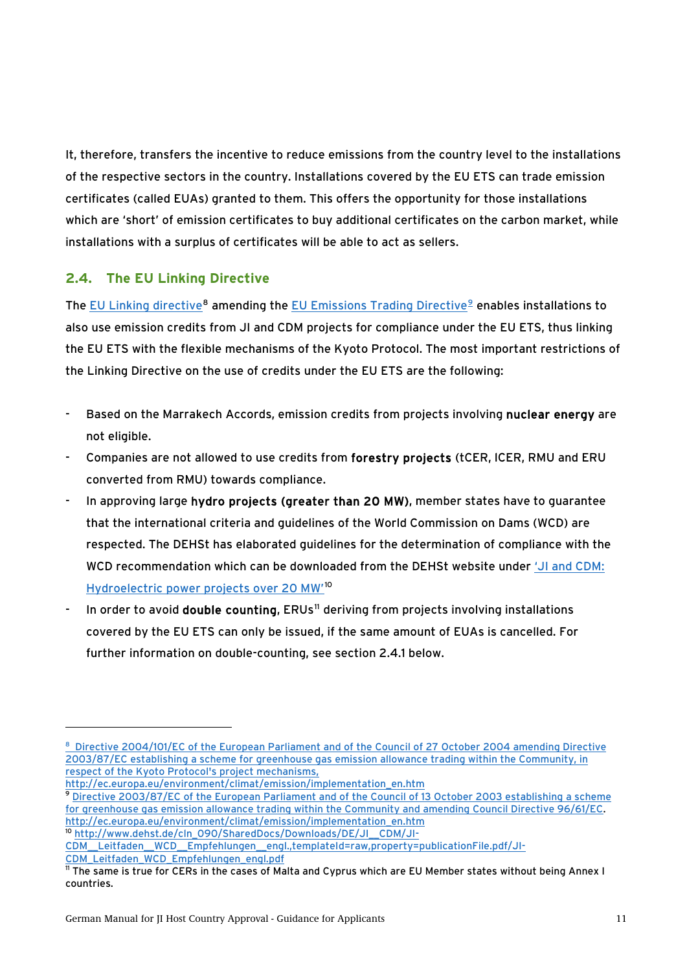<span id="page-10-0"></span>It, therefore, transfers the incentive to reduce emissions from the country level to the installations of the respective sectors in the country. Installations covered by the EU ETS can trade emission certificates (called EUAs) granted to them. This offers the opportunity for those installations which are 'short' of emission certificates to buy additional certificates on the carbon market, while installations with a surplus of certificates will be able to act as sellers.

## **2.4. The EU Linking Directive**

 $\ddot{ }$ 

The [EU Linking directive](http://eur-lex.europa.eu/LexUriServ/LexUriServ.do?uri=CELEX:32004L0101:EN:NOT)<sup>8</sup> amending the [EU Emissions Trading Directive](http://eur-lex.europa.eu/LexUriServ/LexUriServ.do?uri=CELEX:32003L0087:EN:NOT)<sup>9</sup> enables installations to [also use emission credits from JI and CDM projects for compliance under the EU ETS, thus linking](#page-10-1)  [the EU ETS with the flexible mechanisms of the Kyoto Protocol. The most important restrictions of](#page-10-1)  [the Linking Directive on the use of credits under the EU ETS are the following:](#page-10-1) 

- Based on the Marrakech Accords, emission credits from projects involving nuclear energy are not eligible.
- Companies are not allowed to use credits from forestry projects (tCER, ICER, RMU and ERU converted from RMU) towards compliance.
- In approving large hydro projects (greater than 20 MW), member states have to guarantee that the international criteria and guidelines of the World Commission on Dams (WCD) are respected. The DEHSt has elaborated guidelines for the determination of compliance with the WCD recommendation which can be downloaded from the DEHSt website under ['JI and CDM:](http://www.dehst.de/cln_090/SharedDocs/Downloads/DE/JI__CDM/JI-CDM__Leitfaden__WCD__Empfehlungen__engl.,templateId=raw,property=publicationFile.pdf/JI-CDM_Leitfaden_WCD_Empfehlungen_engl.pdf)  [Hydroelectric power projects over 20 MW'](http://www.dehst.de/cln_090/SharedDocs/Downloads/DE/JI__CDM/JI-CDM__Leitfaden__WCD__Empfehlungen__engl.,templateId=raw,property=publicationFile.pdf/JI-CDM_Leitfaden_WCD_Empfehlungen_engl.pdf)[10](#page-10-2)
- In order to avoid double counting, ERUs<sup>[11](#page-10-3)</sup> deriving from projects involving installations covered by the EU ETS can only be issued, if the same amount of EUAs is cancelled. For further information on double-counting, see section 2.4.1 below.

<span id="page-10-1"></span><sup>&</sup>lt;sup>8</sup> Directive 2004/101/EC of the European Parliament and of the Council of 27 October 2004 amending Directive [2003/87/EC establishing a scheme for greenhouse gas emission allowance trading within the Community, in](http://eur-lex.europa.eu/LexUriServ/LexUriServ.do?uri=CELEX:32004L0101:EN:NOT)  [respect of the Kyoto Protocol's project mechanisms](http://eur-lex.europa.eu/LexUriServ/LexUriServ.do?uri=CELEX:32004L0101:EN:NOT),<br>http://ec.europa.eu/environment/climat/emission/implementation en.htm

<sup>&</sup>lt;sup>9</sup> Directive 2003/87/EC of the European Parliament and of the Council of 13 October 2003 establishing a scheme [for greenhouse gas emission allowance trading within the Community and amending Council Directive 96/61/EC.](http://eur-lex.europa.eu/LexUriServ/LexUriServ.do?uri=CELEX:32003L0087:EN:NOT) [http://ec.europa.eu/environment/climat/emission/implementation\\_en.htm](http://ec.europa.eu/environment/climat/emission/implementation_en.htm) <sup>10</sup> [http://www.dehst.de/cln\\_090/SharedDocs/Downloads/DE/JI\\_\\_CDM/JI-](http://www.dehst.de/cln_090/SharedDocs/Downloads/DE/JI__CDM/JI-CDM__Leitfaden__WCD__Empfehlungen__engl.,templateId=raw,property=publicationFile.pdf/JI-CDM_Leitfaden_WCD_Empfehlungen_engl.pdf)

<span id="page-10-2"></span>CDM\_Leitfaden\_WCD\_Empfehlungen\_engl.,templateId=raw,property=publicationFile.pdf/JI-[CDM\\_Leitfaden\\_WCD\\_Empfehlungen\\_engl.pdf](http://www.dehst.de/cln_090/SharedDocs/Downloads/DE/JI__CDM/JI-CDM__Leitfaden__WCD__Empfehlungen__engl.,templateId=raw,property=publicationFile.pdf/JI-CDM_Leitfaden_WCD_Empfehlungen_engl.pdf)

<span id="page-10-3"></span><sup>11</sup> The same is true for CERs in the cases of Malta and Cyprus which are EU Member states without being Annex I countries.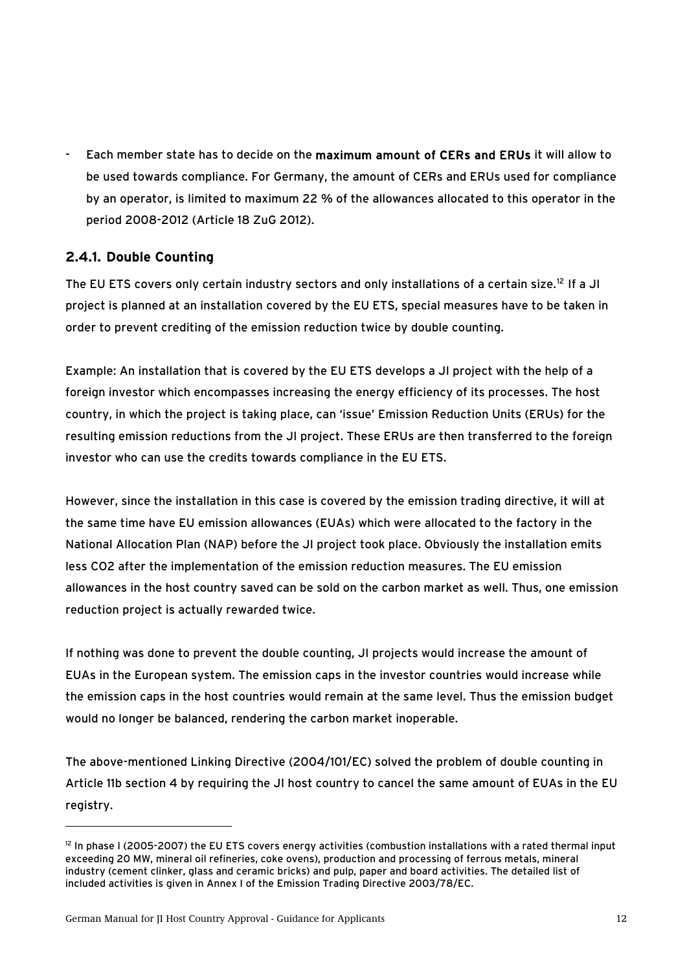<span id="page-11-0"></span>Each member state has to decide on the maximum amount of CERs and ERUs it will allow to be used towards compliance. For Germany, the amount of CERs and ERUs used for compliance by an operator, is limited to maximum 22 % of the allowances allocated to this operator in the period 2008-2012 (Article 18 ZuG 2012).

## <span id="page-11-1"></span>**2.4.1. Double Counting**

The EU ETS covers only certain industry sectors and only installations of a certain size.<sup>[12](#page-11-2)</sup> If a JI project is planned at an installation covered by the EU ETS, special measures have to be taken in order to prevent crediting of the emission reduction twice by double counting.

Example: An installation that is covered by the EU ETS develops a JI project with the help of a foreign investor which encompasses increasing the energy efficiency of its processes. The host country, in which the project is taking place, can 'issue' Emission Reduction Units (ERUs) for the resulting emission reductions from the JI project. These ERUs are then transferred to the foreign investor who can use the credits towards compliance in the EU ETS.

However, since the installation in this case is covered by the emission trading directive, it will at the same time have EU emission allowances (EUAs) which were allocated to the factory in the National Allocation Plan (NAP) before the JI project took place. Obviously the installation emits less CO2 after the implementation of the emission reduction measures. The EU emission allowances in the host country saved can be sold on the carbon market as well. Thus, one emission reduction project is actually rewarded twice.

If nothing was done to prevent the double counting, JI projects would increase the amount of EUAs in the European system. The emission caps in the investor countries would increase while the emission caps in the host countries would remain at the same level. Thus the emission budget would no longer be balanced, rendering the carbon market inoperable.

The above-mentioned Linking Directive (2004/101/EC) solved the problem of double counting in Article 11b section [4](#page-31-1) by requiring the JI host country to cancel the same amount of EUAs in the EU registry.

<span id="page-11-2"></span> $12$  In phase I (2005-2007) the EU ETS covers energy activities (combustion installations with a rated thermal input exceeding 20 MW, mineral oil refineries, coke ovens), production and processing of ferrous metals, mineral industry (cement clinker, glass and ceramic bricks) and pulp, paper and board activities. The detailed list of included activities is given in Annex I of the Emission Trading Directive 2003/78/EC.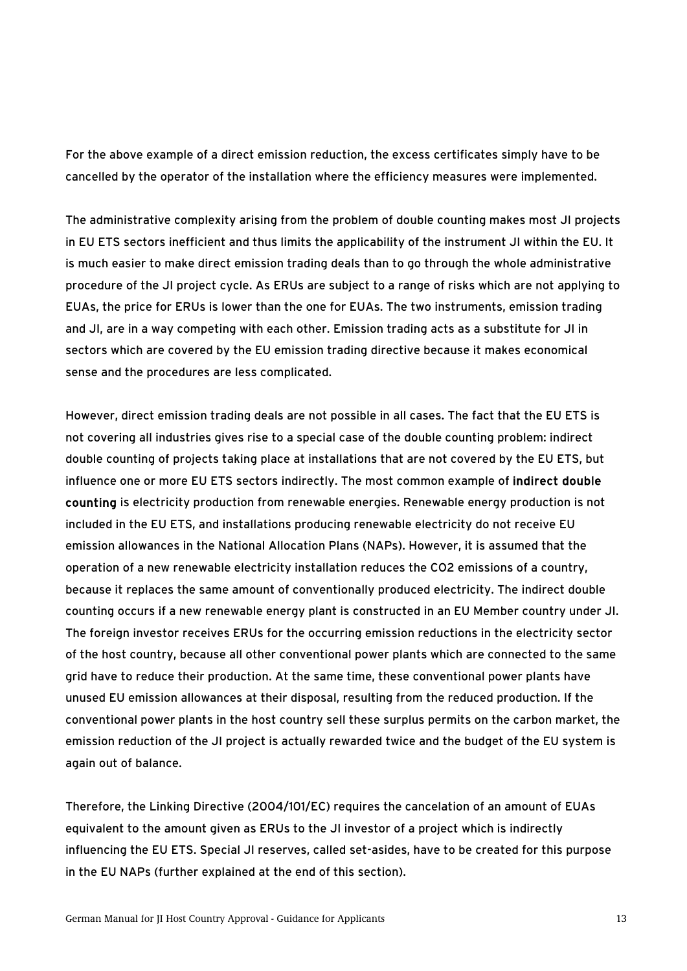For the above example of a direct emission reduction, the excess certificates simply have to be cancelled by the operator of the installation where the efficiency measures were implemented.

The administrative complexity arising from the problem of double counting makes most JI projects in EU ETS sectors inefficient and thus limits the applicability of the instrument JI within the EU. It is much easier to make direct emission trading deals than to go through the whole administrative procedure of the JI project cycle. As ERUs are subject to a range of risks which are not applying to EUAs, the price for ERUs is lower than the one for EUAs. The two instruments, emission trading and JI, are in a way competing with each other. Emission trading acts as a substitute for JI in sectors which are covered by the EU emission trading directive because it makes economical sense and the procedures are less complicated.

However, direct emission trading deals are not possible in all cases. The fact that the EU ETS is not covering all industries gives rise to a special case of the double counting problem: indirect double counting of projects taking place at installations that are not covered by the EU ETS, but influence one or more EU ETS sectors indirectly. The most common example of indirect double counting is electricity production from renewable energies. Renewable energy production is not included in the EU ETS, and installations producing renewable electricity do not receive EU emission allowances in the National Allocation Plans (NAPs). However, it is assumed that the operation of a new renewable electricity installation reduces the CO2 emissions of a country, because it replaces the same amount of conventionally produced electricity. The indirect double counting occurs if a new renewable energy plant is constructed in an EU Member country under JI. The foreign investor receives ERUs for the occurring emission reductions in the electricity sector of the host country, because all other conventional power plants which are connected to the same grid have to reduce their production. At the same time, these conventional power plants have unused EU emission allowances at their disposal, resulting from the reduced production. If the conventional power plants in the host country sell these surplus permits on the carbon market, the emission reduction of the JI project is actually rewarded twice and the budget of the EU system is again out of balance.

Therefore, the Linking Directive (2004/101/EC) requires the cancelation of an amount of EUAs equivalent to the amount given as ERUs to the JI investor of a project which is indirectly influencing the EU ETS. Special JI reserves, called set-asides, have to be created for this purpose in the EU NAPs (further explained at the end of this section).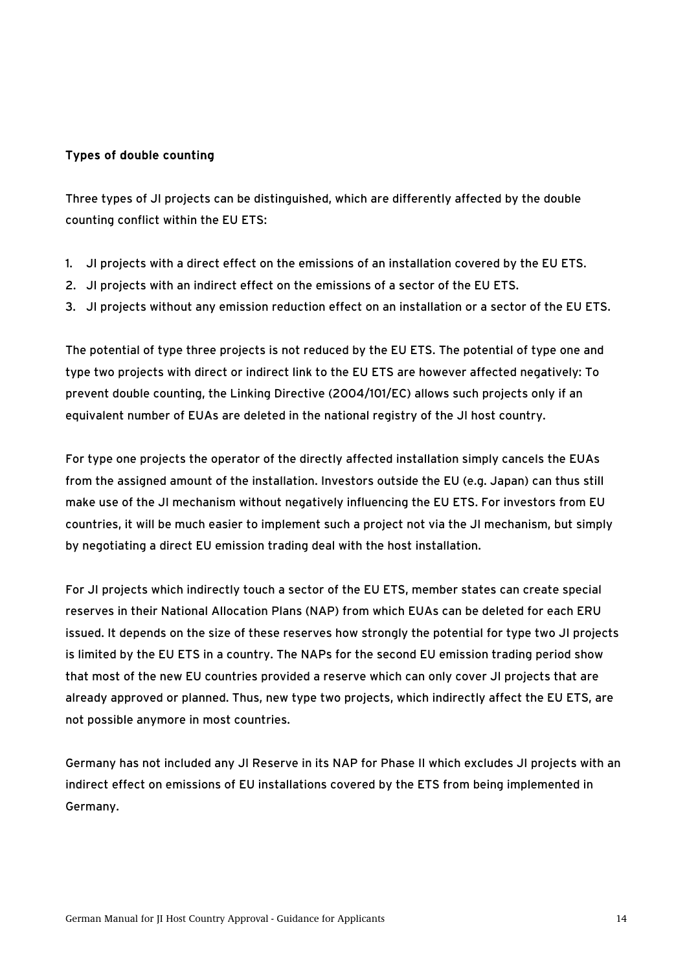#### Types of double counting

Three types of JI projects can be distinguished, which are differently affected by the double counting conflict within the EU ETS:

- 1. JI projects with a direct effect on the emissions of an installation covered by the EU ETS.
- 2. JI projects with an indirect effect on the emissions of a sector of the EU ETS.
- 3. JI projects without any emission reduction effect on an installation or a sector of the EU ETS.

The potential of type three projects is not reduced by the EU ETS. The potential of type one and type two projects with direct or indirect link to the EU ETS are however affected negatively: To prevent double counting, the Linking Directive (2004/101/EC) allows such projects only if an equivalent number of EUAs are deleted in the national registry of the JI host country.

For type one projects the operator of the directly affected installation simply cancels the EUAs from the assigned amount of the installation. Investors outside the EU (e.g. Japan) can thus still make use of the JI mechanism without negatively influencing the EU ETS. For investors from EU countries, it will be much easier to implement such a project not via the JI mechanism, but simply by negotiating a direct EU emission trading deal with the host installation.

For JI projects which indirectly touch a sector of the EU ETS, member states can create special reserves in their National Allocation Plans (NAP) from which EUAs can be deleted for each ERU issued. It depends on the size of these reserves how strongly the potential for type two JI projects is limited by the EU ETS in a country. The NAPs for the second EU emission trading period show that most of the new EU countries provided a reserve which can only cover JI projects that are already approved or planned. Thus, new type two projects, which indirectly affect the EU ETS, are not possible anymore in most countries.

Germany has not included any JI Reserve in its NAP for Phase II which excludes JI projects with an indirect effect on emissions of EU installations covered by the ETS from being implemented in Germany.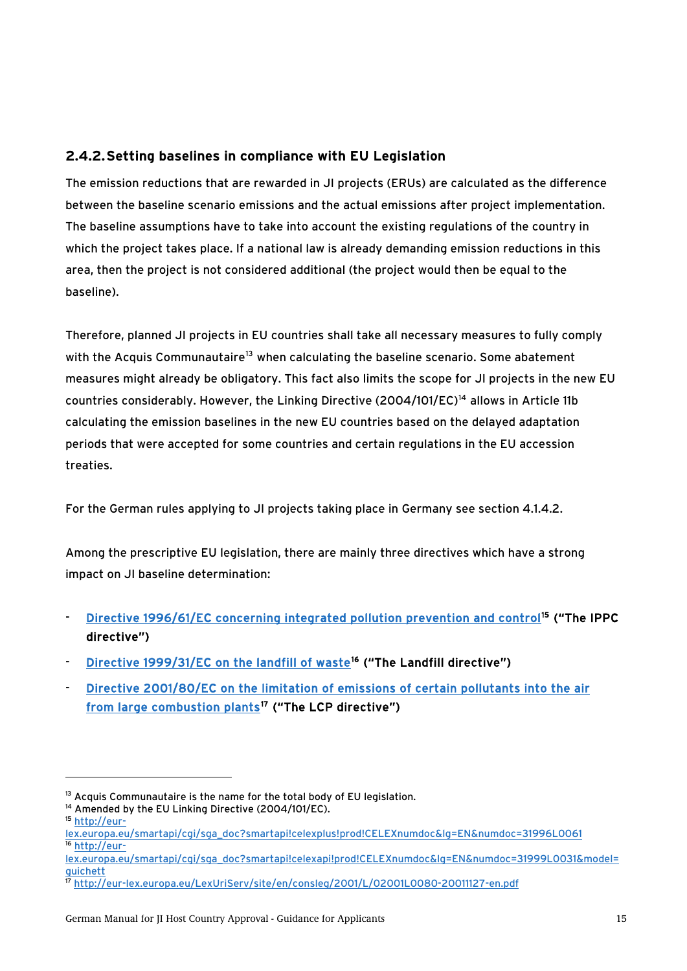## <span id="page-14-0"></span>**2.4.2.Setting baselines in compliance with EU Legislation**

The emission reductions that are rewarded in JI projects (ERUs) are calculated as the difference between the baseline scenario emissions and the actual emissions after project implementation. The baseline assumptions have to take into account the existing regulations of the country in which the project takes place. If a national law is already demanding emission reductions in this area, then the project is not considered additional (the project would then be equal to the baseline).

Therefore, planned JI projects in EU countries shall take all necessary measures to fully comply with the Acquis Communautaire<sup>[13](#page-14-1)</sup> when calculating the baseline scenario. Some abatement measures might already be obligatory. This fact also limits the scope for JI projects in the new EU countries considerably. However, the Linking Directive (2004/101/EC)<sup>[14](#page-14-2)</sup> allows in Article 11b calculating the emission baselines in the new EU countries based on the delayed adaptation periods that were accepted for some countries and certain regulations in the EU accession treaties.

For the German rules applying to JI projects taking place in Germany see section [4.1.4.2](#page-38-0).

Among the prescriptive EU legislation, there are mainly three directives which have a strong impact on JI baseline determination:

- [Directive 1996/61/EC concerning integrated pollution prevention and control](http://eur-lex.europa.eu/smartapi/cgi/sga_doc?smartapi!celexplus!prod!CELEXnumdoc&lg=EN&numdoc=31996L0061)<sup>[15](#page-14-3)</sup> ("The IPPC directive")
- [Directive 1999/31/EC on the landfill of waste](http://eur-lex.europa.eu/smartapi/cgi/sga_doc?smartapi!celexapi!prod!CELEXnumdoc&lg=EN&numdoc=31999L0031&model=guichett)<sup>[16](#page-14-4)</sup> ("The Landfill directive")
- Directive 2001/80/EC on the limitation of emissions of certain pollutants into the air [from large combustion plants](http://eur-lex.europa.eu/LexUriServ/site/en/consleg/2001/L/02001L0080-20011127-en.pdf)<sup>[17](#page-14-5)</sup> ("The LCP directive")

<span id="page-14-1"></span><sup>&</sup>lt;sup>13</sup> Acquis Communautaire is the name for the total body of EU legislation.

<span id="page-14-2"></span><sup>&</sup>lt;sup>14</sup> Amended by the EU Linking Directive (2004/101/EC).

<span id="page-14-3"></span><sup>15</sup> [http://eur-](http://eur-lex.europa.eu/smartapi/cgi/sga_doc?smartapi!celexplus!prod!CELEXnumdoc&lg=EN&numdoc=31996L0061)

[lex.europa.eu/smartapi/cgi/sga\\_doc?smartapi!celexplus!prod!CELEXnumdoc&lg=EN&numdoc=31996L0061](http://eur-lex.europa.eu/smartapi/cgi/sga_doc?smartapi!celexplus!prod!CELEXnumdoc&lg=EN&numdoc=31996L0061) 16 [http://eur-](http://eur-lex.europa.eu/smartapi/cgi/sga_doc?smartapi!celexapi!prod!CELEXnumdoc&lg=EN&numdoc=31999L0031&model=guichett)

<span id="page-14-4"></span>[lex.europa.eu/smartapi/cgi/sga\\_doc?smartapi!celexapi!prod!CELEXnumdoc&lg=EN&numdoc=31999L0031&model=](http://eur-lex.europa.eu/smartapi/cgi/sga_doc?smartapi!celexapi!prod!CELEXnumdoc&lg=EN&numdoc=31999L0031&model=guichett) [guichett](http://eur-lex.europa.eu/smartapi/cgi/sga_doc?smartapi!celexapi!prod!CELEXnumdoc&lg=EN&numdoc=31999L0031&model=guichett)<br>17 http://eur-lex.europa.eu/LexUriServ/site/en/consleg/2001/L/02001L0080-20011127-en.pdf

<span id="page-14-5"></span>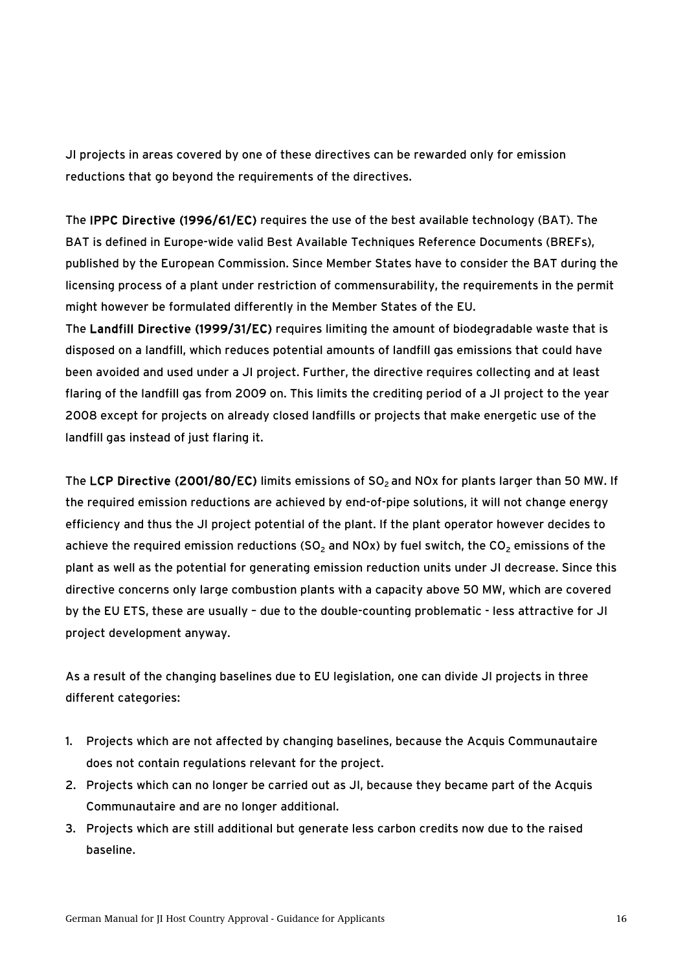JI projects in areas covered by one of these directives can be rewarded only for emission reductions that go beyond the requirements of the directives.

The IPPC Directive (1996/61/EC) requires the use of the best available technology (BAT). The BAT is defined in Europe-wide valid Best Available Techniques Reference Documents (BREFs), published by the European Commission. Since Member States have to consider the BAT during the licensing process of a plant under restriction of commensurability, the requirements in the permit might however be formulated differently in the Member States of the EU.

The Landfill Directive (1999/31/EC) requires limiting the amount of biodegradable waste that is disposed on a landfill, which reduces potential amounts of landfill gas emissions that could have been avoided and used under a JI project. Further, the directive requires collecting and at least flaring of the landfill gas from 2009 on. This limits the crediting period of a JI project to the year 2008 except for projects on already closed landfills or projects that make energetic use of the landfill gas instead of just flaring it.

The LCP Directive (2001/80/EC) limits emissions of  $SO<sub>2</sub>$  and NOx for plants larger than 50 MW. If the required emission reductions are achieved by end-of-pipe solutions, it will not change energy efficiency and thus the JI project potential of the plant. If the plant operator however decides to achieve the required emission reductions (SO<sub>2</sub> and NOx) by fuel switch, the CO<sub>2</sub> emissions of the plant as well as the potential for generating emission reduction units under JI decrease. Since this directive concerns only large combustion plants with a capacity above 50 MW, which are covered by the EU ETS, these are usually – due to the double-counting problematic - less attractive for JI project development anyway.

As a result of the changing baselines due to EU legislation, one can divide JI projects in three different categories:

- 1. Projects which are not affected by changing baselines, because the Acquis Communautaire does not contain regulations relevant for the project.
- 2. Projects which can no longer be carried out as JI, because they became part of the Acquis Communautaire and are no longer additional.
- 3. Projects which are still additional but generate less carbon credits now due to the raised baseline.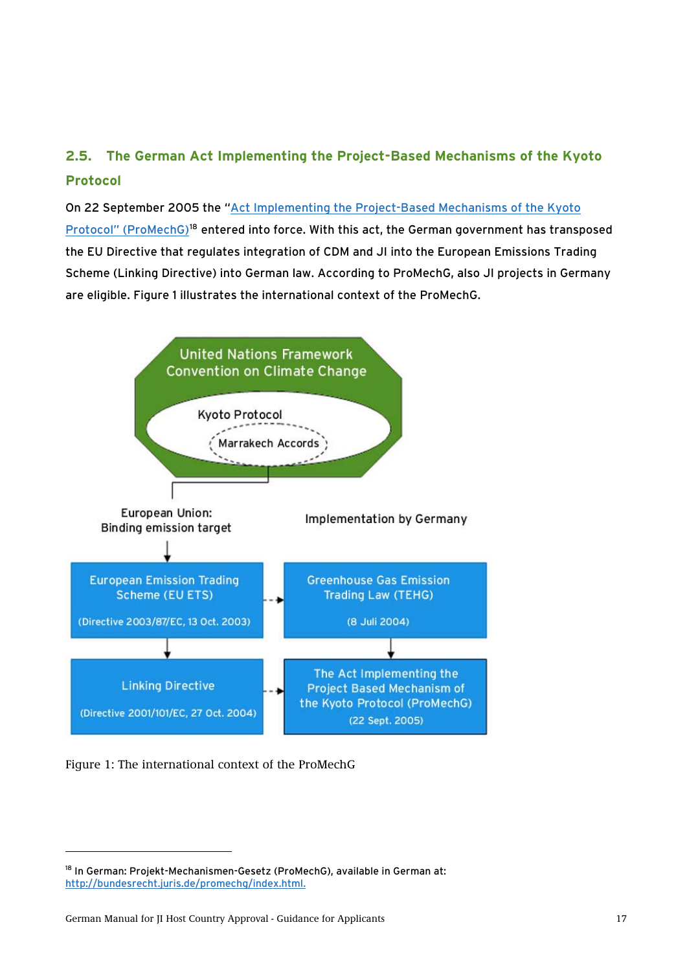## <span id="page-16-0"></span>**2.5. The German Act Implementing the Project-Based Mechanisms of the Kyoto**

## **Protocol**

 $\ddot{ }$ 

On 22 September 2005 the "[Act Implementing the Project-Based Mechanisms of the Kyoto](http://bundesrecht.juris.de/promechg/index.html)  [Protocol" \(ProMechG\)](http://bundesrecht.juris.de/promechg/index.html)[18](#page-16-1) entered into force. With this act, the German government has transposed the EU Directive that regulates integration of CDM and JI into the European Emissions Trading Scheme (Linking Directive) into German law. According to ProMechG, also JI projects in Germany are eligible. [Figure 1](#page-16-2) illustrates the international context of the ProMechG.



<span id="page-16-2"></span>Figure 1: The international context of the ProMechG

<span id="page-16-1"></span><sup>&</sup>lt;sup>18</sup> In German: Projekt-Mechanismen-Gesetz (ProMechG), available in German at: [http://bundesrecht.juris.de/promechg/index.html.](http://bundesrecht.juris.de/promechg/index.html)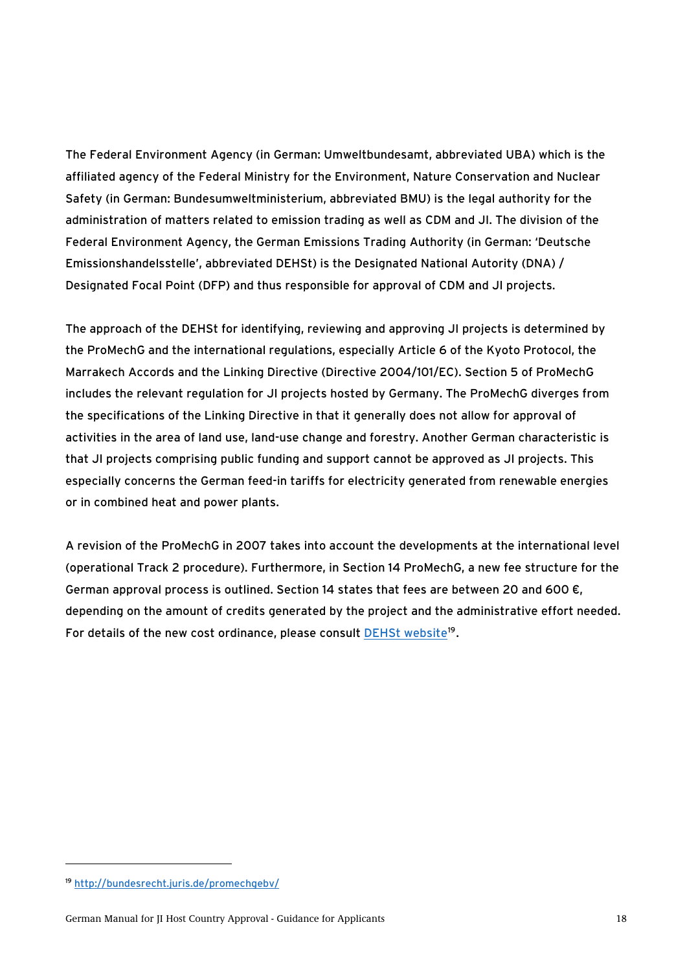The Federal Environment Agency (in German: Umweltbundesamt, abbreviated UBA) which is the affiliated agency of the Federal Ministry for the Environment, Nature Conservation and Nuclear Safety (in German: Bundesumweltministerium, abbreviated BMU) is the legal authority for the administration of matters related to emission trading as well as CDM and JI. The division of the Federal Environment Agency, the German Emissions Trading Authority (in German: 'Deutsche Emissionshandelsstelle', abbreviated DEHSt) is the Designated National Autority (DNA) / Designated Focal Point (DFP) and thus responsible for approval of CDM and JI projects.

The approach of the DEHSt for identifying, reviewing and approving JI projects is determined by the ProMechG and the international regulations, especially Article 6 of the Kyoto Protocol, the Marrakech Accords and the Linking Directive [\(Directive 2004/101/EC\). S](http://ec.europa.eu/environment/climat/emission/pdf/dir_2004_101_en.pdf)ection 5 of ProMechG includes the relevant regulation for JI projects hosted by Germany. The ProMechG diverges from the specifications of the Linking Directive in that it generally does not allow for approval of activities in the area of land use, land-use change and forestry. Another German characteristic is that JI projects comprising public funding and support cannot be approved as JI projects. This especially concerns the German feed-in tariffs for electricity generated from renewable energies or in combined heat and power plants.

A revision of the ProMechG in 2007 takes into account the developments at the international level (operational Track 2 procedure). Furthermore, in Section 14 ProMechG, a new fee structure for the German approval process is outlined. Section 14 states that fees are between 20 and 600 €, depending on the amount of credits generated by the project and the administrative effort needed. For details of the new cost ordinance, please consult **DEHSt** website<sup>[19](#page-17-0)</sup>.

<span id="page-17-0"></span><sup>19</sup> <http://bundesrecht.juris.de/promechgebv/>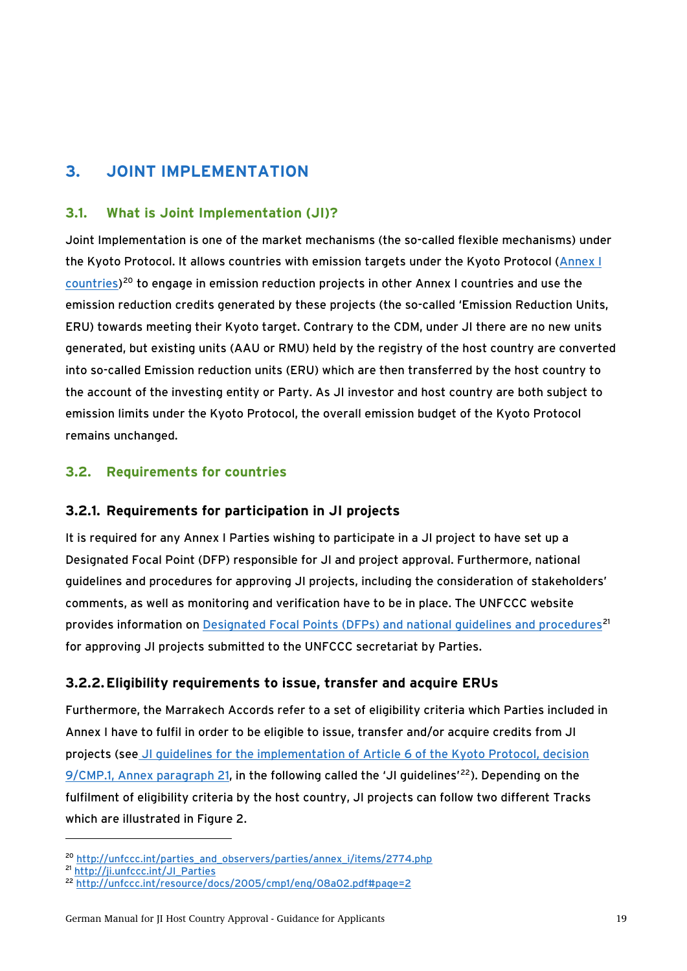## <span id="page-18-0"></span>**3. JOINT IMPLEMENTATION**

## **3.1. What is Joint Implementation (JI)?**

Joint Implementation is one of the market mechanisms (the so-called flexible mechanisms) under the Kyoto Protocol. It allows countries with emission targets under the Kyoto Protocol ([Annex I](http://unfccc.int/parties_and_observers/parties/annex_i/items/2774.php)  [countries\)](http://unfccc.int/parties_and_observers/parties/annex_i/items/2774.php)<sup>[20](#page-18-1)</sup> to engage in emission reduction projects in other Annex I countries and use the emission reduction credits generated by these projects (the so-called 'Emission Reduction Units, ERU) towards meeting their Kyoto target. Contrary to the CDM, under JI there are no new units generated, but existing units (AAU or RMU) held by the registry of the host country are converted into so-called Emission reduction units (ERU) which are then transferred by the host country to the account of the investing entity or Party. As JI investor and host country are both subject to emission limits under the Kyoto Protocol, the overall emission budget of the Kyoto Protocol remains unchanged.

## **3.2. Requirements for countries**

## **3.2.1. Requirements for participation in JI projects**

It is required for any Annex I Parties wishing to participate in a JI project to have set up a Designated Focal Point (DFP) responsible for JI and project approval. Furthermore, national guidelines and procedures for approving JI projects, including the consideration of stakeholders' comments, as well as monitoring and verification have to be in place. The UNFCCC website provides information on [Designated Focal Points \(DFPs\) and national guidelines and procedures](http://ji.unfccc.int/JI_Parties)<sup>[21](#page-18-2)</sup> for approving JI projects submitted to the UNFCCC secretariat by Parties.

## <span id="page-18-4"></span>**3.2.2.Eligibility requirements to issue, transfer and acquire ERUs**

Furthermore, the Marrakech Accords refer to a set of eligibility criteria which Parties included in Annex I have to fulfil in order to be eligible to issue, transfer and/or acquire credits from JI projects (see [JI guidelines for the implementation of Article 6 of the Kyoto Protocol, decision](http://unfccc.int/resource/docs/2005/cmp1/eng/08a02.pdf#page=2)  [9/CMP.1, Annex paragraph 21,](http://unfccc.int/resource/docs/2005/cmp1/eng/08a02.pdf#page=2) in the following called the 'JI guidelines'<sup>[22](#page-18-3)</sup>). Depending on the fulfilment of eligibility criteria by the host country, JI projects can follow two different Tracks which are illustrated in [Figure 2](#page-19-1).

<span id="page-18-1"></span><sup>&</sup>lt;sup>20</sup> http://unfccc.int/parties\_and\_observers/parties/annex\_i/items/2774.php<br><sup>21</sup> [http://ji.unfccc.int/JI\\_Parties](http://ji.unfccc.int/JI_Parties)<br><sup>22</sup> <http://unfccc.int/resource/docs/2005/cmp1/eng/08a02.pdf#page=2>

<span id="page-18-2"></span>

<span id="page-18-3"></span>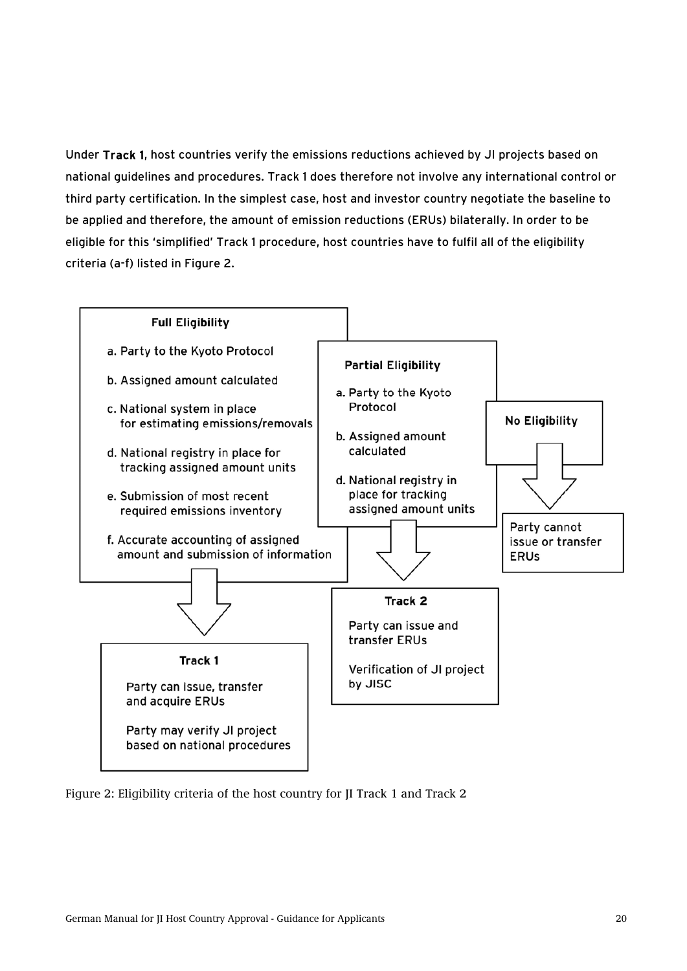<span id="page-19-0"></span>Under Track 1, host countries verify the emissions reductions achieved by JI projects based on national guidelines and procedures. Track 1 does therefore not involve any international control or third party certification. In the simplest case, host and investor country negotiate the baseline to be applied and therefore, the amount of emission reductions (ERUs) bilaterally. In order to be eligible for this 'simplified' Track 1 procedure, host countries have to fulfil all of the eligibility criteria (a-f) listed in Figure 2.



<span id="page-19-1"></span>Figure 2: Eligibility criteria of the host country for JI Track 1 and Track 2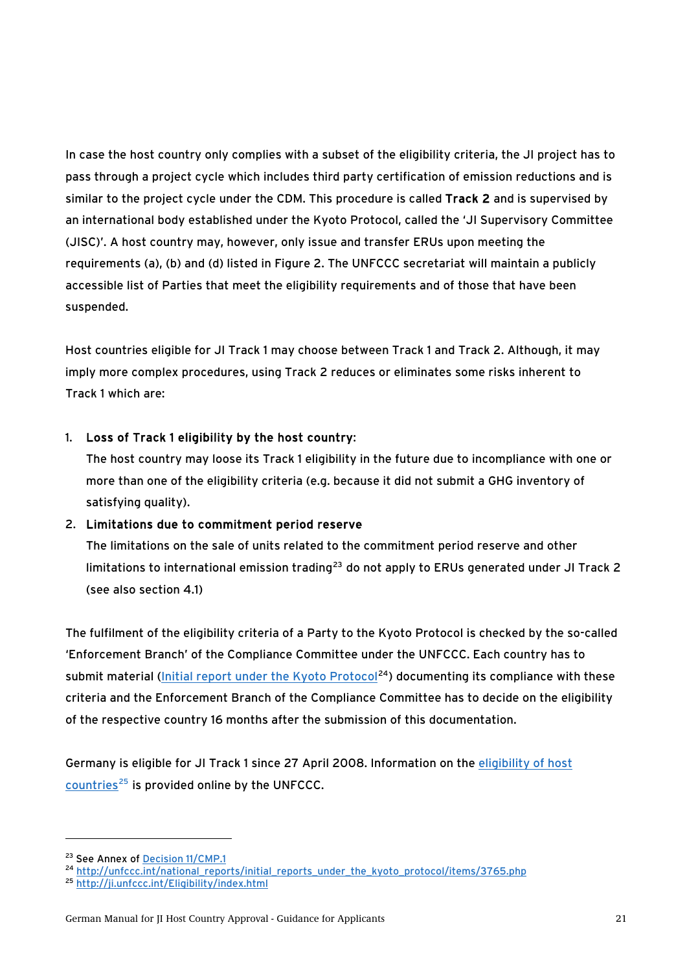In case the host country only complies with a subset of the eligibility criteria, the JI project has to pass through a project cycle which includes third party certification of emission reductions and is similar to the project cycle under the CDM. This procedure is called Track 2 and is supervised by an international body established under the Kyoto Protocol, called the 'JI Supervisory Committee (JISC)'. A host country may, however, only issue and transfer ERUs upon meeting the requirements (a), (b) and (d) listed in [Figure 2.](#page-19-1) The UNFCCC secretariat will maintain a publicly accessible list of Parties that meet the eligibility requirements and of those that have been suspended.

Host countries eligible for JI Track 1 may choose between Track 1 and Track 2. Although, it may imply more complex procedures, using Track 2 reduces or eliminates some risks inherent to Track 1 which are:

#### 1. Loss of Track 1 eligibility by the host country:

The host country may loose its Track 1 eligibility in the future due to incompliance with one or more than one of the eligibility criteria (e.g. because it did not submit a GHG inventory of satisfying quality).

#### 2. Limitations due to commitment period reserve

The limitations on the sale of units related to the commitment period reserve and other limitations to international emission trading<sup>[23](#page-20-0)</sup> do not apply to ERUs generated under JI Track 2 (see also section [4.1](#page-32-1))

The fulfilment of the eligibility criteria of a Party to the Kyoto Protocol is checked by the so-called 'Enforcement Branch' of the Compliance Committee under the UNFCCC. Each country has to submit material ([Initial report under the Kyoto Protocol](http://unfccc.int/national_reports/initial_reports_under_the_kyoto_protocol/items/3765.php)<sup>[24](#page-20-1)</sup>) documenting its compliance with these criteria and the Enforcement Branch of the Compliance Committee has to decide on the eligibility of the respective country 16 months after the submission of this documentation.

Germany is eligible for JI Track 1 since 27 April 2008. Information on the eligibility of host [countries](http://ji.unfccc.int/Eligibility)<sup>[25](#page-20-2)</sup> is provided online by the UNFCCC.

<span id="page-20-0"></span><sup>&</sup>lt;sup>23</sup> See Annex of [Decision 11/CMP.1](http://unfccc.int/resource/docs/2005/cmp1/eng/08a02.pdf#page=17)

<span id="page-20-1"></span><sup>&</sup>lt;sup>24</sup> [http://unfccc.int/national\\_reports/initial\\_reports\\_under\\_the\\_kyoto\\_protocol/items/3765.php](http://unfccc.int/national_reports/initial_reports_under_the_kyoto_protocol/items/3765.php) <sup>25</sup> <http://ji.unfccc.int/Eligibility/index.html>

<span id="page-20-2"></span>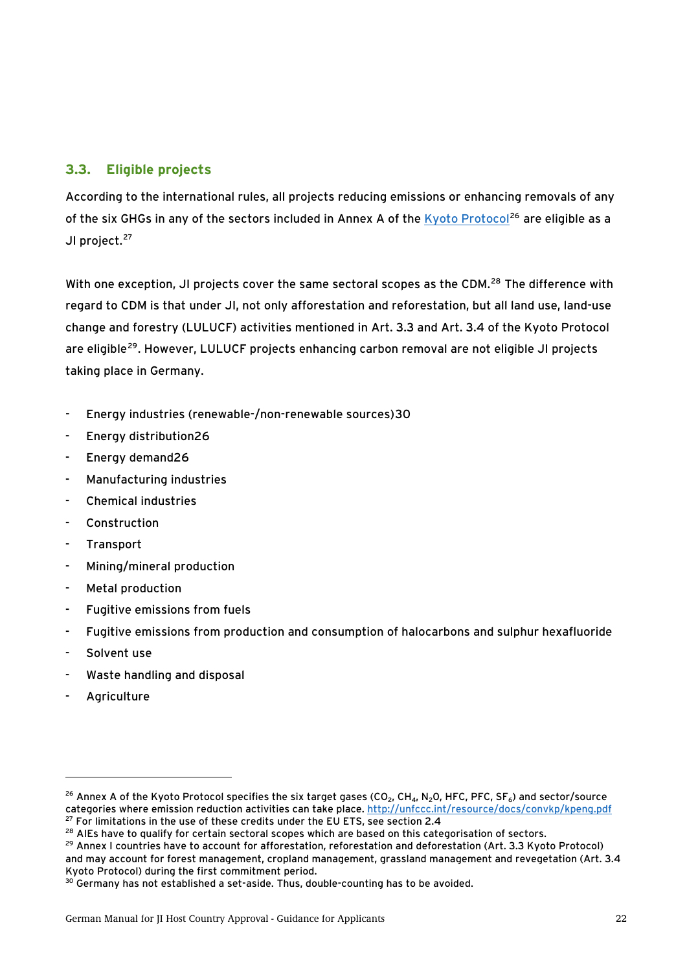## <span id="page-21-0"></span>**3.3. Eligible projects**

According to the international rules, all projects reducing emissions or enhancing removals of any of the six GHGs in any of the sectors included in Annex A of the [Kyoto Protocol](http://unfccc.int/resource/docs/convkp/kpeng.pdf)<sup>[26](#page-21-1)</sup> are eligible as a JI project.<sup>[27](#page-21-2)</sup>

With one exception, JI projects cover the same sectoral scopes as the CDM.<sup>[28](#page-21-3)</sup> The difference with regard to CDM is that under JI, not only afforestation and reforestation, but all land use, land-use change and forestry (LULUCF) activities mentioned in Art. 3.3 and Art. 3.4 of the Kyoto Protocol are eligible<sup>[29](#page-21-4)</sup>. However, LULUCF projects enhancing carbon removal are not eligible JI projects taking place in Germany.

- Energy industries (renewable-/non-renewable sources)30
- Energy distribution26
- Energy demand26
- Manufacturing industries
- Chemical industries
- **Construction**
- **Transport**
- Mining/mineral production
- Metal production
- Fugitive emissions from fuels
- Fugitive emissions from production and consumption of halocarbons and sulphur hexafluoride
- Solvent use
- Waste handling and disposal
- **Agriculture**

<span id="page-21-1"></span><sup>&</sup>lt;sup>26</sup> Annex A of the Kyoto Protocol specifies the six target gases (CO<sub>2</sub>, CH<sub>4</sub>, N<sub>2</sub>O, HFC, PFC, SF<sub>6</sub>) and sector/source categories where emission reduction activities can take place. <u>http://unfccc.int/resource/docs/convkp/kpeng.pdf</u><br><sup>27</sup> For limitations in the use of these credits under the EU ETS, see section 2.4<br><sup>28</sup> AIEs have to qualify

<span id="page-21-3"></span><span id="page-21-2"></span>

<span id="page-21-4"></span><sup>&</sup>lt;sup>29</sup> Annex I countries have to account for afforestation, reforestation and deforestation (Art. 3.3 Kyoto Protocol) and may account for forest management, cropland management, grassland management and revegetation (Art. 3.4 Kyoto Protocol) during the first commitment period.

<span id="page-21-5"></span> $30^{30}$  Germany has not established a set-aside. Thus, double-counting has to be avoided.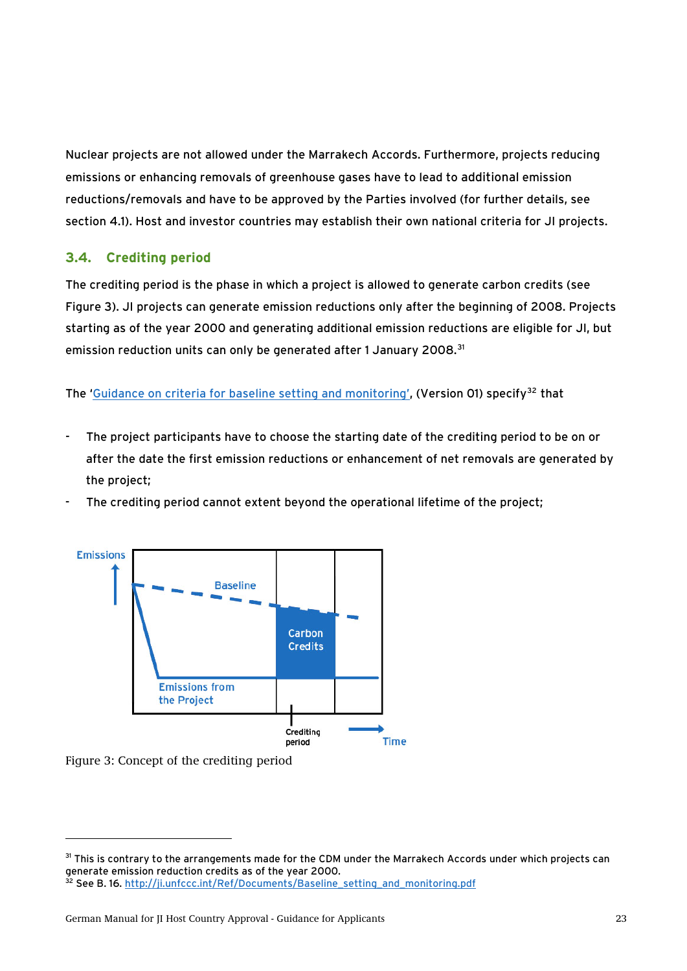<span id="page-22-0"></span>Nuclear projects are not allowed under the Marrakech Accords. Furthermore, projects reducing emissions or enhancing removals of greenhouse gases have to lead to additional emission reductions/removals and have to be approved by the Parties involved (for further details, see section [4.1](#page-32-1)). Host and investor countries may establish their own national criteria for JI projects.

## **3.4. Crediting period**

The crediting period is the phase in which a project is allowed to generate carbon credits (see [Figure 3](#page-22-2)). JI projects can generate emission reductions only after the beginning of 2008. Projects starting as of the year 2000 and generating additional emission reductions are eligible for JI, but emission reduction units can only be generated after 1 January 2008.<sup>[31](#page-22-1)</sup>

The ['Guidance on criteria for baseline setting and monitoring'](http://ji.unfccc.int/Ref/Documents/Baseline_setting_and_monitoring.pdf), (Version 01) specify<sup>[32](#page-22-3)</sup> that

- The project participants have to choose the starting date of the crediting period to be on or after the date the first emission reductions or enhancement of net removals are generated by the project;
- The crediting period cannot extent beyond the operational lifetime of the project;



<span id="page-22-2"></span>Figure 3: Concept of the crediting period

<span id="page-22-3"></span><span id="page-22-1"></span><sup>&</sup>lt;sup>31</sup> This is contrary to the arrangements made for the CDM under the Marrakech Accords under which projects can generate emission reduction credits as of the year 2000. <sup>32</sup> See B. 16. [http://ji.unfccc.int/Ref/Documents/Baseline\\_setting\\_and\\_monitoring.pdf](http://ji.unfccc.int/Ref/Documents/Baseline_setting_and_monitoring.pdf)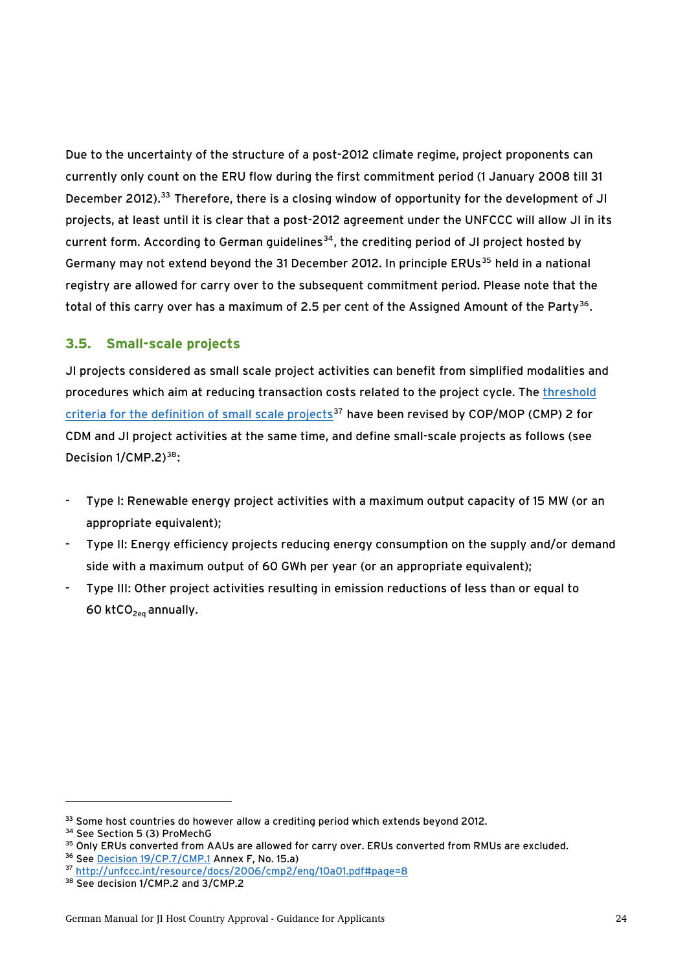<span id="page-23-0"></span>Due to the uncertainty of the structure of a post-2012 climate regime, project proponents can currently only count on the ERU flow during the first commitment period (1 January 2008 till 31 December 2012).<sup>[33](#page-23-1)</sup> Therefore, there is a closing window of opportunity for the development of JI projects, at least until it is clear that a post-2012 agreement under the UNFCCC will allow JI in its current form. According to German guidelines<sup>[34](#page-23-2)</sup>, the crediting period of JI project hosted by Germany may not extend beyond the 31 December 2012. In principle ERUs<sup>[35](#page-23-3)</sup> held in a national registry are allowed for carry over to the subsequent commitment period. Please note that the total of this carry over has a maximum of 2.5 per cent of the Assigned Amount of the Party<sup>[36](#page-23-4)</sup>.

#### <span id="page-23-6"></span>**3.5. Small-scale projects**

JI projects considered as small scale project activities can benefit from simplified modalities and procedures which aim at reducing transaction costs related to the project cycle. The [threshold](http://unfccc.int/resource/docs/2006/cmp2/eng/10a01.pdf#page=8)  [criteria for the definition of small scale projects](http://unfccc.int/resource/docs/2006/cmp2/eng/10a01.pdf#page=8)<sup>[37](#page-23-5)</sup> have been revised by COP/MOP (CMP) 2 for CDM and JI project activities at the same time, and define small-scale projects as follows (see Decision 1/CMP.2)<sup>38</sup>:

- Type I: Renewable energy project activities with a maximum output capacity of 15 MW (or an appropriate equivalent);
- Type II: Energy efficiency projects reducing energy consumption on the supply and/or demand side with a maximum output of 60 GWh per year (or an appropriate equivalent);
- Type III: Other project activities resulting in emission reductions of less than or equal to 60 ktCO $_{2eq}$  annually.

<span id="page-23-1"></span><sup>&</sup>lt;sup>33</sup> Some host countries do however allow a crediting period which extends beyond 2012.

<span id="page-23-2"></span><sup>&</sup>lt;sup>34</sup> See Section 5 (3) ProMechG

<span id="page-23-3"></span><sup>&</sup>lt;sup>35</sup> Only ERUs converted from AAUs are allowed for carry over. ERUs converted from RMUs are excluded.<br><sup>36</sup> See <u>Decision 19/CP.7/CMP.</u>1 Annex F. No. 15.a)

<span id="page-23-5"></span><span id="page-23-4"></span><sup>&</sup>lt;sup>37</sup> <http://unfccc.int/resource/docs/2006/cmp2/eng/10a01.pdf#page=8>38 See decision 1/CMP.2 and 3/CMP.2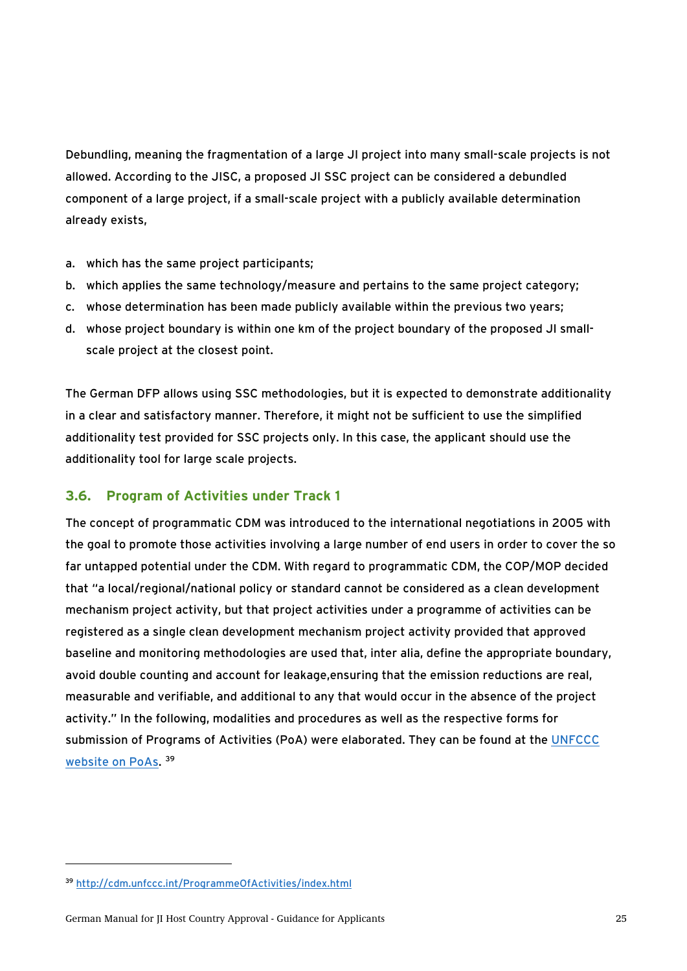<span id="page-24-0"></span>Debundling, meaning the fragmentation of a large JI project into many small-scale projects is not allowed. According to the JISC, a proposed JI SSC project can be considered a debundled component of a large project, if a small-scale project with a publicly available determination already exists,

- a. which has the same project participants;
- b. which applies the same technology/measure and pertains to the same project category;
- c. whose determination has been made publicly available within the previous two years;
- d. whose project boundary is within one km of the project boundary of the proposed JI smallscale project at the closest point.

The German DFP allows using SSC methodologies, but it is expected to demonstrate additionality in a clear and satisfactory manner. Therefore, it might not be sufficient to use the simplified additionality test provided for SSC projects only. In this case, the applicant should use the additionality tool for large scale projects.

## **3.6. Program of Activities under Track 1**

The concept of programmatic CDM was introduced to the international negotiations in 2005 with the goal to promote those activities involving a large number of end users in order to cover the so far untapped potential under the CDM. With regard to programmatic CDM, the COP/MOP decided that "a local/regional/national policy or standard cannot be considered as a clean development mechanism project activity, but that project activities under a programme of activities can be registered as a single clean development mechanism project activity provided that approved baseline and monitoring methodologies are used that, inter alia, define the appropriate boundary, avoid double counting and account for leakage,ensuring that the emission reductions are real, measurable and verifiable, and additional to any that would occur in the absence of the project activity." In the following, modalities and procedures as well as the respective forms for submission of Programs of Activities (PoA) were elaborated. They can be found at the [UNFCCC](http://cdm.unfccc.int/ProgrammeOfActivities/index.html)  [website on PoAs.](http://cdm.unfccc.int/ProgrammeOfActivities/index.html) [39](#page-24-1)

<span id="page-24-1"></span><sup>39</sup> <http://cdm.unfccc.int/ProgrammeOfActivities/index.html>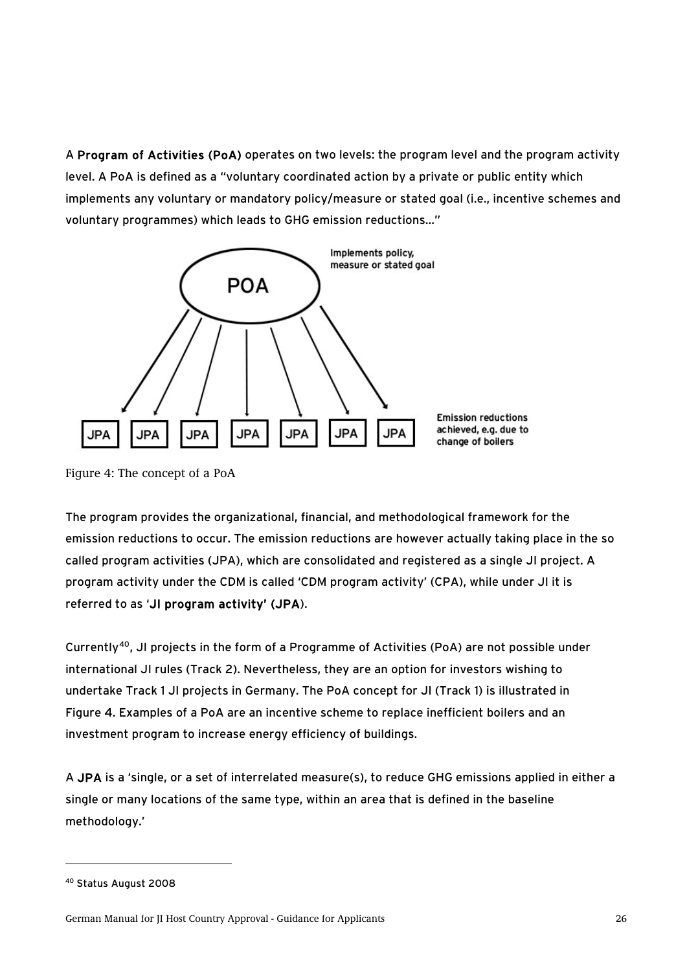<span id="page-25-0"></span>A Program of Activities (PoA) operates on two levels: the program level and the program activity level. A PoA is defined as a "voluntary coordinated action by a private or public entity which implements any voluntary or mandatory policy/measure or stated goal (i.e., incentive schemes and voluntary programmes) which leads to GHG emission reductions..."



<span id="page-25-2"></span>Figure 4: The concept of a PoA

The program provides the organizational, financial, and methodological framework for the emission reductions to occur. The emission reductions are however actually taking place in the so called program activities (JPA), which are consolidated and registered as a single JI project. A program activity under the CDM is called 'CDM program activity' (CPA), while under JI it is referred to as 'JI program activity' (JPA).

Currently[40](#page-25-1), JI projects in the form of a Programme of Activities (PoA) are not possible under international JI rules (Track 2). Nevertheless, they are an option for investors wishing to undertake Track 1 JI projects in Germany. The PoA concept for JI (Track 1) is illustrated in [Figure 4.](#page-25-2) Examples of a PoA are an incentive scheme to replace inefficient boilers and an investment program to increase energy efficiency of buildings.

A JPA is a 'single, or a set of interrelated measure(s), to reduce GHG emissions applied in either a single or many locations of the same type, within an area that is defined in the baseline methodology.'

<span id="page-25-1"></span><sup>40</sup> Status August 2008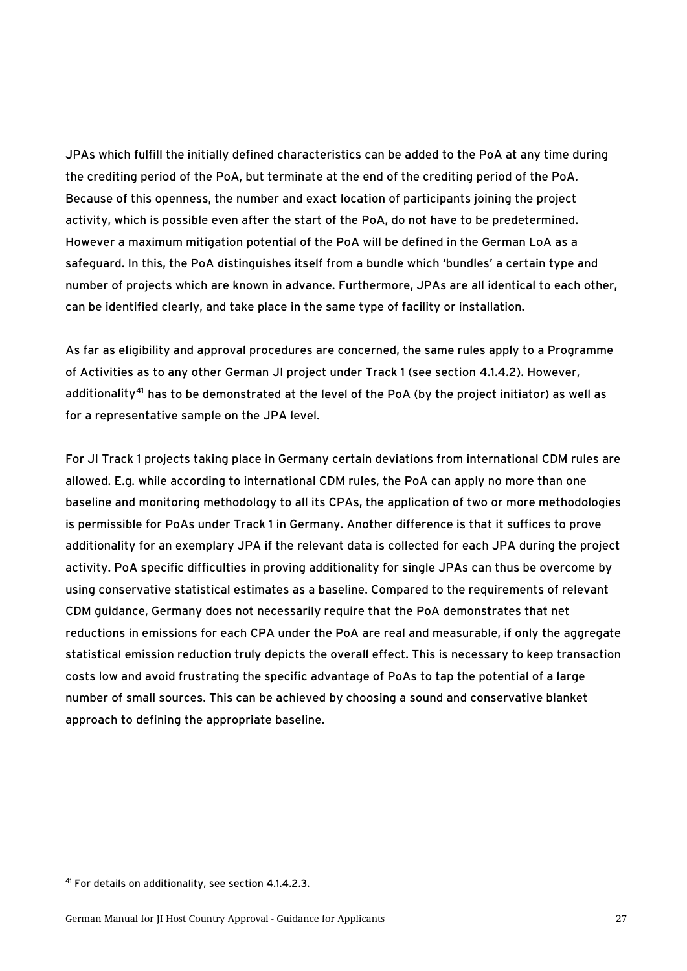JPAs which fulfill the initially defined characteristics can be added to the PoA at any time during the crediting period of the PoA, but terminate at the end of the crediting period of the PoA. Because of this openness, the number and exact location of participants joining the project activity, which is possible even after the start of the PoA, do not have to be predetermined. However a maximum mitigation potential of the PoA will be defined in the German LoA as a safeguard. In this, the PoA distinguishes itself from a bundle which 'bundles' a certain type and number of projects which are known in advance. Furthermore, JPAs are all identical to each other, can be identified clearly, and take place in the same type of facility or installation.

As far as eligibility and approval procedures are concerned, the same rules apply to a Programme of Activities as to any other German JI project under Track 1 (see section [4.1.4.2\)](#page-38-0). However, additionality<sup>[41](#page-26-0)</sup> has to be demonstrated at the level of the PoA (by the project initiator) as well as for a representative sample on the JPA level.

For JI Track 1 projects taking place in Germany certain deviations from international CDM rules are allowed. E.g. while according to international CDM rules, the PoA can apply no more than one baseline and monitoring methodology to all its CPAs, the application of two or more methodologies is permissible for PoAs under Track 1 in Germany. Another difference is that it suffices to prove additionality for an exemplary JPA if the relevant data is collected for each JPA during the project activity. PoA specific difficulties in proving additionality for single JPAs can thus be overcome by using conservative statistical estimates as a baseline. Compared to the requirements of relevant CDM guidance, Germany does not necessarily require that the PoA demonstrates that net reductions in emissions for each CPA under the PoA are real and measurable, if only the aggregate statistical emission reduction truly depicts the overall effect. This is necessary to keep transaction costs low and avoid frustrating the specific advantage of PoAs to tap the potential of a large number of small sources. This can be achieved by choosing a sound and conservative blanket approach to defining the appropriate baseline.

<span id="page-26-0"></span><sup>41</sup> For details on additionality, see section 4.1.4.2.3.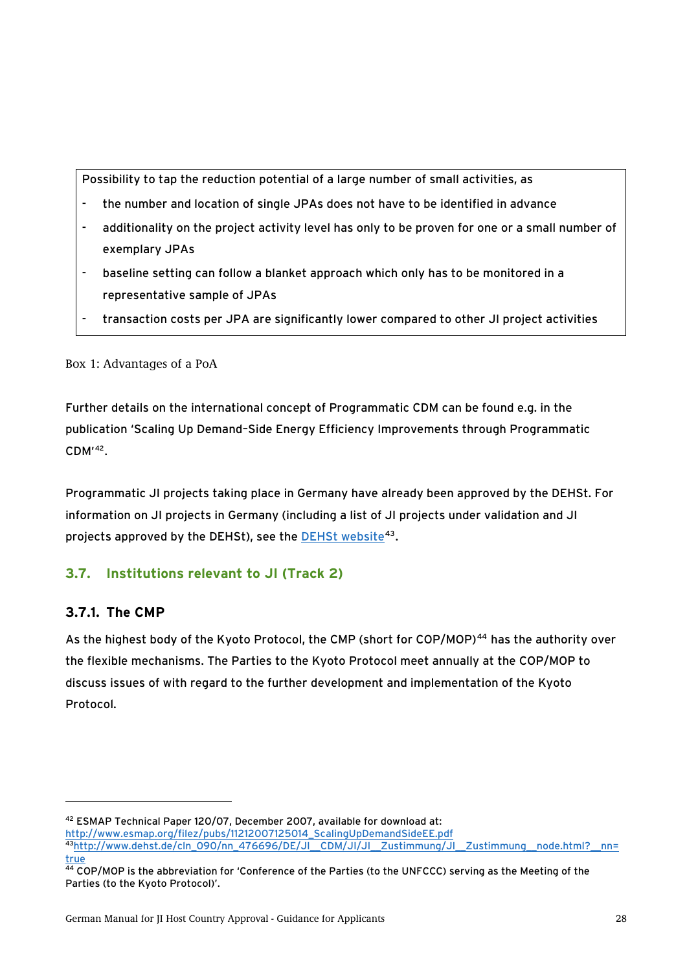<span id="page-27-0"></span>Possibility to tap the reduction potential of a large number of small activities, as

- the number and location of single JPAs does not have to be identified in advance
- additionality on the project activity level has only to be proven for one or a small number of exemplary JPAs
- baseline setting can follow a blanket approach which only has to be monitored in a representative sample of JPAs
- transaction costs per JPA are significantly lower compared to other JI project activities

Box 1: Advantages of a PoA

Further details on the international concept of Programmatic CDM can be found e.g. in the publication ['Scaling Up Demand–Side Energy Efficiency Improvements through Programmatic](http://www.esmap.org/filez/pubs/11212007125014_ScalingUpDemandSideEE.pdf)  [CDM](http://www.esmap.org/filez/pubs/11212007125014_ScalingUpDemandSideEE.pdf)' [42](#page-27-1).

Programmatic JI projects taking place in Germany have already been approved by the DEHSt. For information on JI projects in Germany (including a list of JI projects under validation and JI projects approved by the DEHSt), see the [DEHSt website](http://www.dehst.de/cln_090/nn_476696/DE/JI__CDM/JI/JI__Zustimmung/JI__Zustimmung__node.html?__nnn=true)<sup>[43](#page-27-2)</sup>.

## **3.7. Institutions relevant to JI (Track 2)**

## **3.7.1. The CMP**

 $\ddot{ }$ 

As the highest body of the Kyoto Protocol, the CMP (short for COP/MOP)<sup>[44](#page-27-3)</sup> has the authority over the flexible mechanisms. The Parties to the Kyoto Protocol meet annually at the COP/MOP to discuss issues of with regard to the further development and implementation of the Kyoto Protocol.

<span id="page-27-1"></span><sup>42</sup> ESMAP Technical Paper 120/07, December 2007, available for download at:<br>http://www.esmap.org/filez/pubs/11212007125014\_ScalingUpDemandSideEE.pdf

<span id="page-27-2"></span><sup>43</sup>[http://www.dehst.de/cln\\_090/nn\\_476696/DE/JI\\_\\_CDM/JI/JI\\_\\_Zustimmung/JI\\_\\_Zustimmung\\_\\_node.html?\\_\\_nn=](http://www.dehst.de/cln_090/nn_476696/DE/JI__CDM/JI/JI__Zustimmung/JI__Zustimmung__node.html?__nn=true) [true](http://www.dehst.de/cln_090/nn_476696/DE/JI__CDM/JI/JI__Zustimmung/JI__Zustimmung__node.html?__nn=true)<br><sup>44</sup> COP/MOP is the abbreviation for 'Conference of the Parties (to the UNFCCC) serving as the Meeting of the

<span id="page-27-3"></span>Parties (to the Kyoto Protocol)'.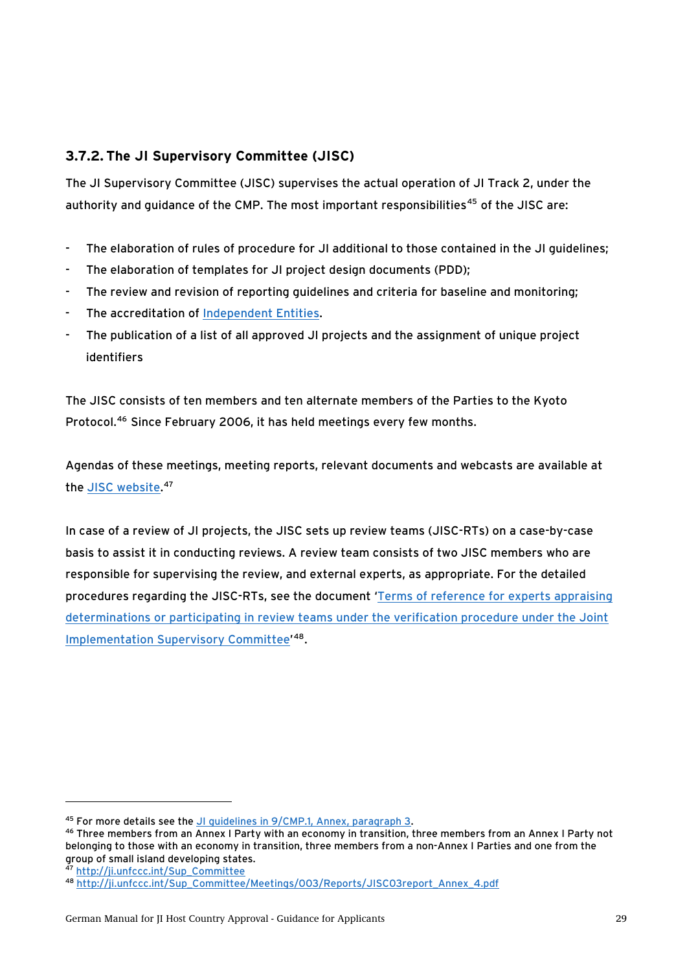## <span id="page-28-0"></span>**3.7.2. The JI Supervisory Committee (JISC)**

The JI Supervisory Committee (JISC) supervises the actual operation of JI Track 2, under the authority and guidance of the CMP. The most important responsibilities<sup>[45](#page-28-1)</sup> of the JISC are:

- The elaboration of rules of procedure for JI additional to those contained in the JI guidelines;
- The elaboration of templates for JI project design documents (PDD);
- The review and revision of reporting guidelines and criteria for baseline and monitoring;
- The accreditation of [Independent Entities.](http://ji.unfccc.int/AIEs)
- The publication of a list of all approved JI projects and the assignment of unique project identifiers

The JISC consists of ten members and ten alternate members of the Parties to the Kyoto Protocol.[46](#page-28-2) Since February 2006, it has held meetings every few months.

Agendas of these meetings, meeting reports, relevant documents and webcasts are available at the <u>JISC website</u>.<sup>[47](#page-28-3)</sup>

In case of a review of JI projects, the JISC sets up review teams (JISC-RTs) on a case-by-case basis to assist it in conducting reviews. A review team consists of two JISC members who are responsible for supervising the review, and external experts, as appropriate. For the detailed procedures regarding the JISC-RTs, see the document ['Terms of reference for experts appraising](http://ji.unfccc.int/Sup_Committee/Meetings/003/Reports/JISC03report_Annex_4.pdf)  [determinations or participating in review teams under the verification procedure under the Joint](http://ji.unfccc.int/Sup_Committee/Meetings/003/Reports/JISC03report_Annex_4.pdf)  [Implementation Supervisory Committee'](http://ji.unfccc.int/Sup_Committee/Meetings/003/Reports/JISC03report_Annex_4.pdf) [48](#page-28-4).

<span id="page-28-2"></span><span id="page-28-1"></span><sup>&</sup>lt;sup>45</sup> For more details see the <u>JI guidelines in 9/CMP.1, Annex, paragraph 3</u>.<br><sup>46</sup> Three members from an Annex I Party with an economy in transition, three members from an Annex I Party not belonging to those with an economy in transition, three members from a non-Annex I Parties and one from the group of small island developing states.

<span id="page-28-4"></span><span id="page-28-3"></span><sup>47</sup> [http://ji.unfccc.int/Sup\\_Committee](http://ji.unfccc.int/Sup_Committee) 48 [http://ji.unfccc.int/Sup\\_Committee/Meetings/003/Reports/JISC03report\\_Annex\\_4.pdf](http://ji.unfccc.int/Sup_Committee/Meetings/003/Reports/JISC03report_Annex_4.pdf)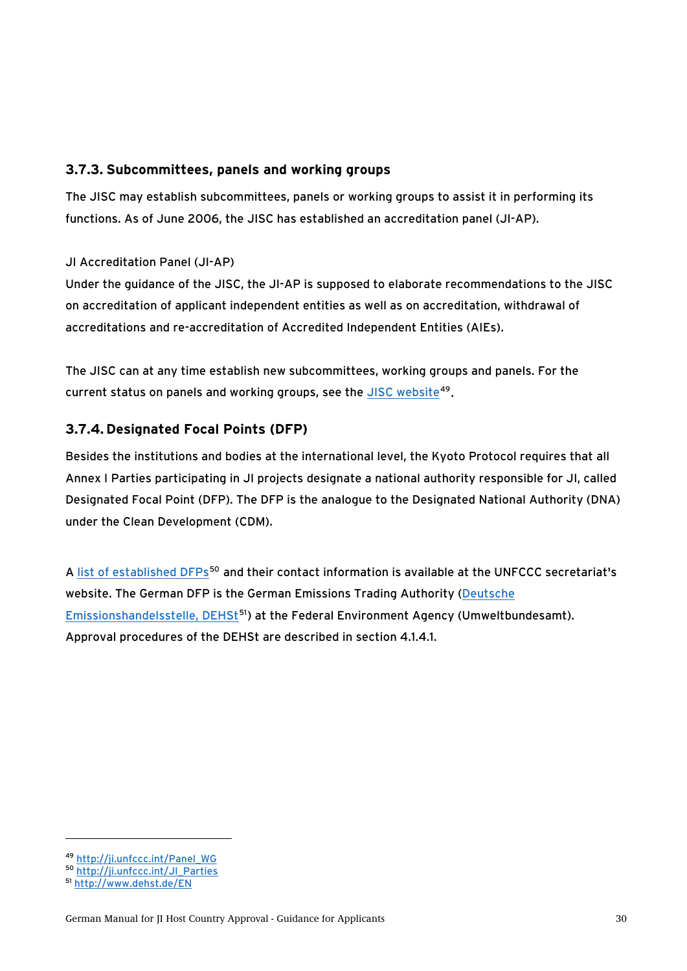## <span id="page-29-0"></span>**3.7.3. Subcommittees, panels and working groups**

The JISC may establish subcommittees, panels or working groups to assist it in performing its functions. As of June 2006, the JISC has established an accreditation panel (JI-AP).

#### JI Accreditation Panel (JI-AP)

Under the guidance of the JISC, the JI-AP is supposed to elaborate recommendations to the JISC on accreditation of applicant independent entities as well as on accreditation, withdrawal of accreditations and re-accreditation of Accredited Independent Entities (AIEs).

The JISC can at any time establish new subcommittees, working groups and panels. For the current status on panels and working groups, see the [JISC website](http://ji.unfccc.int/Panel_WG)<sup>[49](#page-29-1)</sup>.

## **3.7.4. Designated Focal Points (DFP)**

Besides the institutions and bodies at the international level, the Kyoto Protocol requires that all Annex I Parties participating in JI projects designate a national authority responsible for JI, called Designated Focal Point (DFP). The DFP is the analogue to the Designated National Authority (DNA) under the Clean Development (CDM).

A [list of established DFPs](http://ji.unfccc.int/JI_Parties)<sup>[50](#page-29-2)</sup> and their contact information is available at the UNFCCC secretariat's website. The German DFP is the German Emissions Trading Authority ([Deutsche](http://www.dehst.de/EN)  [Emissionshandelsstelle, DEHSt](http://www.dehst.de/EN)<sup>[51](#page-29-3)</sup>) at the Federal Environment Agency (Umweltbundesamt). Approval procedures of the DEHSt are described in section [4.1.4.1](#page-36-1).

<span id="page-29-1"></span><sup>49</sup> http://ji.unfccc.int/Panel\_WG<br><sup>50</sup> http://ji.unfccc.int/JI\_Parties<br><sup>51</sup> <http://www.dehst.de/EN>

<span id="page-29-2"></span>

<span id="page-29-3"></span>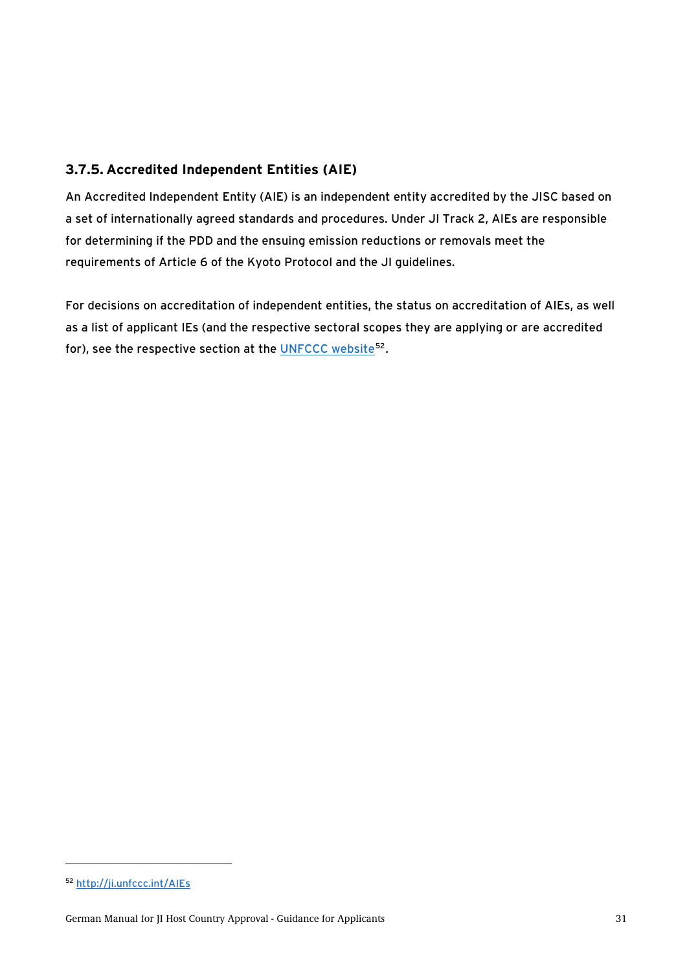## <span id="page-30-0"></span>**3.7.5. Accredited Independent Entities (AIE)**

An Accredited Independent Entity (AIE) is an independent entity accredited by the JISC based on a set of internationally agreed standards and procedures. Under JI Track 2, AIEs are responsible for determining if the PDD and the ensuing emission reductions or removals meet the requirements of Article 6 of the Kyoto Protocol and the JI guidelines.

For decisions on accreditation of independent entities, the status on accreditation of AIEs, as well as a list of applicant IEs (and the respective sectoral scopes they are applying or are accredited for), see the respective section at the [UNFCCC website](http://ji.unfccc.int/AIEs)<sup>[52](#page-30-1)</sup>.

<span id="page-30-1"></span><sup>52</sup> <http://ji.unfccc.int/AIEs>

German Manual for JI Host Country Approval - Guidance for Applicants 31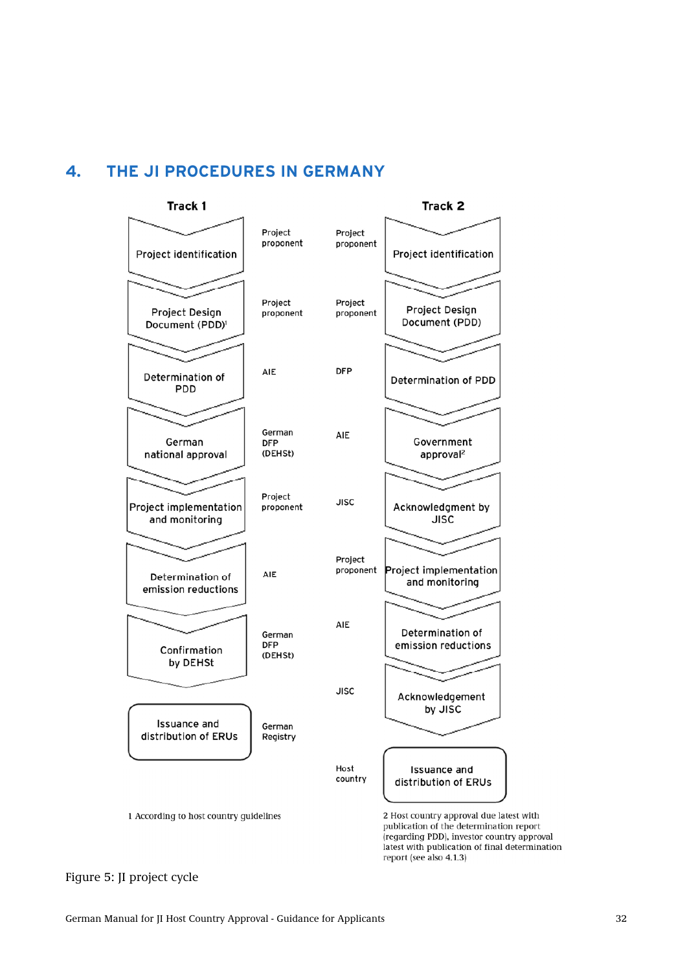## <span id="page-31-1"></span><span id="page-31-0"></span>**4. THE JI PROCEDURES IN GERMANY**



<span id="page-31-2"></span>Figure 5: JI project cycle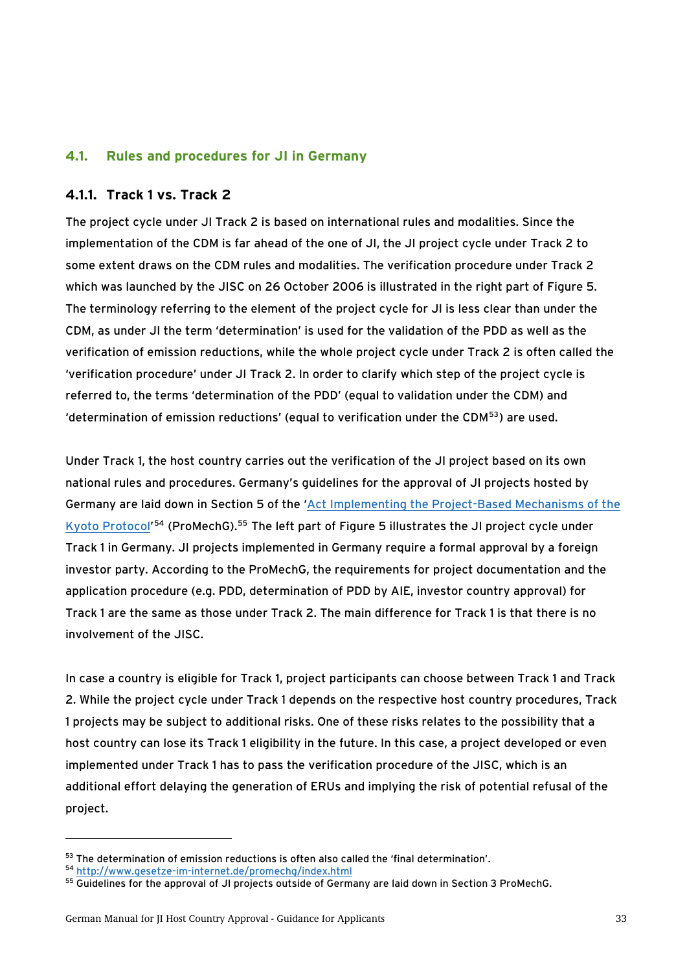#### <span id="page-32-1"></span><span id="page-32-0"></span>**4.1. Rules and procedures for JI in Germany**

#### <span id="page-32-5"></span>**4.1.1. Track 1 vs. Track 2**

The project cycle under JI Track 2 is based on international rules and modalities. Since the implementation of the CDM is far ahead of the one of JI, the JI project cycle under Track 2 to some extent draws on the CDM rules and modalities. The verification procedure under Track 2 which was launched by the JISC on 26 October 2006 is illustrated in the right part of [Figure 5.](#page-31-2) The terminology referring to the element of the project cycle for JI is less clear than under the CDM, as under JI the term 'determination' is used for the validation of the PDD as well as the verification of emission reductions, while the whole project cycle under Track 2 is often called the 'verification procedure' under JI Track 2. In order to clarify which step of the project cycle is referred to, the terms 'determination of the PDD' (equal to validation under the CDM) and 'determination of emission reductions' (equal to verification under the CDM[53](#page-32-2)) are used.

Under Track 1, the host country carries out the verification of the JI project based on its own national rules and procedures. Germany's guidelines for the approval of JI projects hosted by Germany are laid down in Section 5 of the ['Act Implementing the Project-Based Mechanisms of the](http://www.gesetze-im-internet.de/promechg/index.html)  [Kyoto Protocol](http://www.gesetze-im-internet.de/promechg/index.html)'<sup>[54](#page-32-3)</sup> (ProMechG).<sup>[55](#page-32-4)</sup> The left part of [Figure 5](#page-31-2) illustrates the JI project cycle under Track 1 in Germany. JI projects implemented in Germany require a formal approval by a foreign investor party. According to the ProMechG, the requirements for project documentation and the application procedure (e.g. PDD, determination of PDD by AIE, investor country approval) for Track 1 are the same as those under Track 2. The main difference for Track 1 is that there is no involvement of the JISC.

In case a country is eligible for Track 1, project participants can choose between Track 1 and Track 2. While the project cycle under Track 1 depends on the respective host country procedures, Track 1 projects may be subject to additional risks. One of these risks relates to the possibility that a host country can lose its Track 1 eligibility in the future. In this case, a project developed or even implemented under Track 1 has to pass the verification procedure of the JISC, which is an additional effort delaying the generation of ERUs and implying the risk of potential refusal of the project.

<span id="page-32-4"></span><span id="page-32-3"></span>

<span id="page-32-2"></span><sup>&</sup>lt;sup>53</sup> The determination of emission reductions is often also called the 'final determination'.<br><sup>54</sup> <http://www.gesetze-im-internet.de/promechg/index.html><br><sup>55</sup> Guidelines for the approval of JI projects outside of Germany a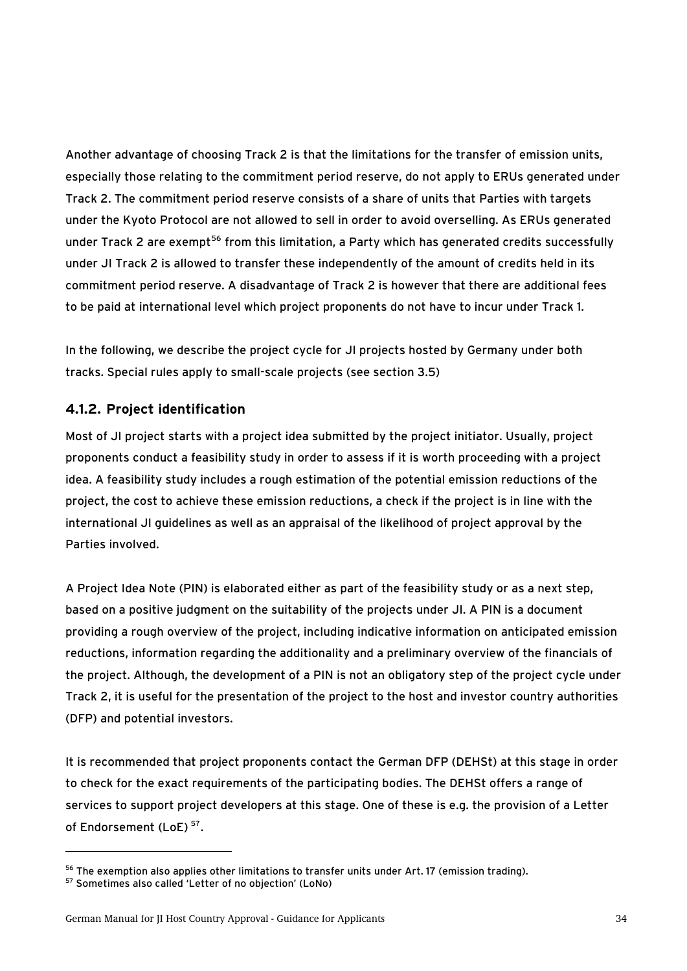<span id="page-33-0"></span>Another advantage of choosing Track 2 is that the limitations for the transfer of emission units, especially those relating to the commitment period reserve, do not apply to ERUs generated under Track 2. The commitment period reserve consists of a share of units that Parties with targets under the Kyoto Protocol are not allowed to sell in order to avoid overselling. As ERUs generated under Track 2 are exempt<sup>[56](#page-33-1)</sup> from this limitation, a Party which has generated credits successfully under JI Track 2 is allowed to transfer these independently of the amount of credits held in its commitment period reserve. A disadvantage of Track 2 is however that there are additional fees to be paid at international level which project proponents do not have to incur under Track 1.

In the following, we describe the project cycle for JI projects hosted by Germany under both tracks. Special rules apply to small-scale projects (see section [3.5\)](#page-23-6)

#### **4.1.2. Project identification**

Most of JI project starts with a project idea submitted by the project initiator. Usually, project proponents conduct a feasibility study in order to assess if it is worth proceeding with a project idea. A feasibility study includes a rough estimation of the potential emission reductions of the project, the cost to achieve these emission reductions, a check if the project is in line with the international JI guidelines as well as an appraisal of the likelihood of project approval by the Parties involved.

A Project Idea Note (PIN) is elaborated either as part of the feasibility study or as a next step, based on a positive judgment on the suitability of the projects under JI. A PIN is a document providing a rough overview of the project, including indicative information on anticipated emission reductions, information regarding the additionality and a preliminary overview of the financials of the project. Although, the development of a PIN is not an obligatory step of the project cycle under Track 2, it is useful for the presentation of the project to the host and investor country authorities (DFP) and potential investors.

It is recommended that project proponents contact the German DFP (DEHSt) at this stage in order to check for the exact requirements of the participating bodies. The DEHSt offers a range of services to support project developers at this stage. One of these is e.g. the provision of a Letter of Endorsement (LoE)<sup>[57](#page-33-2)</sup>.

<span id="page-33-1"></span> $56$  The exemption also applies other limitations to transfer units under Art. 17 (emission trading).<br> $57$  Sometimes also called 'Letter of no objection' (LoNo)

<span id="page-33-2"></span>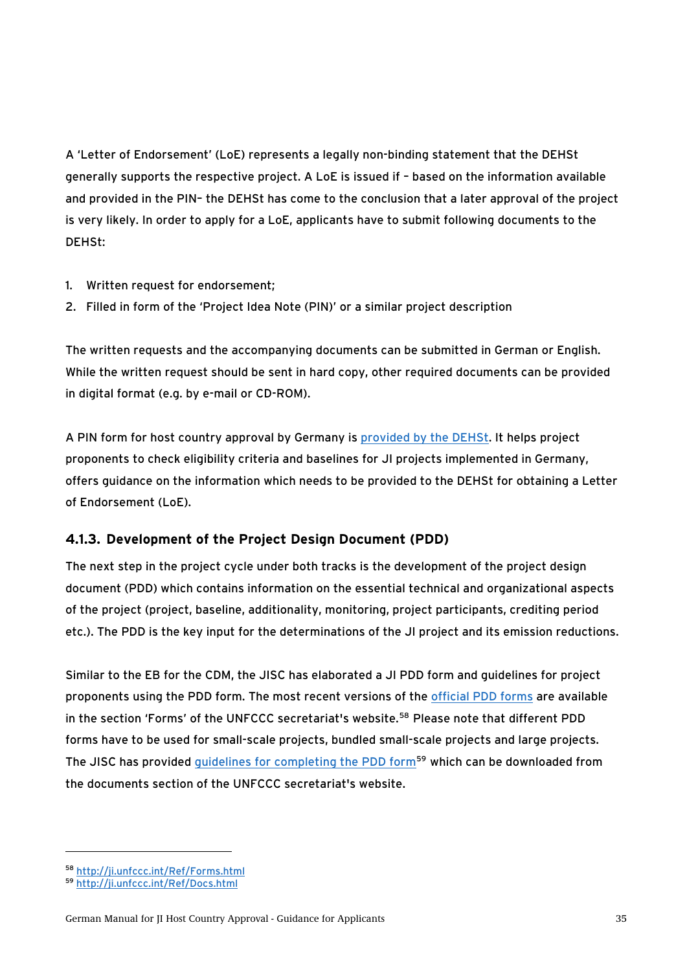<span id="page-34-0"></span>A 'Letter of Endorsement' (LoE) represents a legally non-binding statement that the DEHSt generally supports the respective project. A LoE is issued if – based on the information available and provided in the PIN– the DEHSt has come to the conclusion that a later approval of the project is very likely. In order to apply for a LoE, applicants have to submit following documents to the DEHSt:

- 1. Written request for endorsement;
- 2. Filled in form of the 'Project Idea Note (PIN)' or a similar project description

The written requests and the accompanying documents can be submitted in German or English. While the written request should be sent in hard copy, other required documents can be provided in digital format (e.g. by e-mail or CD-ROM).

A PIN form for host country approval by Germany is [provided by the DEHSt.](http://www.dehst.de/JI) It helps project proponents to check eligibility criteria and baselines for JI projects implemented in Germany, offers guidance on the information which needs to be provided to the DEHSt for obtaining a Letter of Endorsement (LoE).

## **4.1.3. Development of the Project Design Document (PDD)**

The next step in the project cycle under both tracks is the development of the project design document (PDD) which contains information on the essential technical and organizational aspects of the project (project, baseline, additionality, monitoring, project participants, crediting period etc.). The PDD is the key input for the determinations of the JI project and its emission reductions.

Similar to the EB for the CDM, the JISC has elaborated a JI PDD form and guidelines for project proponents using the PDD form. The most recent versions of the [official PDD forms](http://ji.unfccc.int/Ref/Forms.html) are available in the section 'Forms' of the UNFCCC secretariat's website.[58](#page-34-1) Please note that different PDD forms have to be used for small-scale projects, bundled small-scale projects and large projects. The JISC has provided <u>[guidelines for completing the PDD form](http://ji.unfccc.int/Ref/Docs.html)</u><sup>[59](#page-34-2)</sup> which can be downloaded from the documents section of the UNFCCC secretariat's websi te.

<span id="page-34-2"></span><span id="page-34-1"></span><sup>58</sup> <http://ji.unfccc.int/Ref/Forms.html><br>59 <http://ji.unfccc.int/Ref/Docs.html>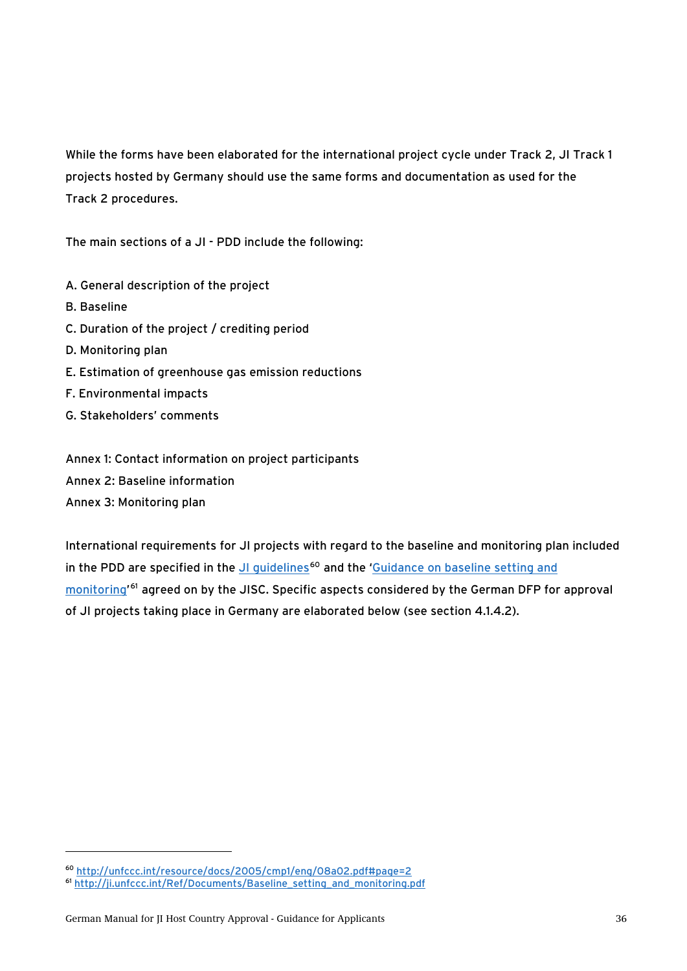While the forms have been elaborated for the international project cycle under Track 2, JI Track 1 projects hosted by Germany should use the same forms and documentation as used for the Track 2 procedures.

The main sections of a JI - PDD include the following:

- A. General description of the project
- B. Baseline

 $\ddot{ }$ 

- C. Duration of the project / crediting period
- D. Monitoring plan
- E. Estimation of greenhouse gas emission reductions
- F. Environmental impacts
- G. Stakeholders' comments

Annex 1: Contact information on project participants Annex 2: Baseline information Annex 3: Monitoring plan

International requirements for JI projects with regard to the baseline and monitoring plan included in the PDD are specified in the JI quidelines<sup>[60](#page-35-0)</sup> and the 'Guidance on baseline setting and [monitoring'](http://ji.unfccc.int/Ref/Documents/Baseline_setting_and_monitoring.pdf) [61](#page-35-1) agreed on by the JISC. Specific aspects considered by the German DFP for approval of JI projects taking place in Germany are elaborated below (see section [4.1.4.2\)](#page-38-0).

<sup>60</sup> <http://unfccc.int/resource/docs/2005/cmp1/eng/08a02.pdf#page=2>

<span id="page-35-1"></span><span id="page-35-0"></span><sup>61</sup> [http://ji.unfccc.int/Ref/Documents/Baseline\\_setting\\_and\\_monitoring.pdf](http://ji.unfccc.int/Ref/Documents/Baseline_setting_and_monitoring.pdf)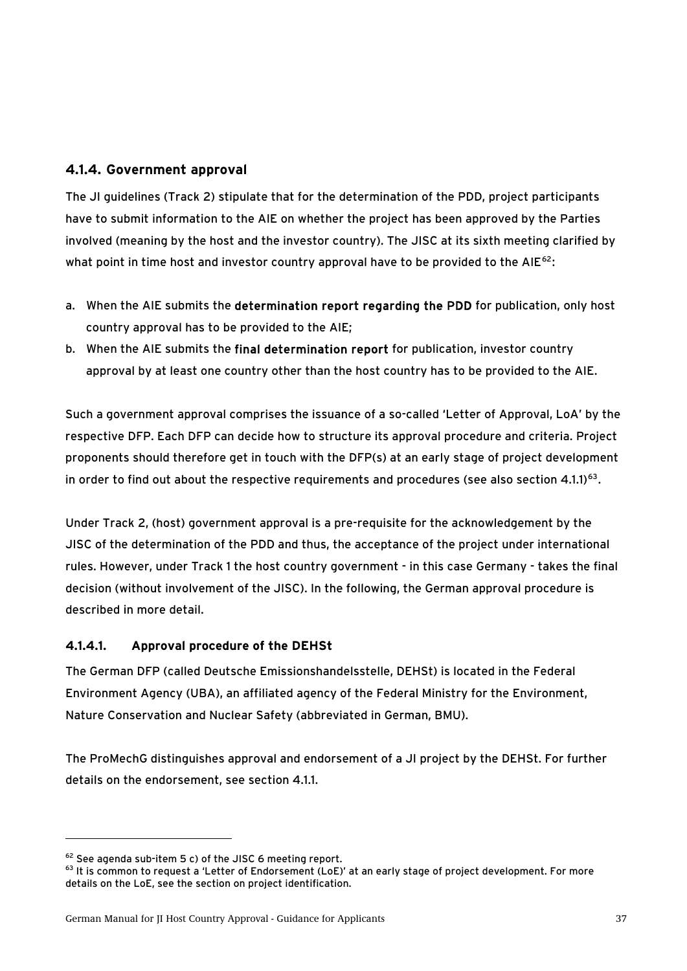## <span id="page-36-0"></span>**4.1.4. Government approval**

The JI guidelines (Track 2) stipulate that for the determination of the PDD, project participants have to submit information to the AIE on whether the project has been approved by the Parties involved (meaning by the host and the investor country). The JISC at its sixth meeting clarified by what point in time host and investor country approval have to be provided to the AIE $^{62}$  $^{62}$  $^{62}$ :

- a. When the AIE submits the determination report regarding the PDD for publication, only host country approval has to be provided to the AIE;
- b. When the AIE submits the final determination report for publication, investor country approval by at least one country other than the host country has to be provided to the AIE.

Such a government approval comprises the issuance of a so-called 'Letter of Approval, LoA' by the respective DFP. Each DFP can decide how to structure its approval procedure and criteria. Project proponents should therefore get in touch with the DFP(s) at an early stage of project development in order to find out about the respective requirements and procedures (see also section [4.1.1\)](#page-32-5)<sup>[63](#page-36-3)</sup>.

Under Track 2, (host) government approval is a pre-requisite for the acknowledgement by the JISC of the determination of the PDD and thus, the acceptance of the project under international rules. However, under Track 1 the host country government - in this case Germany - takes the final decision (without involvement of the JISC). In the following, the German approval procedure is described in more detail.

## <span id="page-36-4"></span><span id="page-36-1"></span>**4.1.4.1. Approval procedure of the DEHSt**

The German DFP (called Deutsche Emissionshandelsstelle, DEHSt) is located in the Federal Environment Agency (UBA), an affiliated agency of the Federal Ministry for the Environment, Nature Conservation and Nuclear Safety (abbreviated in German, BMU).

The ProMechG distinguishes approval and endorsement of a JI project by the DEHSt. For further details on the endorsement, see section [4.1.1](#page-32-5).

<span id="page-36-2"></span><sup>62</sup> See agenda sub-item 5 c) of the JISC 6 meeting report.

<span id="page-36-3"></span><sup>&</sup>lt;sup>63</sup> It is common to request a 'Letter of Endorsement (LoE)' at an early stage of project development. For more details on the LoE, see the section on project identification.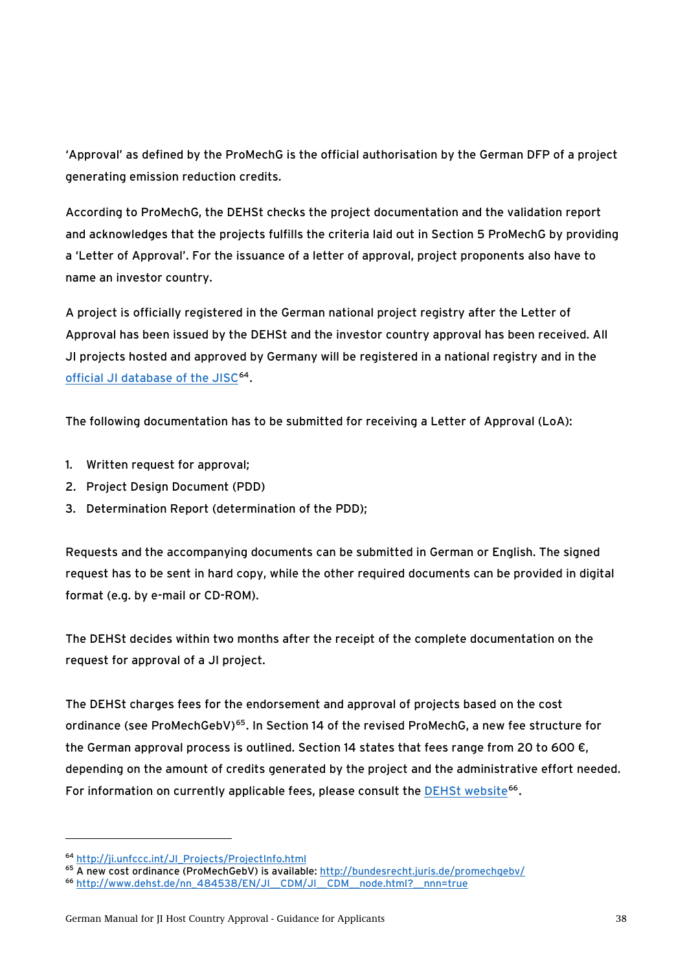'Approval' as defined by the ProMechG is the official authorisation by the German DFP of a project generating emission reduction credits.

According to ProMechG, the DEHSt checks the project documentation and the validation report and acknowledges that the projects fulfills the criteria laid out in Section 5 ProMechG by providing a 'Letter of Approval'. For the issuance of a letter of approval, project proponents also have to name an investor country.

A project is officially registered in the German national project registry after the Letter of Approval has been issued by the DEHSt and the investor country approval has been received. All JI projects hosted and approved by Germany will be registered in a national registry and in the [official JI database of the JISC](http://ji.unfccc.int/JI_Projects/ProjectInfo.html)<sup>[64](#page-37-0)</sup>.

The following documentation has to be submitted for receiving a Letter of Approval (LoA):

- 1. Written request for approval;
- 2. Project Design Document (PDD)
- 3. Determination Report (determination of the PDD);

Requests and the accompanying documents can be submitted in German or English. The signed request has to be sent in hard copy, while the other required documents can be provided in digital format (e.g. by e-mail or CD-ROM).

The DEHSt decides within two months after the receipt of the complete documentation on the request for approval of a JI project.

The DEHSt charges fees for the endorsement and approval of projects based on the cost ordinance (see ProMechGebV)<sup>[65](#page-37-1)</sup>. In Section 14 of the revised ProMechG, a new fee structure for the German approval process is outlined. Section 14 states that fees range from 20 to 600 €, depending on the amount of credits generated by the project and the administrative effort needed. For information on currently applicable fees, please consult the [DEHSt website](http://www.dehst.de/nn_484538/EN/JI__CDM/JI__CDM__node.html?__nnn=true)<sup>[66](#page-37-2)</sup>.

<span id="page-37-0"></span><sup>64</sup> [http://ji.unfccc.int/JI\\_Projects/ProjectInfo.html](http://ji.unfccc.int/JI_Projects/ProjectInfo.html)

<span id="page-37-1"></span><sup>&</sup>lt;sup>65</sup> A new cost ordinance (ProMechGebV) is available:<http://bundesrecht.juris.de/promechgebv/><br><sup>66</sup> [http://www.dehst.de/nn\\_484538/EN/JI\\_\\_CDM/JI\\_\\_CDM\\_\\_node.html?\\_\\_nnn=true](http://www.dehst.de/nn_484538/EN/JI__CDM/JI__CDM__node.html?__nnn=true)

<span id="page-37-2"></span>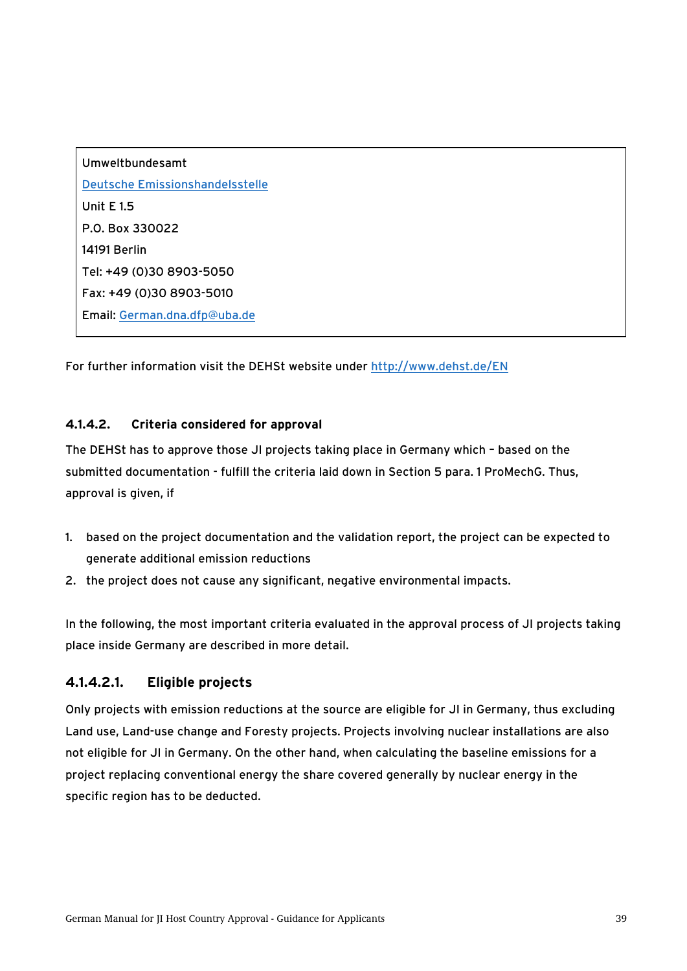Umweltbundesamt [Deutsche Emissionshandelsstelle](http://www.dehst.de/) Unit E 1.5 P.O. Box 330022 14191 Berlin Tel: +49 (0)30 8903-5050 Fax: +49 (0)30 8903-5010 Email: [German.dna.dfp@uba.de](mailto:German.dna.dfp@uba.de)

For further information visit the DEHSt website under <http://www.dehst.de/EN>

#### <span id="page-38-0"></span>**4.1.4.2. Criteria considered for approval**

The DEHSt has to approve those JI projects taking place in Germany which – based on the submitted documentation - fulfill the criteria laid down in Section 5 para. 1 ProMechG. Thus, approval is given, if

- 1. based on the project documentation and the validation report, the project can be expected to generate additional emission reductions
- 2. the project does not cause any significant, negative environmental impacts.

In the following, the most important criteria evaluated in the approval process of JI projects taking place inside Germany are described in more detail.

## **4.1.4.2.1. Eligible projects**

Only projects with emission reductions at the source are eligible for JI in Germany, thus excluding Land use, Land-use change and Foresty projects. Projects involving nuclear installations are also not eligible for JI in Germany. On the other hand, when calculating the baseline emissions for a project replacing conventional energy the share covered generally by nuclear energy in the specific region has to be deducted.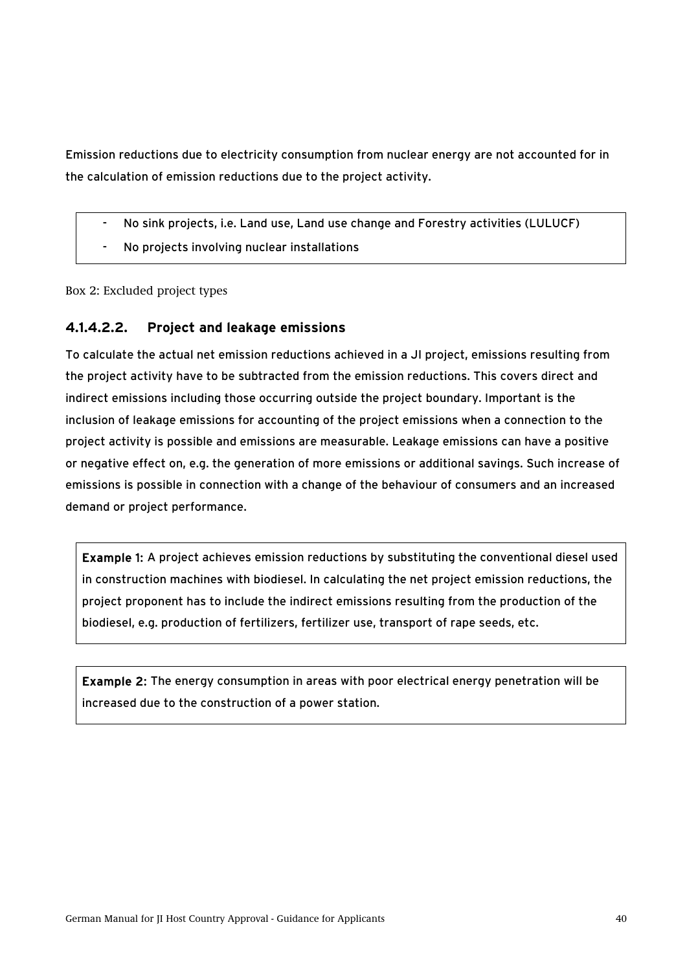Emission reductions due to electricity consumption from nuclear energy are not accounted for in the calculation of emission reductions due to the project activity.

- No sink projects, i.e. Land use, Land use change and Forestry activities (LULUCF)
- No projects involving nuclear installations

Box 2: Excluded project types

## **4.1.4.2.2. Project and leakage emissions**

To calculate the actual net emission reductions achieved in a JI project, emissions resulting from the project activity have to be subtracted from the emission reductions. This covers direct and indirect emissions including those occurring outside the project boundary. Important is the inclusion of leakage emissions for accounting of the project emissions when a connection to the project activity is possible and emissions are measurable. Leakage emissions can have a positive or negative effect on, e.g. the generation of more emissions or additional savings. Such increase of emissions is possible in connection with a change of the behaviour of consumers and an increased demand or project performance.

Example 1: A project achieves emission reductions by substituting the conventional diesel used in construction machines with biodiesel. In calculating the net project emission reductions, the project proponent has to include the indirect emissions resulting from the production of the biodiesel, e.g. production of fertilizers, fertilizer use, transport of rape seeds, etc.

Example 2: The energy consumption in areas with poor electrical energy penetration will be increased due to the construction of a power station.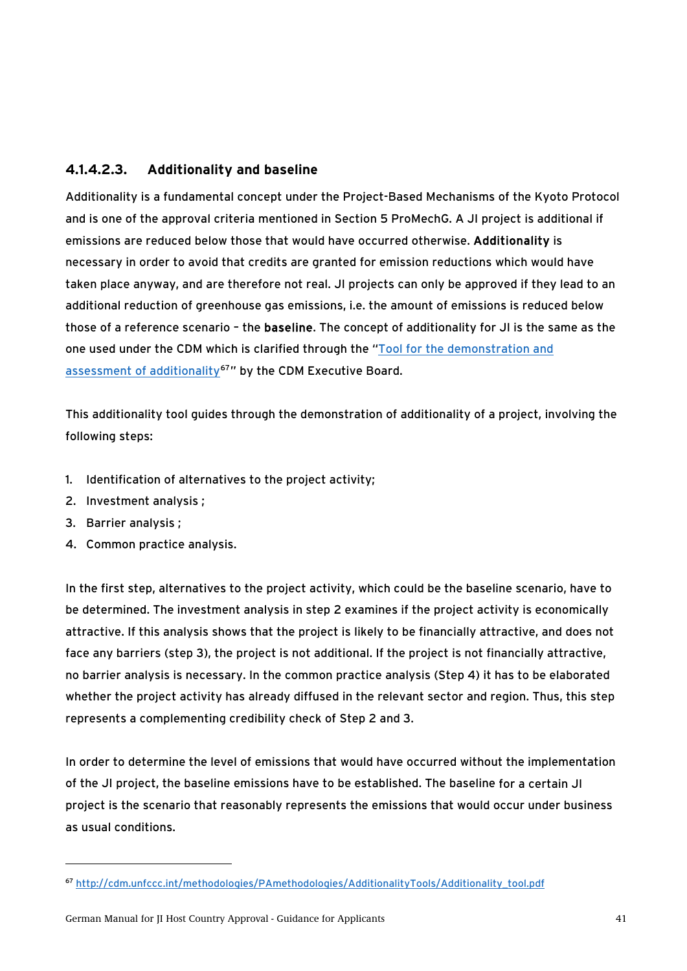## **4.1.4.2.3. Additionality and baseline**

Additionality is a fundamental concept under the Project-Based Mechanisms of the Kyoto Protocol and is one of the approval criteria mentioned in Section 5 ProMechG. A JI project is additional if emissions are reduced below those that would have occurred otherwise. Additionality is necessary in order to avoid that credits are granted for emission reductions which would have taken place anyway, and are therefore not real. JI projects can only be approved if they lead to an additional reduction of greenhouse gas emissions, i.e. the amount of emissions is reduced below those of a reference scenario – the baseline. The concept of additionality for JI is the same as the one used under the CDM which is clarified through the ["Tool for the demonstration and](http://cdm.unfccc.int/methodologies/PAmethodologies/AdditionalityTools/Additionality_tool.pdf)  [assessment of additionality](http://cdm.unfccc.int/methodologies/PAmethodologies/AdditionalityTools/Additionality_tool.pdf)<sup>[67](#page-40-0)</sup>" by the CDM Executive Board.

This additionality tool guides through the demonstration of additionality of a project, involving the following steps:

- 1. Identification of alternatives to the project activity;
- 2. Investment analysis ;
- 3. Barrier analysis ;

 $\ddot{ }$ 

4. Common practice analysis.

In the first step, alternatives to the project activity, which could be the baseline scenario, have to be determined. The investment analysis in step 2 examines if the project activity is economically attractive. If this analysis shows that the project is likely to be financially attractive, and does not face any barriers (step 3), the project is not additional. If the project is not financially attractive, no barrier analysis is necessary. In the common practice analysis (Step 4) it has to be elaborated whether the project activity has already diffused in the relevant sector and region. Thus, this step represents a complementing credibility check of Step 2 and 3.

<span id="page-40-1"></span>In order to determine the level of emissions that would have occurred without the implementation of the JI project, the baseline emissions have to be established. The baseline for a certain JI project is the scenario that reasonably represents the emissions that would occur under business as usual conditions.

<span id="page-40-0"></span><sup>67</sup> [http://cdm.unfccc.int/methodologies/PAmethodologies/AdditionalityTools/Additionality\\_tool.pdf](http://cdm.unfccc.int/methodologies/PAmethodologies/AdditionalityTools/Additionality_tool.pdf)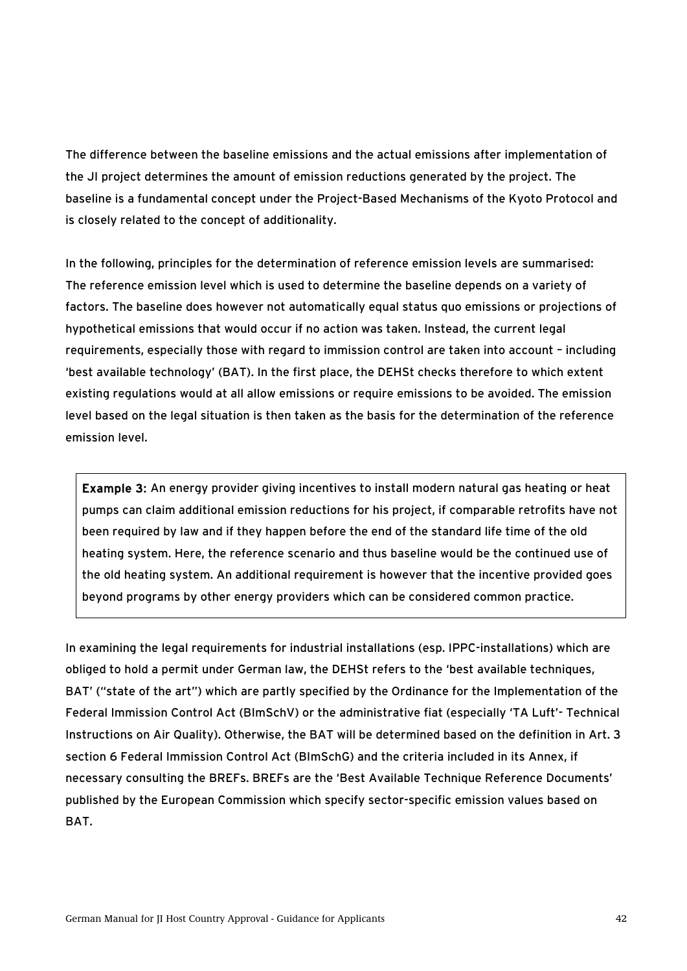The difference between the baseline emissions and the actual emissions after implementation of the JI project determines the amount of emission reductions generated by the project. The baseline is a fundamental concept under the Project-Based Mechanisms of the Kyoto Protocol and is closely related to the concept of additionality.

In the following, principles for the determination of reference emission levels are summarised: The reference emission level which is used to determine the baseline depends on a variety of factors. The baseline does however not automatically equal status quo emissions or projections of hypothetical emissions that would occur if no action was taken. Instead, the current legal requirements, especially those with regard to immission control are taken into account – including 'best available technology' (BAT). In the first place, the DEHSt checks therefore to which extent existing regulations would at all allow emissions or require emissions to be avoided. The emission level based on the legal situation is then taken as the basis for the determination of the reference emission level.

Example 3: An energy provider giving incentives to install modern natural gas heating or heat pumps can claim additional emission reductions for his project, if comparable retrofits have not been required by law and if they happen before the end of the standard life time of the old heating system. Here, the reference scenario and thus baseline would be the continued use of the old heating system. An additional requirement is however that the incentive provided goes beyond programs by other energy providers which can be considered common practice.

In examining the legal requirements for industrial installations (esp. IPPC-installations) which are obliged to hold a permit under German law, the DEHSt refers to the 'best available techniques, BAT' ("state of the art") which are partly specified by the Ordinance for the Implementation of the Federal Immission Control Act (BImSchV) or the administrative fiat (especially 'TA Luft'- Technical Instructions on Air Quality). Otherwise, the BAT will be determined based on the definition in Art. 3 section 6 [Federal Immission Control Act](http://www.bmu.de/english/acts_ordinances/doc/40883.php) (BImSchG) and the criteria included in its Annex, if necessary consulting the BREFs. BREFs are the 'Best Available Technique Reference Documents' published by the European Commission which specify sector-specific emission values based on BAT.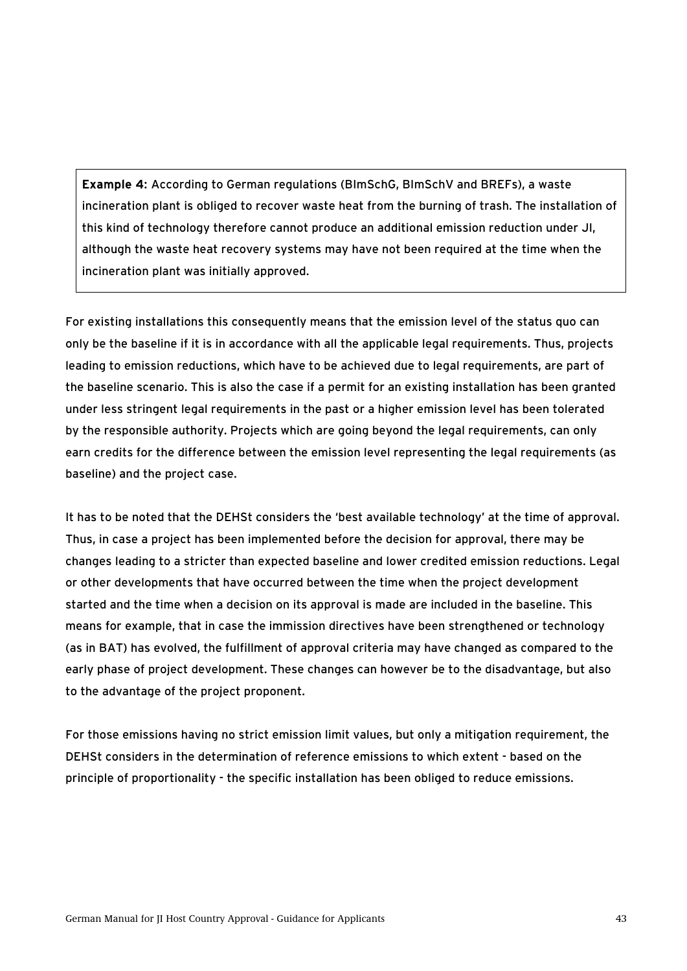Example 4: According to German regulations (BImSchG, BImSchV and BREFs), a waste incineration plant is obliged to recover waste heat from the burning of trash. The installation of this kind of technology therefore cannot produce an additional emission reduction under JI, although the waste heat recovery systems may have not been required at the time when the incineration plant was initially approved.

For existing installations this consequently means that the emission level of the status quo can only be the baseline if it is in accordance with all the applicable legal requirements. Thus, projects leading to emission reductions, which have to be achieved due to legal requirements, are part of the baseline scenario. This is also the case if a permit for an existing installation has been granted under less stringent legal requirements in the past or a higher emission level has been tolerated by the responsible authority. Projects which are going beyond the legal requirements, can only earn credits for the difference between the emission level representing the legal requirements (as baseline) and the project case.

It has to be noted that the DEHSt considers the 'best available technology' at the time of approval. Thus, in case a project has been implemented before the decision for approval, there may be changes leading to a stricter than expected baseline and lower credited emission reductions. Legal or other developments that have occurred between the time when the project development started and the time when a decision on its approval is made are included in the baseline. This means for example, that in case the immission directives have been strengthened or technology (as in BAT) has evolved, the fulfillment of approval criteria may have changed as compared to the early phase of project development. These changes can however be to the disadvantage, but also to the advantage of the project proponent.

For those emissions having no strict emission limit values, but only a mitigation requirement, the DEHSt considers in the determination of reference emissions to which extent - based on the principle of proportionality - the specific installation has been obliged to reduce emissions.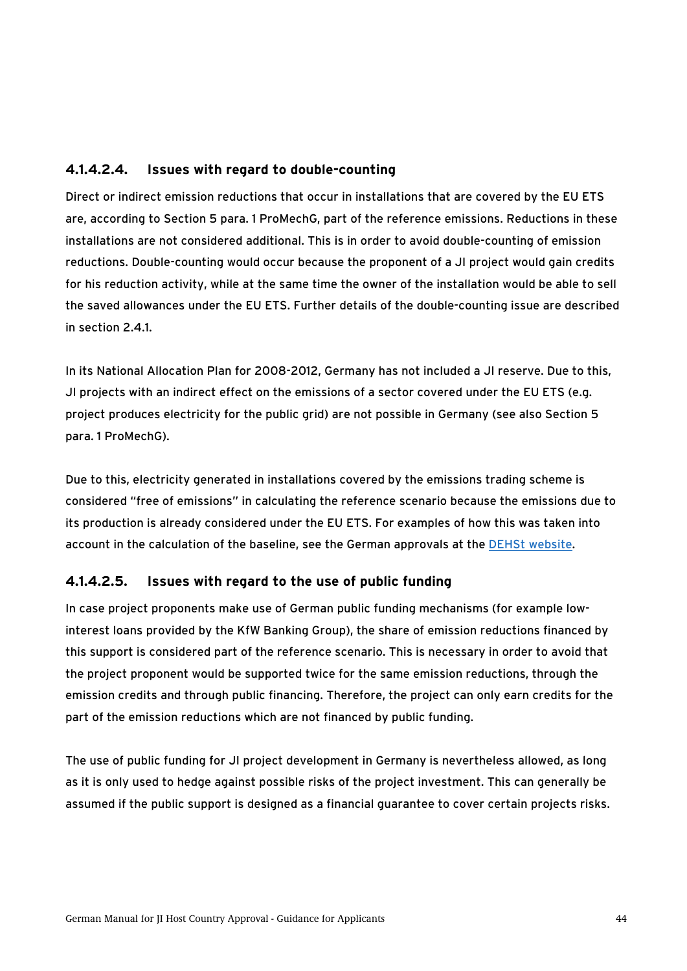#### **4.1.4.2.4. Issues with regard to double-counting**

Direct or indirect emission reductions that occur in installations that are covered by the EU ETS are, according to Section 5 para. 1 ProMechG, part of the reference emissions. Reductions in these installations are not considered additional. This is in order to avoid double-counting of emission reductions. Double-counting would occur because the proponent of a JI project would gain credits for his reduction activity, while at the same time the owner of the installation would be able to sell the saved allowances under the EU ETS. Further details of the double-counting issue are described in section [2.4.1](#page-11-1).

In its National Allocation Plan for 2008-2012, Germany has not included a JI reserve. Due to this, JI projects with an indirect effect on the emissions of a sector covered under the EU ETS (e.g. project produces electricity for the public grid) are not possible in Germany (see also Section 5 para. 1 ProMechG).

Due to this, electricity generated in installations covered by the emissions trading scheme is considered "free of emissions" in calculating the reference scenario because the emissions due to its production is already considered under the EU ETS. For examples of how this was taken into account in the calculation of the baseline, see the German approvals at the [DEHSt website](http://www.dehst.de/cln_090/nn_689398/DE/JI__CDM/JI/JI__Zustimmung/JI__Zustimmung__node.html?__nnn=true).

#### **4.1.4.2.5. Issues with regard to the use of public funding**

In case project proponents make use of German public funding mechanisms (for example lowinterest loans provided by the KfW Banking Group), the share of emission reductions financed by this support is considered part of the reference scenario. This is necessary in order to avoid that the project proponent would be supported twice for the same emission reductions, through the emission credits and through public financing. Therefore, the project can only earn credits for the part of the emission reductions which are not financed by public funding.

The use of public funding for JI project development in Germany is nevertheless allowed, as long as it is only used to hedge against possible risks of the project investment. This can generally be assumed if the public support is designed as a financial guarantee to cover certain projects risks.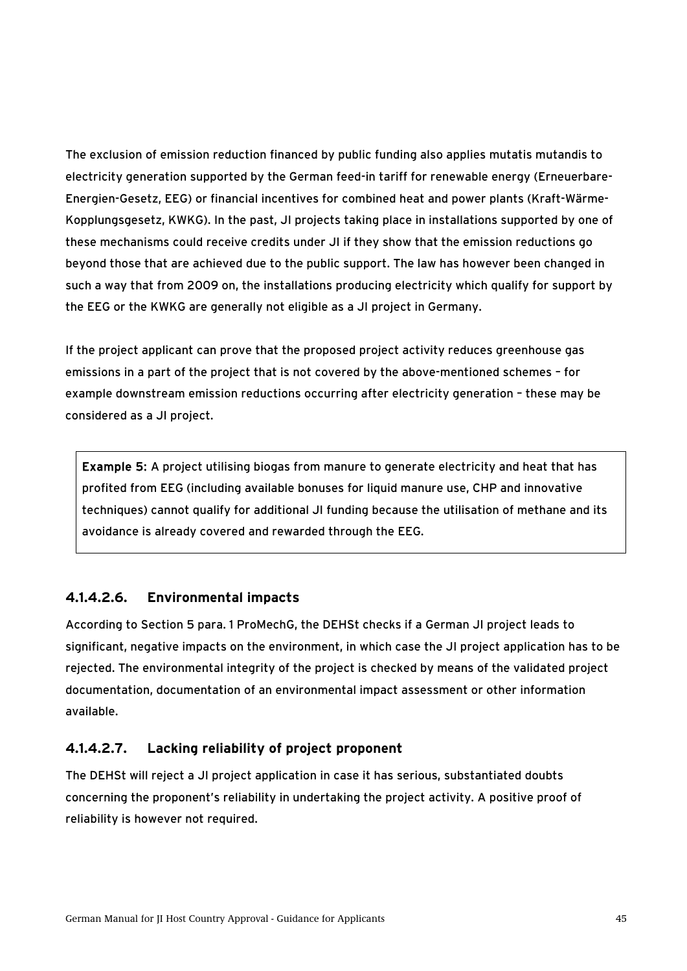The exclusion of emission reduction financed by public funding also applies mutatis mutandis to electricity generation supported by the German feed-in tariff for renewable energy (Erneuerbare-Energien-Gesetz, EEG) or financial incentives for combined heat and power plants (Kraft-Wärme-Kopplungsgesetz, KWKG). In the past, JI projects taking place in installations supported by one of these mechanisms could receive credits under JI if they show that the emission reductions go beyond those that are achieved due to the public support. The law has however been changed in such a way that from 2009 on, the installations producing electricity which qualify for support by the EEG or the KWKG are generally not eligible as a JI project in Germany.

If the project applicant can prove that the proposed project activity reduces greenhouse gas emissions in a part of the project that is not covered by the above-mentioned schemes – for example downstream emission reductions occurring after electricity generation – these may be considered as a JI project.

Example 5: A project utilising biogas from manure to generate electricity and heat that has profited from EEG (including available bonuses for liquid manure use, CHP and innovative techniques) cannot qualify for additional JI funding because the utilisation of methane and its avoidance is already covered and rewarded through the EEG.

## **4.1.4.2.6. Environmental impacts**

According to Section 5 para. 1 ProMechG, the DEHSt checks if a German JI project leads to significant, negative impacts on the environment, in which case the JI project application has to be rejected. The environmental integrity of the project is checked by means of the validated project documentation, documentation of an environmental impact assessment or other information available.

## **4.1.4.2.7. Lacking reliability of project proponent**

The DEHSt will reject a JI project application in case it has serious, substantiated doubts concerning the proponent's reliability in undertaking the project activity. A positive proof of reliability is however not required.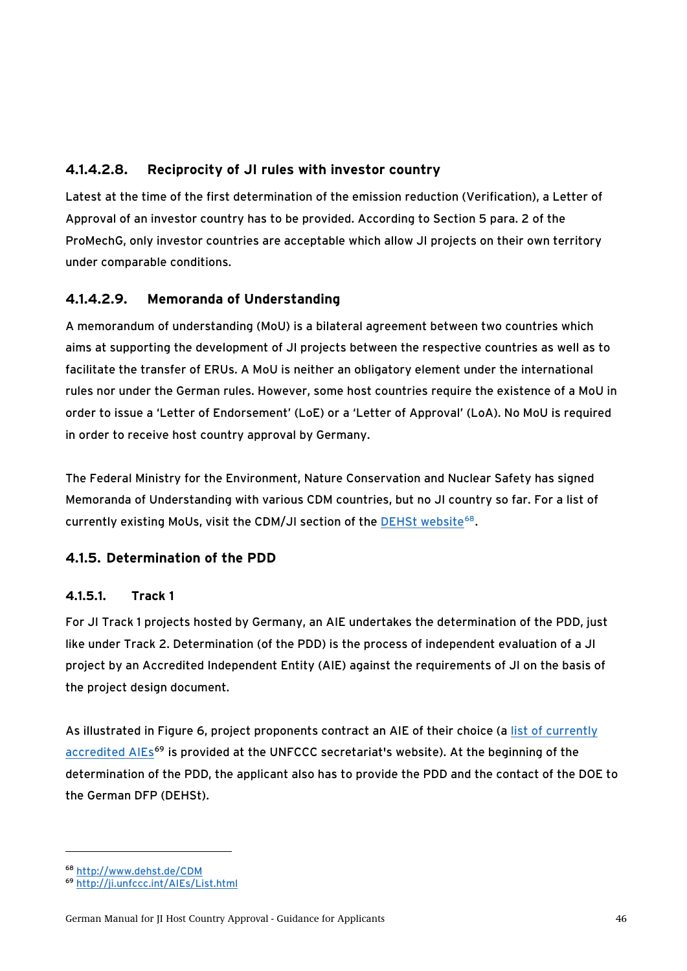## <span id="page-45-0"></span>**4.1.4.2.8. Reciprocity of JI rules with investor country**

Latest at the time of the first determination of the emission reduction (Verification), a Letter of Approval of an investor country has to be provided. According to Section 5 para. 2 of the ProMechG, only investor countries are acceptable which allow JI projects on their own territory under comparable conditions.

## **4.1.4.2.9. Memoranda of Understanding**

A memorandum of understanding (MoU) is a bilateral agreement between two countries which aims at supporting the development of JI projects between the respective countries as well as to facilitate the transfer of ERUs. A MoU is neither an obligatory element under the international rules nor under the German rules. However, some host countries require the existence of a MoU in order to issue a 'Letter of Endorsement' (LoE) or a 'Letter of Approval' (LoA). No MoU is required in order to receive host country approval by Germany.

The Federal Ministry for the Environment, Nature Conservation and Nuclear Safety has signed Memoranda of Understanding with various CDM countries, but no JI country so far. For a list of currently existing MoUs, visit the CDM/JI section of the [DEHSt website](http://www.dehst.de/CDM)<sup>[68](#page-45-1)</sup>.

## **4.1.5. Determination of the PDD**

## **4.1.5.1. Track 1**

For JI Track 1 projects hosted by Germany, an AIE undertakes the determination of the PDD, just like under Track 2. Determination (of the PDD) is the process of independent evaluation of a JI project by an Accredited Independent Entity (AIE) against the requirements of JI on the basis of the project design document.

As illustrated in [Figure 6](#page-46-1), project proponents contract an AIE of their choice (a [list of currently](http://ji.unfccc.int/AIEs/List.html)  [accredited AIEs](http://ji.unfccc.int/AIEs/List.html)<sup>[69](#page-45-2)</sup> is provided at the UNFCCC secretariat's website). At the beginning of the determination of the PDD, the applicant also has to provide the PDD and the contact of the DOE to the German DFP (DEHSt).

<span id="page-45-1"></span><sup>68</sup> <http://www.dehst.de/CDM>

<span id="page-45-2"></span><sup>69</sup> <http://ji.unfccc.int/AIEs/List.html>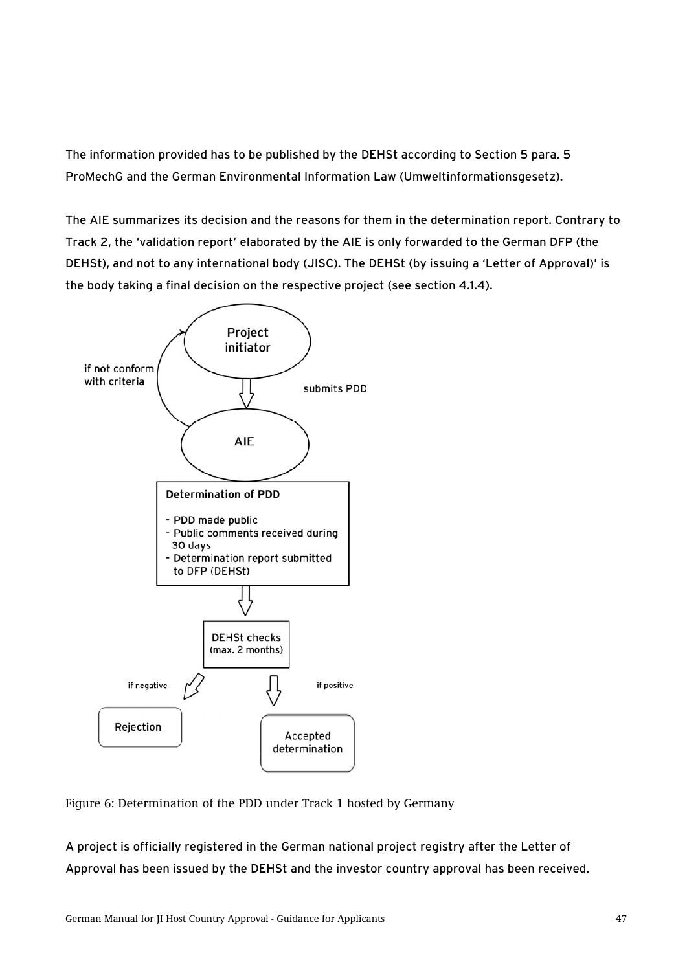<span id="page-46-0"></span>The information provided has to be published by the DEHSt according to Section 5 para. 5 ProMechG and the German Environmental Information Law (Umweltinformationsgesetz).

The AIE summarizes its decision and the reasons for them in the determination report. Contrary to Track 2, the 'validation report' elaborated by the AIE is only forwarded to the German DFP (the DEHSt), and not to any international body (JISC). The DEHSt (by issuing a 'Letter of Approval)' is the body taking a final decision on the respective project (see section [4.1.4\)](#page-36-4).



<span id="page-46-1"></span>Figure 6: Determination of the PDD under Track 1 hosted by Germany

A project is officially registered in the German national project registry after the Letter of Approval has been issued by the DEHSt and the investor country approval has been received.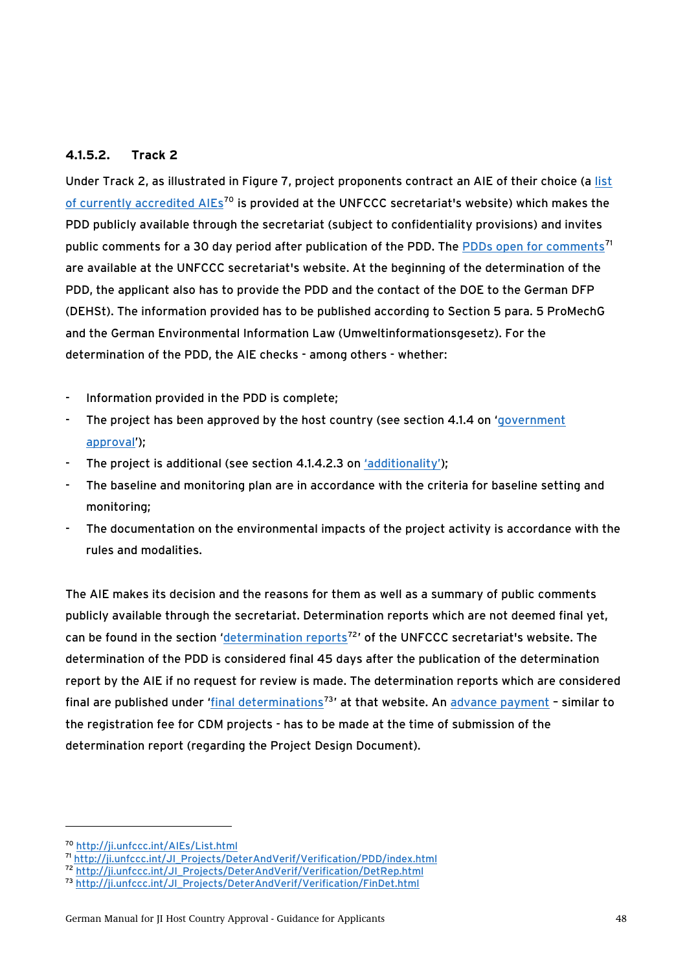#### **4.1.5.2. Track 2**

Under Track 2, as illustrated in [Figure 7](#page-48-1), project proponents contract an AIE of their choice (a [list](http://ji.unfccc.int/AIEs/List.html)  [of currently accredited AIEs](http://ji.unfccc.int/AIEs/List.html)<sup>[70](#page-47-0)</sup> is provided at the UNFCCC secretariat's website) which makes the PDD publicly available through the secretariat (subject to confidentiality provisions) and invites public comments for a 30 day period after publication of the PDD. The [PDDs open for comments](http://ji.unfccc.int/JI_Projects/DeterAndVerif/Verification/PDD/index.html)<sup>[71](#page-47-1)</sup> are available at the UNFCCC secretariat's website. At the beginning of the determination of the PDD, the applicant also has to provide the PDD and the contact of the DOE to the German DFP (DEHSt). The information provided has to be published according to Section 5 para. 5 ProMechG and the German Environmental Information Law (Umweltinformationsgesetz). For the determination of the PDD, the AIE checks - among others - whether:

- Information provided in the PDD is complete;
- The project has been approved by the host country (see section [4.1.4](#page-36-4) on 'government [approval](#page-0-0)');
- The project is additional (see section [4.1.4.2.3](#page-40-1) on ['additionality'](#page-0-0));
- The baseline and monitoring plan are in accordance with the criteria for baseline setting and monitoring;
- The documentation on the environmental impacts of the project activity is accordance with the rules and modalities.

The AIE makes its decision and the reasons for them as well as a summary of public comments publicly available through the secretariat. Determination reports which are not deemed final yet, can be found in the section '[determination reports](http://ji.unfccc.int/JI_Projects/DeterAndVerif/Verification/DetRep.html)<sup>[72](#page-47-2)</sup>' of the UNFCCC secretariat's website. The determination of the PDD is considered final 45 days after the publication of the determination report by the AIE if no request for review is made. The determination reports which are considered final are published under '[final determinations](http://ji.unfccc.int/JI_Projects/DeterAndVerif/Verification/FinDet.html)<sup>[73](#page-47-3)</sup>' at that website. An [advance payment](#page-0-0) - similar to the registration fee for CDM projects - has to be made at the time of submission of the determination report (regarding the Project Design Document).

j

<span id="page-47-1"></span><span id="page-47-0"></span><sup>&</sup>lt;sup>70</sup> <http://ji.unfccc.int/AIEs/List.html><br><sup>71</sup> [http://ji.unfccc.int/JI\\_Projects/DeterAndVerif/Verification/PDD/index.html](http://ji.unfccc.int/JI_Projects/DeterAndVerif/Verification/PDD/index.html)<br><sup>72</sup> [http://ji.unfccc.int/JI\\_Projects/DeterAndVerif/Verification/DetRep.html](http://ji.unfccc.int/JI_Projects/DeterAndVerif/Verification/DetRep.html)<br><sup>73</sup> http://ji.unfccc.in

<span id="page-47-2"></span>

<span id="page-47-3"></span>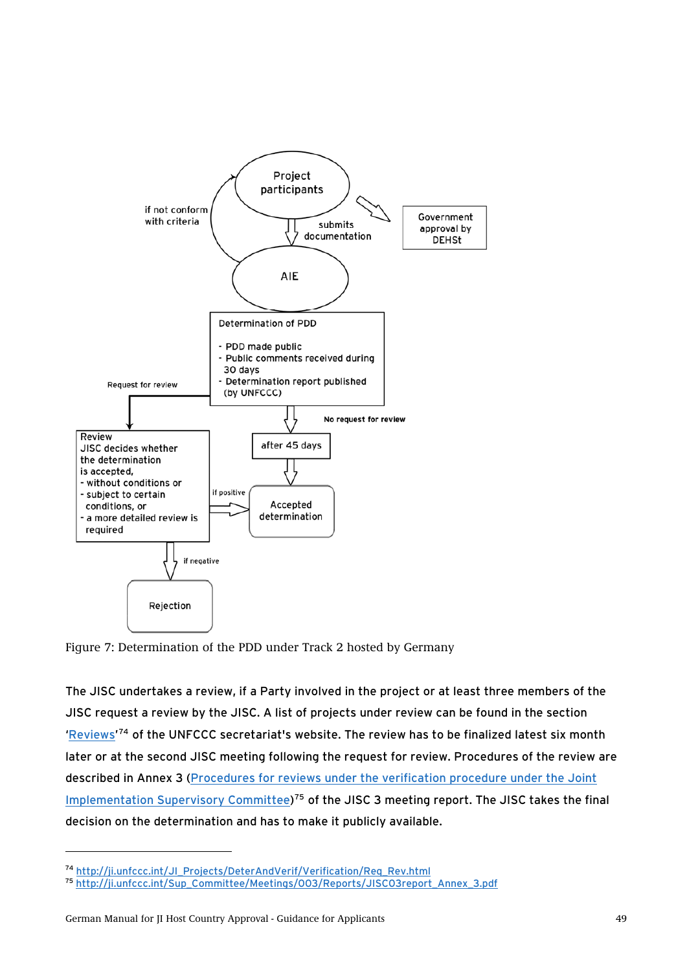<span id="page-48-0"></span>

<span id="page-48-1"></span>Figure 7: Determination of the PDD under Track 2 hosted by Germany

The JISC undertakes a review, if a Party involved in the project or at least three members of the JISC request a review by the JISC. A list of projects under review can be found in the section ['Reviews'](http://ji.unfccc.int/JI_Projects/DeterAndVerif/Verification/Req_Rev.html)<sup>[74](#page-48-2)</sup> of the UNFCCC secretariat's website. The review has to be finalized latest six month later or at the second JISC meeting following the request for review. Procedures of the review are described in Annex 3 [\(Procedures for reviews under the verification procedure under the Joint](http://ji.unfccc.int/Sup_Committee/Meetings/003/Reports/JISC03report_Annex_3.pdf)  [Implementation Supervisory Committee\)](http://ji.unfccc.int/Sup_Committee/Meetings/003/Reports/JISC03report_Annex_3.pdf)<sup>[75](#page-48-3)</sup> of the JISC 3 meeting report. The JISC takes the final decision on the determination and has to make it publicly available.

<span id="page-48-3"></span><span id="page-48-2"></span><sup>74</sup> [http://ji.unfccc.int/JI\\_Projects/DeterAndVerif/Verification/Req\\_Rev.html](http://ji.unfccc.int/JI_Projects/DeterAndVerif/Verification/Req_Rev.html) 75 [http://ji.unfccc.int/Sup\\_Committee/Meetings/003/Reports/JISC03report\\_Annex\\_3.pdf](http://ji.unfccc.int/Sup_Committee/Meetings/003/Reports/JISC03report_Annex_3.pdf)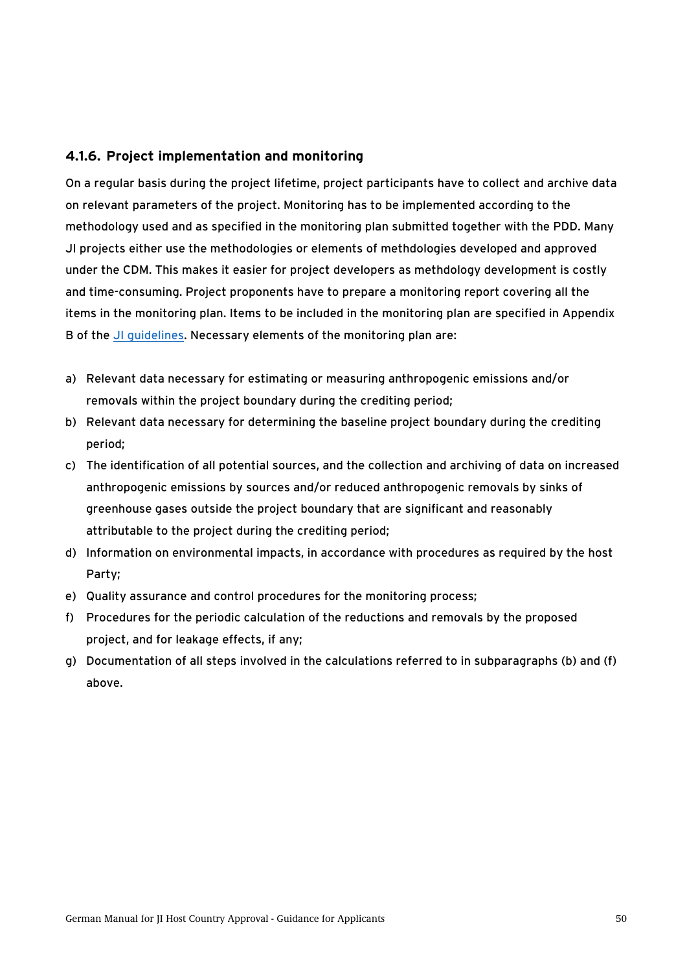#### <span id="page-49-0"></span>**4.1.6. Project implementation and monitoring**

On a regular basis during the project lifetime, project participants have to collect and archive data on relevant parameters of the project. Monitoring has to be implemented according to the methodology used and as specified in the monitoring plan submitted together with the PDD. Many JI projects either use the methodologies or elements of methdologies developed and approved under the CDM. This makes it easier for project developers as methdology development is costly and time-consuming. Project proponents have to prepare a monitoring report covering all the items in the monitoring plan. Items to be included in the monitoring plan are specified in Appendix B of the [JI guidelines.](http://unfccc.int/resource/docs/2005/cmp1/eng/08a02.pdf#page=2) Necessary elements of the monitoring plan are:

- a) Relevant data necessary for estimating or measuring anthropogenic emissions and/or removals within the project boundary during the crediting period;
- b) Relevant data necessary for determining the baseline project boundary during the crediting period;
- c) The identification of all potential sources, and the collection and archiving of data on increased anthropogenic emissions by sources and/or reduced anthropogenic removals by sinks of greenhouse gases outside the project boundary that are significant and reasonably attributable to the project during the crediting period;
- d) Information on environmental impacts, in accordance with procedures as required by the host Party;
- e) Quality assurance and control procedures for the monitoring process;
- f) Procedures for the periodic calculation of the reductions and removals by the proposed project, and for leakage effects, if any;
- g) Documentation of all steps involved in the calculations referred to in subparagraphs (b) and (f) above.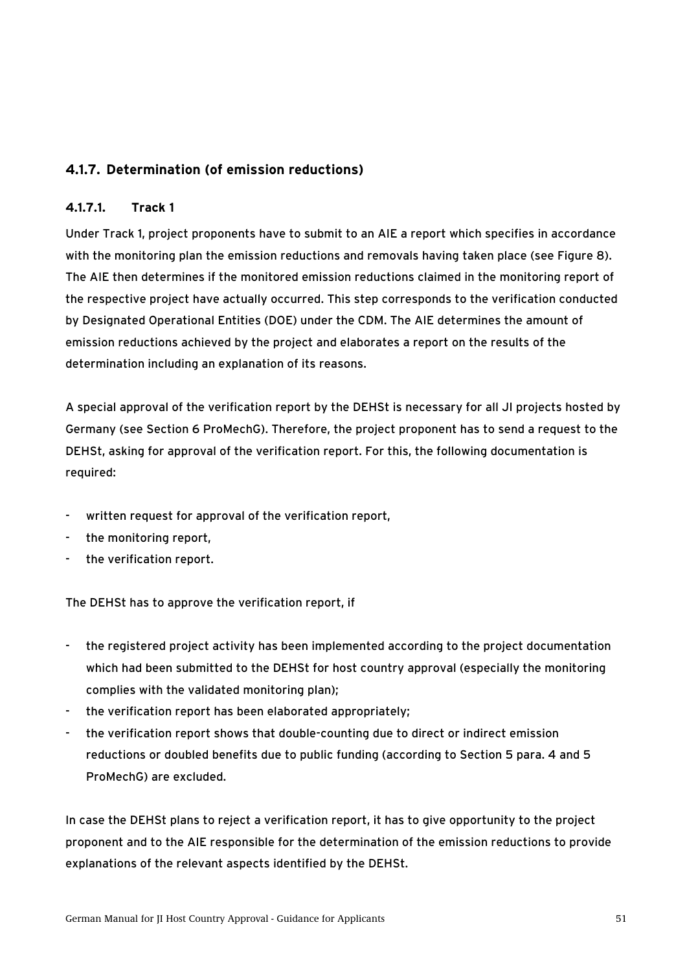## <span id="page-50-0"></span>**4.1.7. Determination (of emission reductions)**

#### **4.1.7.1. Track 1**

Under Track 1, project proponents have to submit to an AIE a report which specifies in accordance with the monitoring plan the emission reductions and removals having taken place (see [Figure 8](#page-51-1)). The AIE then determines if the monitored emission reductions claimed in the monitoring report of the respective project have actually occurred. This step corresponds to the verification conducted by Designated Operational Entities (DOE) under the CDM. The AIE determines the amount of emission reductions achieved by the project and elaborates a report on the results of the determination including an explanation of its reasons.

A special approval of the verification report by the DEHSt is necessary for all JI projects hosted by Germany (see Section 6 ProMechG). Therefore, the project proponent has to send a request to the DEHSt, asking for approval of the verification report. For this, the following documentation is required:

- written request for approval of the verification report,
- the monitoring report,
- the verification report.

The DEHSt has to approve the verification report, if

- the registered project activity has been implemented according to the project documentation which had been submitted to the DEHSt for host country approval (especially the monitoring complies with the validated monitoring plan);
- the verification report has been elaborated appropriately;
- the verification report shows that double-counting due to direct or indirect emission reductions or doubled benefits due to public funding (according to Section 5 para. 4 and 5 ProMechG) are excluded.

In case the DEHSt plans to reject a verification report, it has to give opportunity to the project proponent and to the AIE responsible for the determination of the emission reductions to provide explanations of the relevant aspects identified by the DEHSt.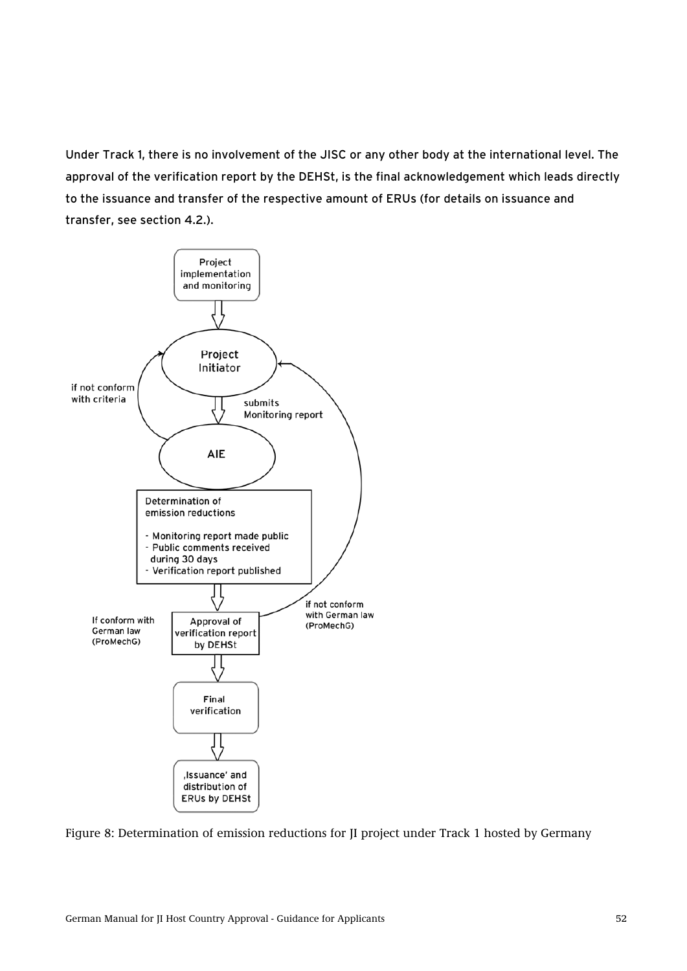<span id="page-51-0"></span>Under Track 1, there is no involvement of the JISC or any other body at the international level. The approval of the verification report by the DEHSt, is the final acknowledgement which leads directly to the issuance and transfer of the respective amount of ERUs (for details on issuance and transfer, see section [4.2](#page-55-1).).



<span id="page-51-1"></span>Figure 8: Determination of emission reductions for JI project under Track 1 hosted by Germany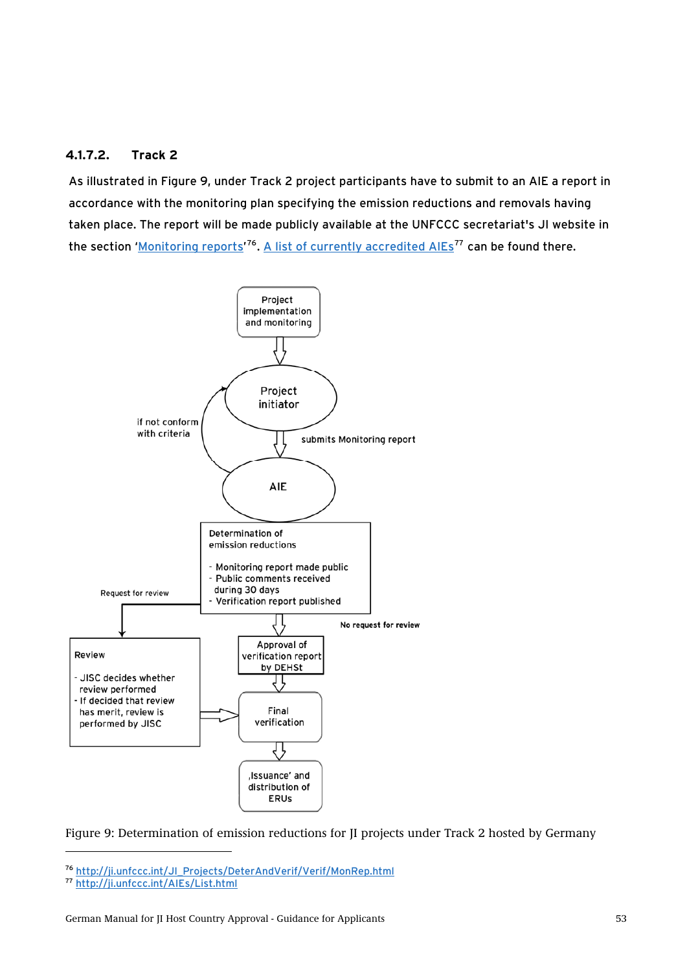#### <span id="page-52-0"></span>**4.1.7.2. Track 2**

As illustrated in [Figure 9](#page-52-3), under Track 2 project participants have to submit to an AIE a report in accordance with the monitoring plan specifying the emission reductions and removals having taken place. The report will be made publicly available at the UNFCCC secretariat's JI website in the section '<u>[Monitoring reports](http://ji.unfccc.int/JI_Projects/DeterAndVerif/Verif/MonRep.html)' [76](#page-52-1). [A list of currently accredited AIEs](http://ji.unfccc.int/AIEs/List.html)</u><sup>[77](#page-52-2)</sup> can be found there.



<span id="page-52-3"></span>Figure 9: Determination of emission reductions for JI projects under Track 2 hosted by Germany

<span id="page-52-2"></span><span id="page-52-1"></span><sup>76</sup> [http://ji.unfccc.int/JI\\_Projects/DeterAndVerif/Verif/MonRep.html](http://ji.unfccc.int/JI_Projects/DeterAndVerif/Verif/MonRep.html) 77 <http://ji.unfccc.int/AIEs/List.html>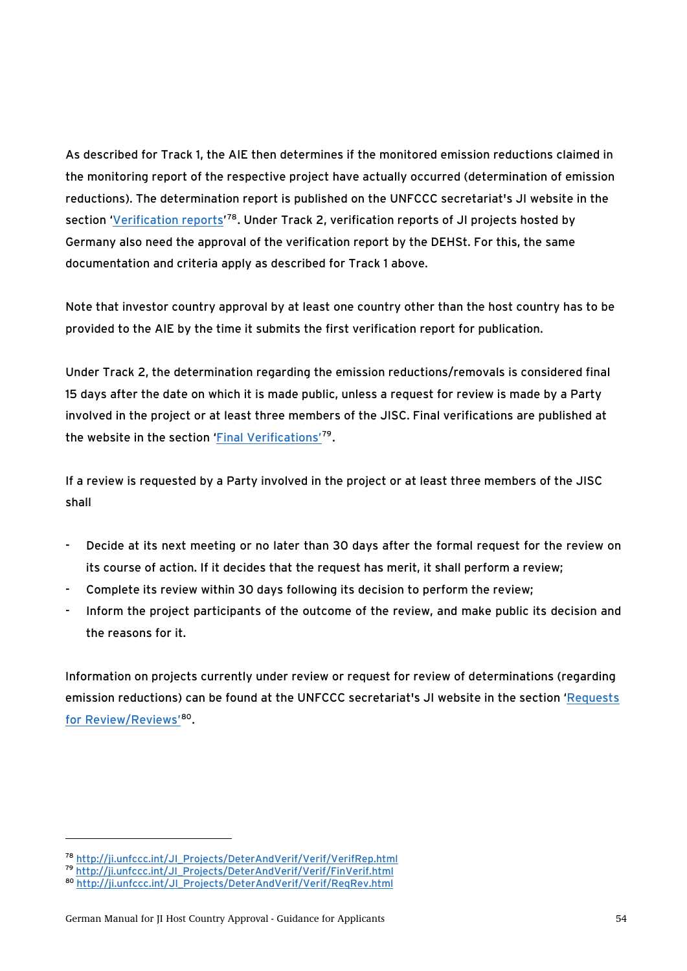As described for Track 1, the AIE then determines if the monitored emission reductions claimed in the monitoring report of the respective project have actually occurred (determination of emission reductions). The determination report is published on the UNFCCC secretariat's JI website in the section '<u>Verification reports</u>'<sup>[78](#page-53-0)</sup>. Under Track 2, verification reports of JI projects hosted by Germany also need the approval of the verification report by the DEHSt. For this, the same documentation and criteria apply as described for Track 1 above.

Note that investor country approval by at least one country other than the host country has to be provided to the AIE by the time it submits the first verification report for publication.

Under Track 2, the determination regarding the emission reductions/removals is considered final 15 days after the date on which it is made public, unless a request for review is made by a Party involved in the project or at least three members of the JISC. Final verifications are published at the website in the section '[Final Verifications'](http://ji.unfccc.int/JI_Projects/DeterAndVerif/Verif/FinVerif.html)[79](#page-53-1).

If a review is requested by a Party involved in the project or at least three members of the JISC shall

- Decide at its next meeting or no later than 30 days after the formal request for the review on its course of action. If it decides that the request has merit, it shall perform a review;
- Complete its review within 30 days following its decision to perform the review;
- Inform the project participants of the outcome of the review, and make public its decision and the reasons for it.

Information on projects currently under review or request for review of determinations (regarding emission reductions) can be found at the UNFCCC secretariat's JI website in the section ['Requests](http://ji.unfccc.int/JI_Projects/DeterAndVerif/Verif/ReqRev.html)  [for Review/Reviews'](http://ji.unfccc.int/JI_Projects/DeterAndVerif/Verif/ReqRev.html)[80](#page-53-2).

<span id="page-53-1"></span><span id="page-53-0"></span><sup>78</sup> [http://ji.unfccc.int/JI\\_Projects/DeterAndVerif/Verif/VerifRep.html](http://ji.unfccc.int/JI_Projects/DeterAndVerif/Verif/VerifRep.html) 79 [http://ji.unfccc.int/JI\\_Projects/DeterAndVerif/Verif/FinVerif.html](http://ji.unfccc.int/JI_Projects/DeterAndVerif/Verif/FinVerif.html) 80 [http://ji.unfccc.int/JI\\_Projects/DeterAndVerif/Verif/ReqRev.html](http://ji.unfccc.int/JI_Projects/DeterAndVerif/Verif/ReqRev.html) 

<span id="page-53-2"></span>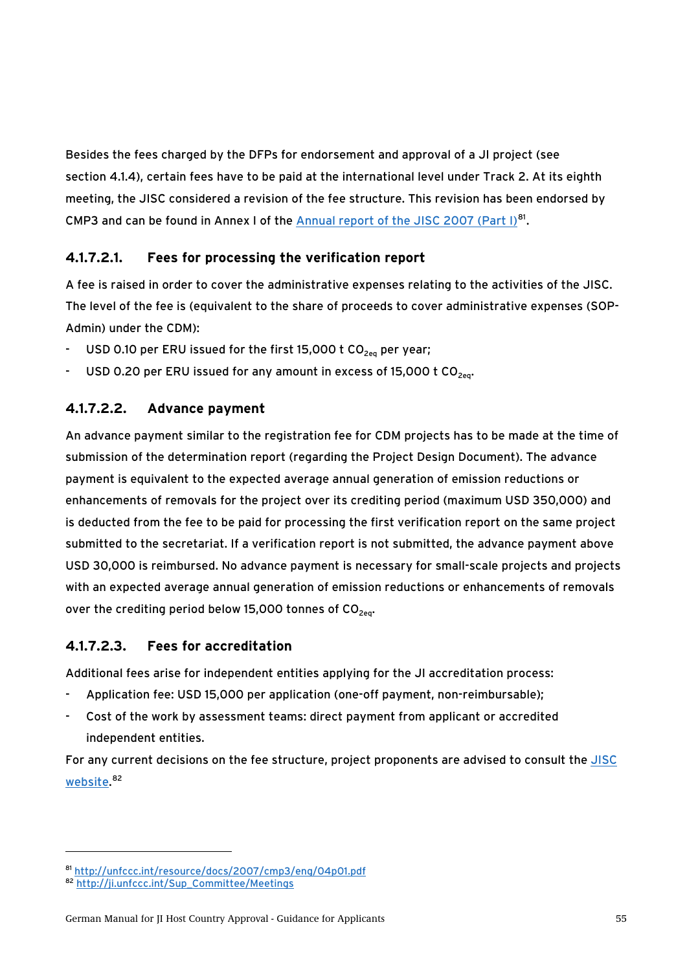Besides the fees charged by the DFPs for endorsement and approval of a JI project (see section [4.1.4\)](#page-36-4), certain fees have to be paid at the international level under Track 2. At its eighth meeting, the JISC considered a revision of the fee structure. This revision has been endorsed by CMP3 and can be found in Annex I of the [Annual report of the JISC 2007 \(Part I\)](http://unfccc.int/resource/docs/2007/cmp3/eng/04p01.pdf)<sup>[81](#page-54-0)</sup>.

## **4.1.7.2.1. Fees for processing the verification report**

A fee is raised in order to cover the administrative expenses relating to the activities of the JISC. The level of the fee is (equivalent to the share of proceeds to cover administrative expenses (SOP-Admin) under the CDM):

- USD 0.10 per ERU issued for the first 15,000 t  $CO<sub>2eq</sub>$  per year;
- USD 0.20 per ERU issued for any amount in excess of 15,000 t  $CO<sub>2eq</sub>$ .

#### **4.1.7.2.2. Advance payment**

An advance payment similar to the registration fee for CDM projects has to be made at the time of submission of the determination report (regarding the Project Design Document). The advance payment is equivalent to the expected average annual generation of emission reductions or enhancements of removals for the project over its crediting period (maximum USD 350,000) and is deducted from the fee to be paid for processing the first verification report on the same project submitted to the secretariat. If a verification report is not submitted, the advance payment above USD 30,000 is reimbursed. No advance payment is necessary for small-scale projects and projects with an expected average annual generation of emission reductions or enhancements of removals over the crediting period below 15,000 tonnes of  $CO<sub>2e0</sub>$ .

#### **4.1.7.2.3. Fees for accreditation**

Additional fees arise for independent entities applying for the JI accreditation process:

- Application fee: USD 15,000 per application (one-off payment, non-reimbursable);
- Cost of the work by assessment teams: direct payment from applicant or accredited independent entities.

For any current decisions on the fee structure, project proponents are advised to consult the [JISC](http://ji.unfccc.int/Sup_Committee/Meetings)  [website](http://ji.unfccc.int/Sup_Committee/Meetings). [82](#page-54-1)

<span id="page-54-0"></span><sup>&</sup>lt;sup>81</sup> <http://unfccc.int/resource/docs/2007/cmp3/eng/04p01.pdf><br><sup>82</sup> http://ji.unfccc.int/Sup\_Committee/Meetings

<span id="page-54-1"></span>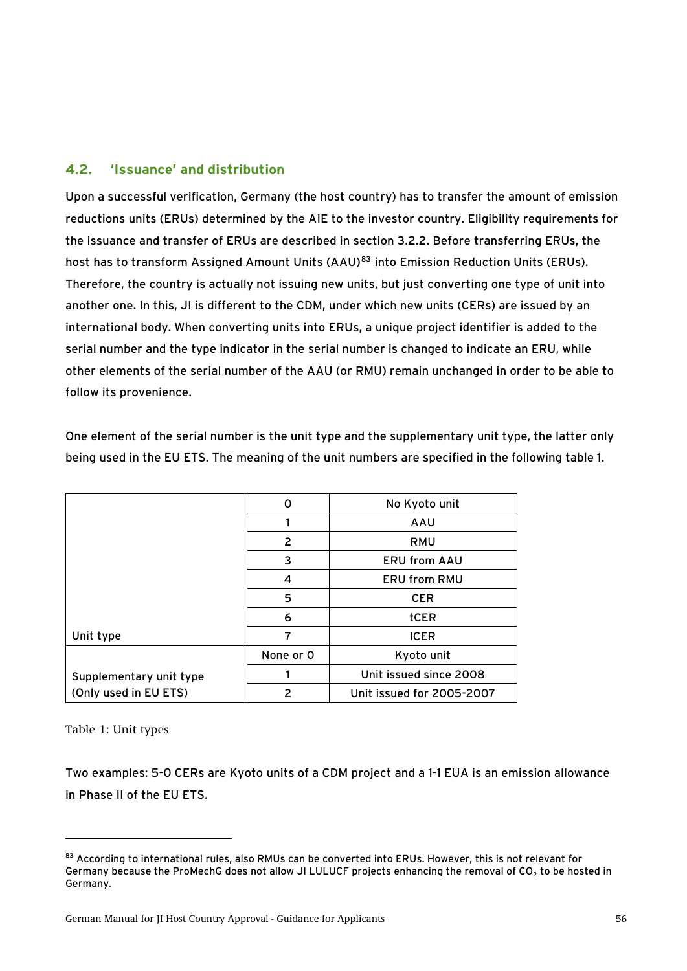## <span id="page-55-1"></span><span id="page-55-0"></span>**4.2. 'Issuance' and distribution**

Upon a successful verification, Germany (the host country) has to transfer the amount of emission reductions units (ERUs) determined by the AIE to the investor country. Eligibility requirements for the issuance and transfer of ERUs are described in section [3.2.2.](#page-18-4) Before transferring ERUs, the host has to transform Assigned Amount Units (AAU)<sup>[83](#page-55-2)</sup> into Emission Reduction Units (ERUs). Therefore, the country is actually not issuing new units, but just converting one type of unit into another one. In this, JI is different to the CDM, under which new units (CERs) are issued by an international body. When converting units into ERUs, a unique project identifier is added to the serial number and the type indicator in the serial number is changed to indicate an ERU, while other elements of the serial number of the AAU (or RMU) remain unchanged in order to be able to follow its provenience.

One element of the serial number is the unit type and the supplementary unit type, the latter only being used in the EU ETS. The meaning of the unit numbers are specified in the following table 1.

|                         | 0         | No Kyoto unit             |
|-------------------------|-----------|---------------------------|
|                         |           | AAU                       |
|                         | 2         | <b>RMU</b>                |
|                         | 3         | <b>ERU from AAU</b>       |
|                         | 4         | <b>ERU from RMU</b>       |
|                         | 5         | <b>CER</b>                |
|                         | 6         | tCER                      |
| Unit type               | 7         | <b>ICER</b>               |
|                         | None or O | Kyoto unit                |
| Supplementary unit type |           | Unit issued since 2008    |
| (Only used in EU ETS)   | 2         | Unit issued for 2005-2007 |

Table 1: Unit types

 $\ddot{ }$ 

Two examples: 5-0 CERs are Kyoto units of a CDM project and a 1-1 EUA is an emission allowance in Phase II of the EU ETS.

<span id="page-55-2"></span><sup>83</sup> According to international rules, also RMUs can be converted into ERUs. However, this is not relevant for Germany because the ProMechG does not allow JI LULUCF projects enhancing the removal of  $CO<sub>2</sub>$  to be hosted in Germany.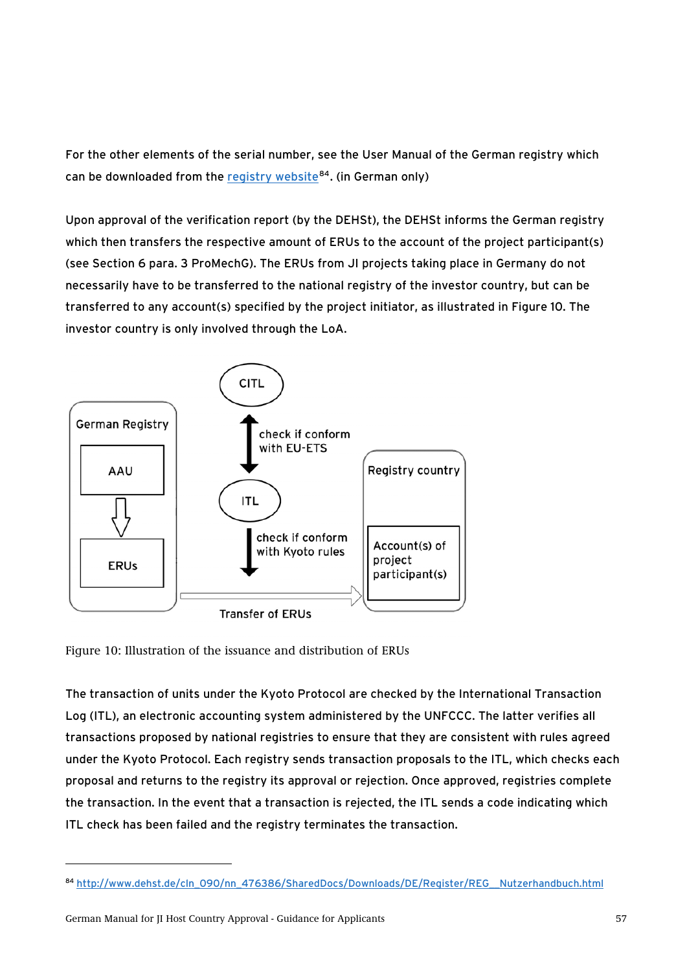<span id="page-56-0"></span>For the other elements of the serial number, see the User Manual of the German registry which can be downloaded from the [registry website](http://www.dehst.de/cln_090/nn_476386/SharedDocs/Downloads/DE/Register/REG__Nutzerhandbuch.html)<sup>[84](#page-56-1)</sup>. (in German only)

Upon approval of the verification report (by the DEHSt), the DEHSt informs the German registry which then transfers the respective amount of ERUs to the account of the project participant(s) (see Section 6 para. 3 ProMechG). The ERUs from JI projects taking place in Germany do not necessarily have to be transferred to the national registry of the investor country, but can be transferred to any account(s) specified by the project initiator, as illustrated in [Figure 10.](#page-56-2) The investor country is only involved through the LoA.



<span id="page-56-2"></span>Figure 10: Illustration of the issuance and distribution of ERUs

The transaction of units under the Kyoto Protocol are checked by the International Transaction Log (ITL), an electronic accounting system administered by the UNFCCC. The latter verifies all transactions proposed by national registries to ensure that they are consistent with rules agreed under the Kyoto Protocol. Each registry sends transaction proposals to the ITL, which checks each proposal and returns to the registry its approval or rejection. Once approved, registries complete the transaction. In the event that a transaction is rejected, the ITL sends a code indicating which ITL check has been failed and the registry terminates the transaction.

<span id="page-56-1"></span><sup>84</sup> [http://www.dehst.de/cln\\_090/nn\\_476386/SharedDocs/Downloads/DE/Register/REG\\_\\_Nutzerhandbuch.html](http://www.dehst.de/cln_090/nn_476386/SharedDocs/Downloads/DE/Register/REG__Nutzerhandbuch.html)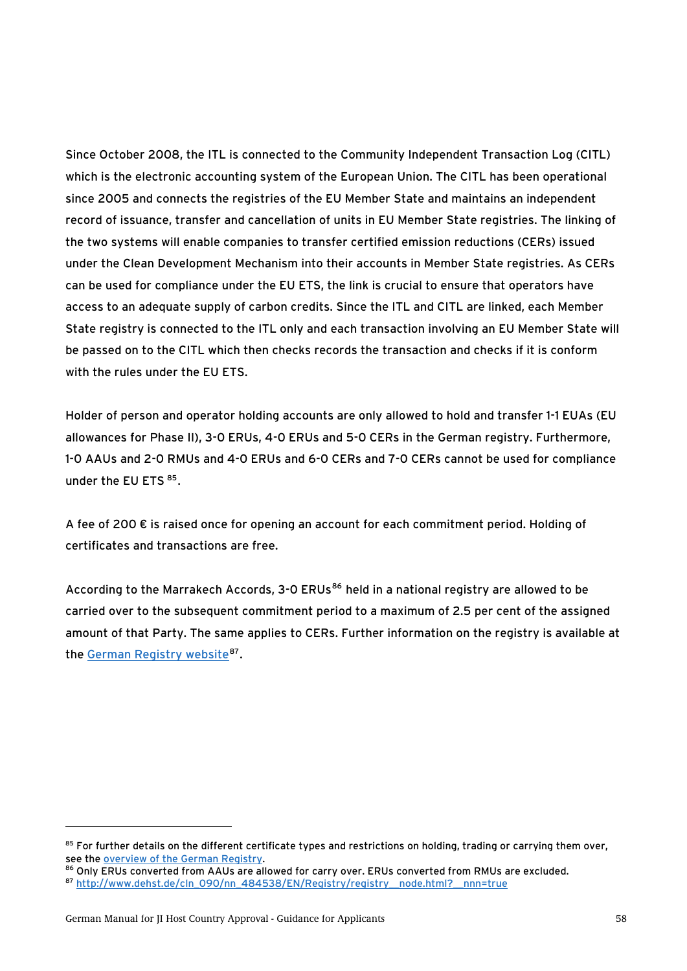Since October 2008, the ITL is connected to the Community Independent Transaction Log (CITL) which is the electronic accounting system of the European Union. The CITL has been operational since 2005 and connects the registries of the EU Member State and maintains an independent record of issuance, transfer and cancellation of units in EU Member State registries. The linking of the two systems will enable companies to transfer certified emission reductions (CERs) issued under the Clean Development Mechanism into their accounts in Member State registries. As CERs can be used for compliance under the EU ETS, the link is crucial to ensure that operators have access to an adequate supply of carbon credits. Since the ITL and CITL are linked, each Member State registry is connected to the ITL only and each transaction involving an EU Member State will be passed on to the CITL which then checks records the transaction and checks if it is conform with the rules under the EU ETS.

Holder of person and operator holding accounts are only allowed to hold and transfer 1-1 EUAs (EU allowances for Phase II), 3-0 ERUs, 4-0 ERUs and 5-0 CERs in the German registry. Furthermore, 1-0 AAUs and 2-0 RMUs and 4-0 ERUs and 6-0 CERs and 7-0 CERs cannot be used for compliance under the EU ETS [85](#page-57-0).

A fee of 200 € is raised once for opening an account for each commitment period. Holding of certificates and transactions are free.

According to the Marrakech Accords, 3-0 ERUs<sup>[86](#page-57-1)</sup> held in a national registry are allowed to be carried over to the subsequent commitment period to a maximum of 2.5 per cent of the assigned amount of that Party. The same applies to CERs. Further information on the registry is available at the [German Registry website](http://www.dehst.de/cln_090/nn_484538/EN/Registry/registry__node.html?__nnn=true)<sup>[87](#page-57-2)</sup>.

j

<span id="page-57-0"></span><sup>85</sup> For further details on the different certificate types and restrictions on holding, trading or carrying them over, see the <u>[overview of the German Registry](http://www.dehst.de/cln_090/nn_476380/DE/Register/Emissionsberechtigungen/Emissionszertifikate/Emissionszertifikate__node.html?__nnn=true)</u>.<br><sup>86</sup> Only ERUs converted from AAUs are allowed for carry over. ERUs converted from RMUs are excluded.

<span id="page-57-1"></span>

<span id="page-57-2"></span><sup>87</sup> http://www.dehst.de/cln\_090/nn\_484538/EN/Registry/registry\_node.html?\_\_nnn=true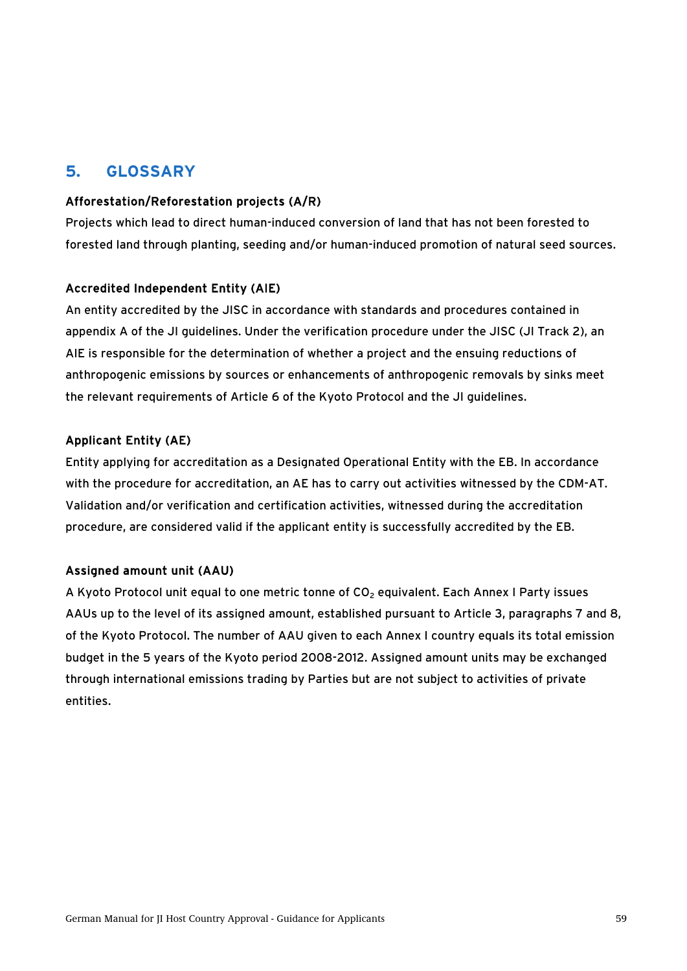## <span id="page-58-0"></span>**5. GLOSSARY**

#### Afforestation/Reforestation projects (A/R)

Projects which lead to direct human-induced conversion of land that has not been forested to forested land through planting, seeding and/or human-induced promotion of natural seed sources.

#### Accredited Independent Entity (AIE)

An entity accredited by the JISC in accordance with standards and procedures contained in appendix A of the JI guidelines. Under the verification procedure under the JISC (JI Track 2), an AIE is responsible for the determination of whether a project and the ensuing reductions of anthropogenic emissions by sources or enhancements of anthropogenic removals by sinks meet the relevant requirements of Article 6 of the Kyoto Protocol and the JI guidelines.

#### Applicant Entity (AE)

Entity applying for accreditation as a Designated Operational Entity with the EB. In accordance with the procedure for accreditation, an AE has to carry out activities witnessed by the CDM-AT. Validation and/or verification and certification activities, witnessed during the accreditation procedure, are considered valid if the applicant entity is successfully accredited by the EB.

#### Assigned amount unit (AAU)

A Kyoto Protocol unit equal to one metric tonne of  $CO<sub>2</sub>$  equivalent. Each Annex I Party issues AAUs up to the level of its assigned amount, established pursuant to Article 3, paragraphs 7 and 8, of the Kyoto Protocol. The number of AAU given to each Annex I country equals its total emission budget in the 5 years of the Kyoto period 2008-2012. Assigned amount units may be exchanged through international emissions trading by Parties but are not subject to activities of private entities.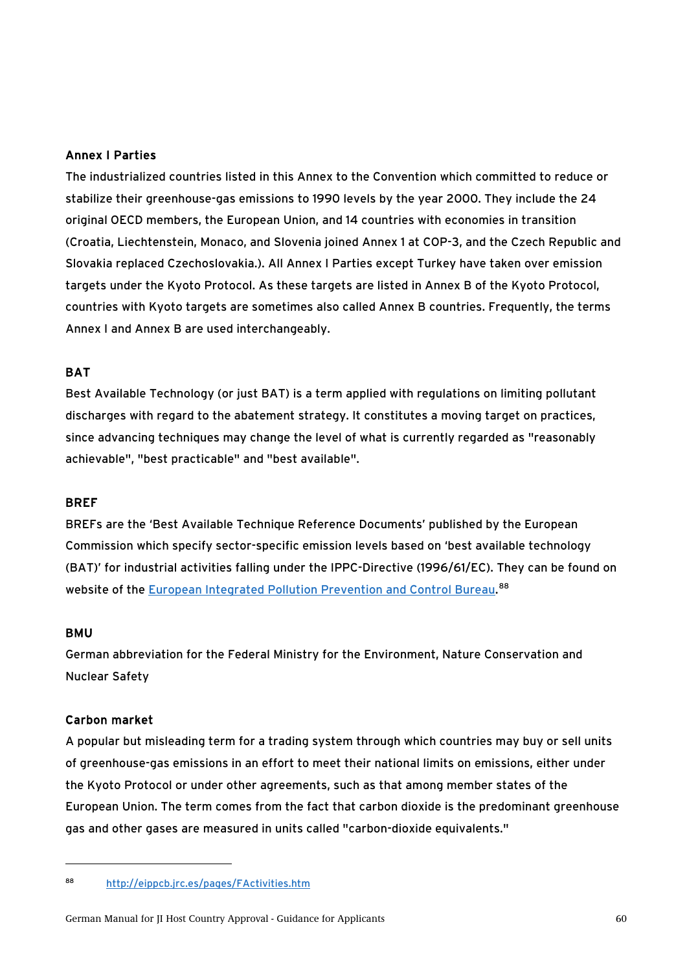#### Annex I Parties

The industrialized countries listed in this Annex to the Convention which committed to reduce or stabilize their greenhouse-gas emissions to 1990 levels by the year 2000. They include the 24 original OECD members, the European Union, and 14 countries with economies in transition (Croatia, Liechtenstein, Monaco, and Slovenia joined Annex 1 at COP-3, and the Czech Republic and Slovakia replaced Czechoslovakia.). All Annex I Parties except Turkey have taken over emission targets under the Kyoto Protocol. As these targets are listed in Annex B of the Kyoto Protocol, countries with Kyoto targets are sometimes also called Annex B countries. Frequently, the terms Annex I and Annex B are used interchangeably.

## **BAT**

Best Available Technology (or just BAT) is a term applied with regulations on limiting pollutant discharges with regard to the abatement strategy. It constitutes a moving target on practices, since advancing techniques may change the level of what is currently regarded as "reasonably achievable", "best practicable" and "best available".

#### BREF

BREFs are the 'Best Available Technique Reference Documents' published by the European Commission which specify sector-specific emission levels based on 'best available technology (BAT)' for industrial activities falling under the IPPC-Directive (1996/61/EC). They can be found on website of the [European Integrated Pollution Prevention and Control Bureau](http://eippcb.jrc.es/pages/FActivities.htm). [88](#page-59-0) 

#### **BMU**

 $\ddot{ }$ 

German abbreviation for the Federal Ministry for the Environment, Nature Conservation and Nuclear Safety

#### Carbon market

A popular but misleading term for a trading system through which countries may buy or sell units of greenhouse-gas emissions in an effort to meet their national limits on emissions, either under the Kyoto Protocol or under other agreements, such as that among member states of the European Union. The term comes from the fact that carbon dioxide is the predominant greenhouse gas and other gases are measured in units called "carbon-dioxide equivalents."

<span id="page-59-0"></span><sup>88</sup> <http://eippcb.jrc.es/pages/FActivities.htm>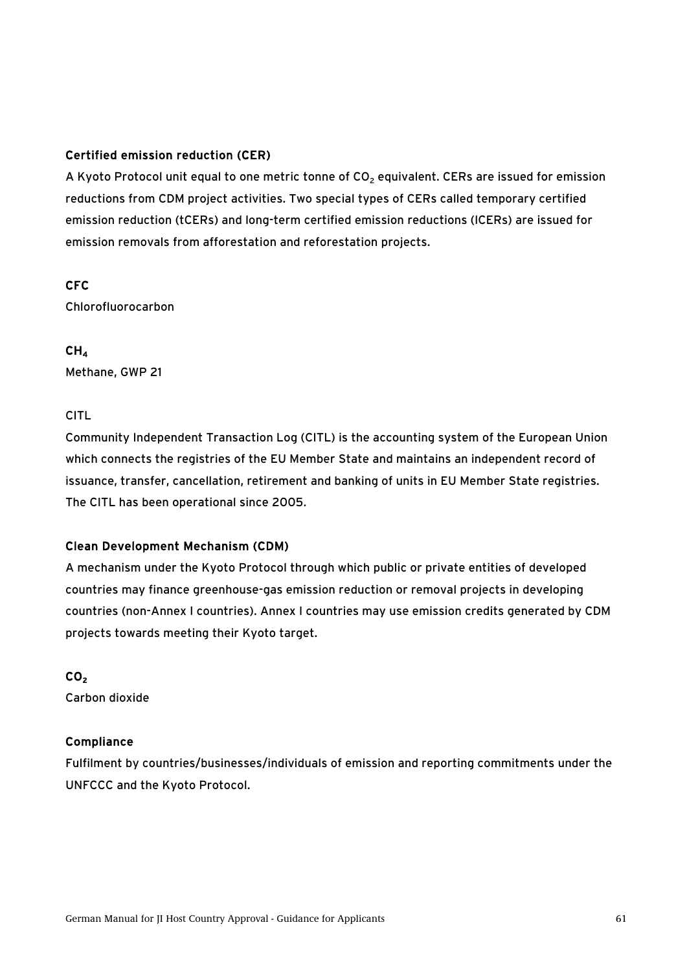#### Certified emission reduction (CER)

A Kyoto Protocol unit equal to one metric tonne of  $CO<sub>2</sub>$  equivalent. CERs are issued for emission reductions from CDM project activities. Two special types of CERs called temporary certified emission reduction (tCERs) and long-term certified emission reductions (lCERs) are issued for emission removals from afforestation and reforestation projects.

#### **CFC**

Chlorofluorocarbon

## $CH<sub>4</sub>$ Methane, GWP 21

#### CITL

Community Independent Transaction Log (CITL) is the accounting system of the European Union which connects the registries of the EU Member State and maintains an independent record of issuance, transfer, cancellation, retirement and banking of units in EU Member State registries. The CITL has been operational since 2005.

#### Clean Development Mechanism (CDM)

A mechanism under the Kyoto Protocol through which public or private entities of developed countries may finance greenhouse-gas emission reduction or removal projects in developing countries (non-Annex I countries). Annex I countries may use emission credits generated by CDM projects towards meeting their Kyoto target.

## CO<sub>2</sub>

Carbon dioxide

#### Compliance

Fulfilment by countries/businesses/individuals of emission and reporting commitments under the UNFCCC and the Kyoto Protocol.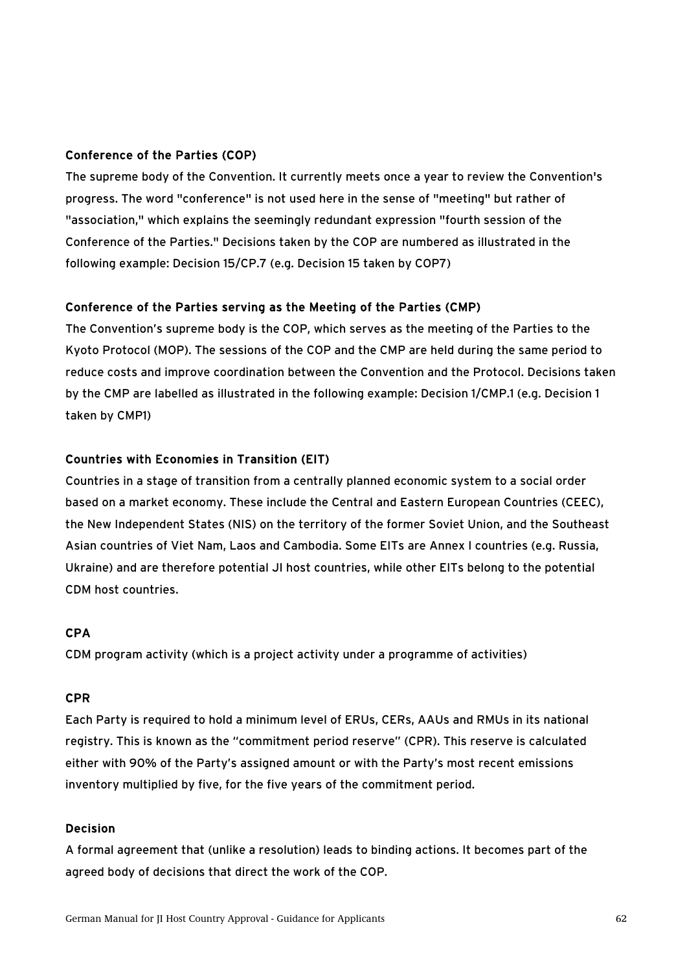#### Conference of the Parties (COP)

The supreme body of the Convention. It currently meets once a year to review the Convention's progress. The word "conference" is not used here in the sense of "meeting" but rather of "association," which explains the seemingly redundant expression "fourth session of the Conference of the Parties." Decisions taken by the COP are numbered as illustrated in the following example: Decision 15/CP.7 (e.g. Decision 15 taken by COP7)

#### Conference of the Parties serving as the Meeting of the Parties (CMP)

The Convention's supreme body is the COP, which serves as the meeting of the Parties to the Kyoto Protocol (MOP). The sessions of the COP and the CMP are held during the same period to reduce costs and improve coordination between the Convention and the Protocol. Decisions taken by the CMP are labelled as illustrated in the following example: Decision 1/CMP.1 (e.g. Decision 1 taken by CMP1)

#### Countries with Economies in Transition (EIT)

Countries in a stage of transition from a centrally planned economic system to a social order based on a market economy. These include the Central and Eastern European Countries (CEEC), the New Independent States (NIS) on the territory of the former Soviet Union, and the Southeast Asian countries of Viet Nam, Laos and Cambodia. Some EITs are Annex I countries (e.g. Russia, Ukraine) and are therefore potential JI host countries, while other EITs belong to the potential CDM host countries.

#### CPA

CDM program activity (which is a project activity under a programme of activities)

#### CPR

Each Party is required to hold a minimum level of ERUs, CERs, AAUs and RMUs in its national registry. This is known as the "commitment period reserve" (CPR). This reserve is calculated either with 90% of the Party's assigned amount or with the Party's most recent emissions inventory multiplied by five, for the five years of the commitment period.

#### Decision

A formal agreement that (unlike a resolution) leads to binding actions. It becomes part of the agreed body of decisions that direct the work of the COP.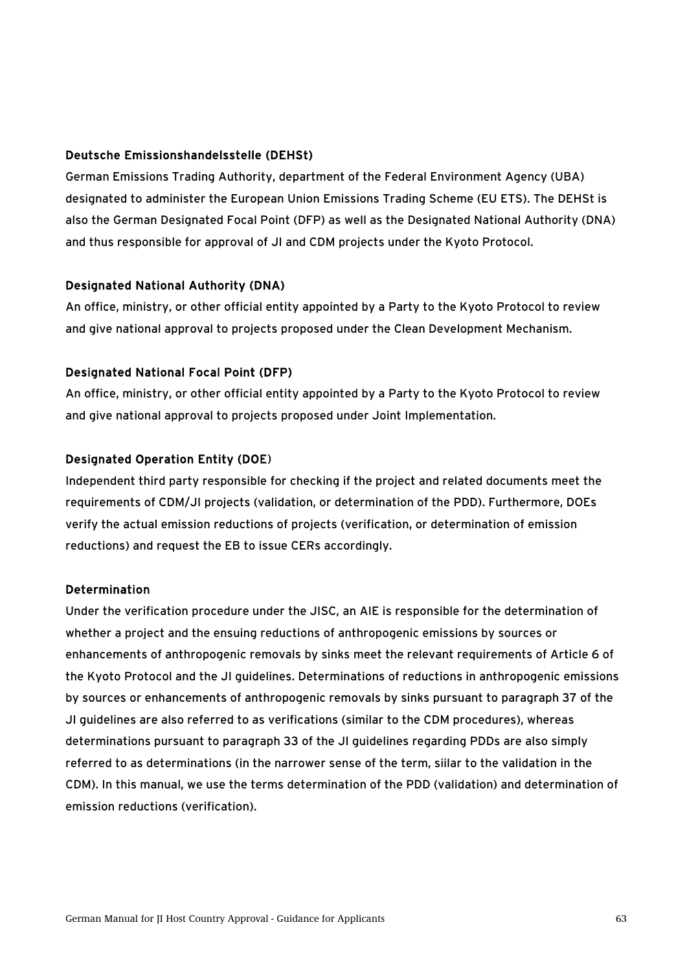#### Deutsche Emissionshandelsstelle (DEHSt)

German Emissions Trading Authority, department of the Federal Environment Agency (UBA) designated to administer the European Union Emissions Trading Scheme (EU ETS). The DEHSt is also the German Designated Focal Point (DFP) as well as the Designated National Authority (DNA) and thus responsible for approval of JI and CDM projects under the Kyoto Protocol.

#### Designated National Authority (DNA)

An office, ministry, or other official entity appointed by a Party to the Kyoto Protocol to review and give national approval to projects proposed under the Clean Development Mechanism.

#### Designated National Focal Point (DFP)

An office, ministry, or other official entity appointed by a Party to the Kyoto Protocol to review and give national approval to projects proposed under Joint Implementation.

#### Designated Operation Entity (DOE)

Independent third party responsible for checking if the project and related documents meet the requirements of CDM/JI projects (validation, or determination of the PDD). Furthermore, DOEs verify the actual emission reductions of projects (verification, or determination of emission reductions) and request the EB to issue CERs accordingly.

#### Determination

Under the verification procedure under the JISC, an AIE is responsible for the determination of whether a project and the ensuing reductions of anthropogenic emissions by sources or enhancements of anthropogenic removals by sinks meet the relevant requirements of Article 6 of the Kyoto Protocol and the JI guidelines. Determinations of reductions in anthropogenic emissions by sources or enhancements of anthropogenic removals by sinks pursuant to paragraph 37 of the JI guidelines are also referred to as verifications (similar to the CDM procedures), whereas determinations pursuant to paragraph 33 of the JI guidelines regarding PDDs are also simply referred to as determinations (in the narrower sense of the term, siilar to the validation in the CDM). In this manual, we use the terms determination of the PDD (validation) and determination of emission reductions (verification).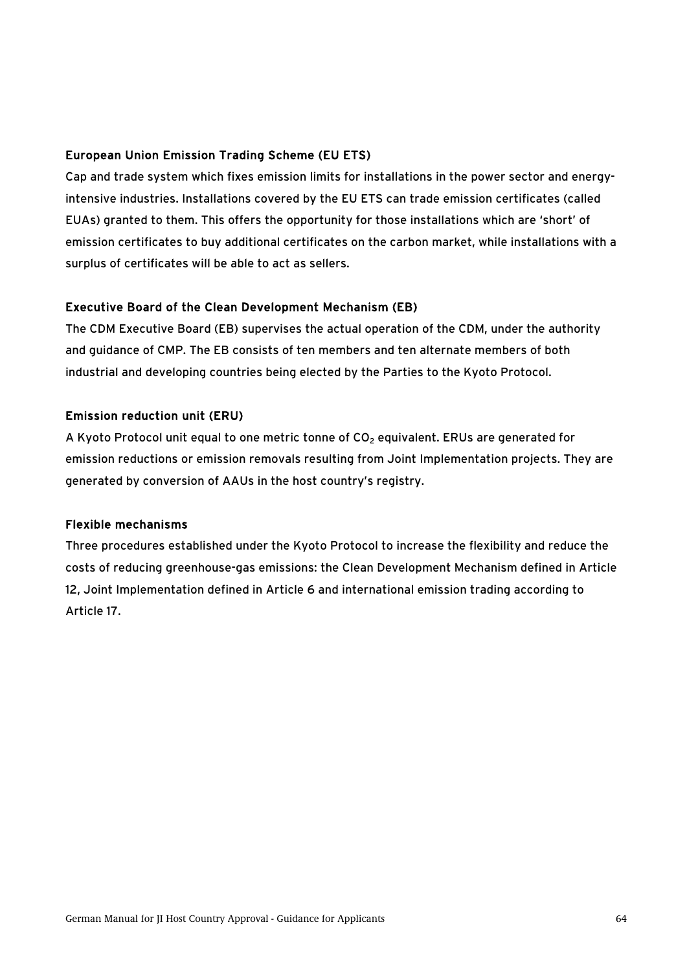#### European Union Emission Trading Scheme (EU ETS)

Cap and trade system which fixes emission limits for installations in the power sector and energyintensive industries. Installations covered by the EU ETS can trade emission certificates (called EUAs) granted to them. This offers the opportunity for those installations which are 'short' of emission certificates to buy additional certificates on the carbon market, while installations with a surplus of certificates will be able to act as sellers.

#### Executive Board of the Clean Development Mechanism (EB)

The CDM Executive Board (EB) supervises the actual operation of the CDM, under the authority and guidance of CMP. The EB consists of ten members and ten alternate members of both industrial and developing countries being elected by the Parties to the Kyoto Protocol.

#### Emission reduction unit (ERU)

A Kyoto Protocol unit equal to one metric tonne of  $CO<sub>2</sub>$  equivalent. ERUs are generated for emission reductions or emission removals resulting from Joint Implementation projects. They are generated by conversion of AAUs in the host country's registry.

#### Flexible mechanisms

Three procedures established under the Kyoto Protocol to increase the flexibility and reduce the costs of reducing greenhouse-gas emissions: the Clean Development Mechanism defined in Article 12, Joint Implementation defined in Article 6 and international emission trading according to Article 17.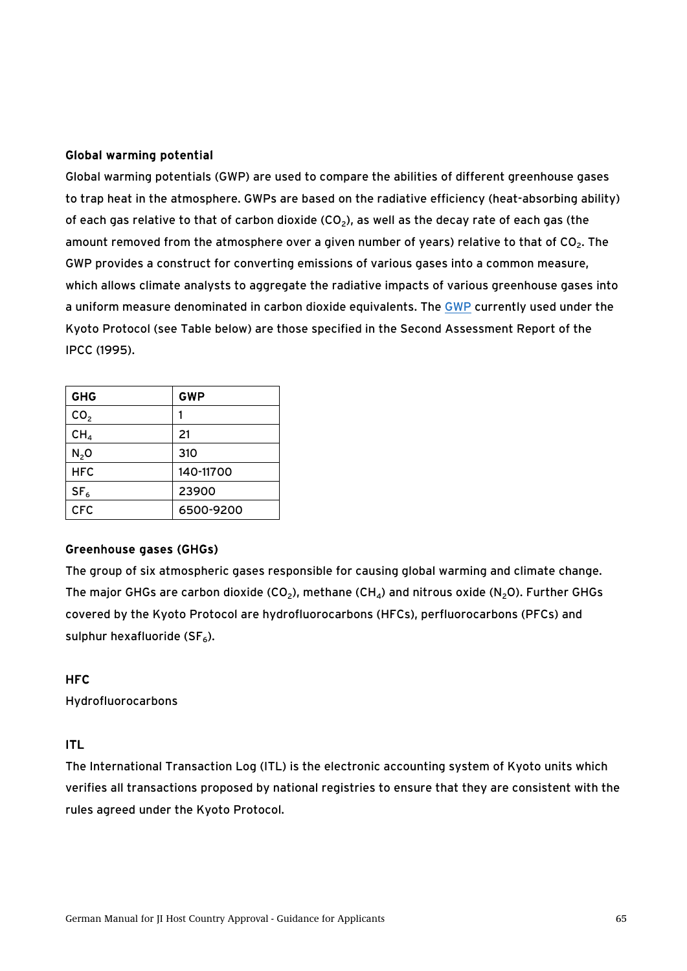#### Global warming potential

Global warming potentials (GWP) are used to compare the abilities of different greenhouse gases to trap heat in the atmosphere. GWPs are based on the radiative efficiency (heat-absorbing ability) of each gas relative to that of carbon dioxide ( $CO<sub>2</sub>$ ), as well as the decay rate of each gas (the amount removed from the atmosphere over a given number of years) relative to that of  $CO<sub>2</sub>$ . The GWP provides a construct for converting emissions of various gases into a common measure, which allows climate analysts to aggregate the radiative impacts of various greenhouse gases into a uniform measure denominated in carbon dioxide equivalents. The [GWP](http://unfccc.int/ghg_data/items/3825.php) currently used under the Kyoto Protocol (see Table below) are those specified in the Second Assessment Report of the IPCC (1995).

| <b>GHG</b>       | <b>GWP</b> |
|------------------|------------|
| CO <sub>2</sub>  |            |
| CH <sub>4</sub>  | 21         |
| N <sub>2</sub> O | 310        |
| <b>HFC</b>       | 140-11700  |
| SF <sub>6</sub>  | 23900      |
| <b>CFC</b>       | 6500-9200  |

#### Greenhouse gases (GHGs)

The group of six atmospheric gases responsible for causing global warming and climate change. The major GHGs are carbon dioxide (CO<sub>2</sub>), methane (CH<sub>4</sub>) and nitrous oxide (N<sub>2</sub>O). Further GHGs covered by the Kyoto Protocol are hydrofluorocarbons (HFCs), perfluorocarbons (PFCs) and sulphur hexafluoride ( $SF<sub>6</sub>$ ).

#### HFC

Hydrofluorocarbons

#### ITL

The International Transaction Log (ITL) is the electronic accounting system of Kyoto units which verifies all transactions proposed by national registries to ensure that they are consistent with the rules agreed under the Kyoto Protocol.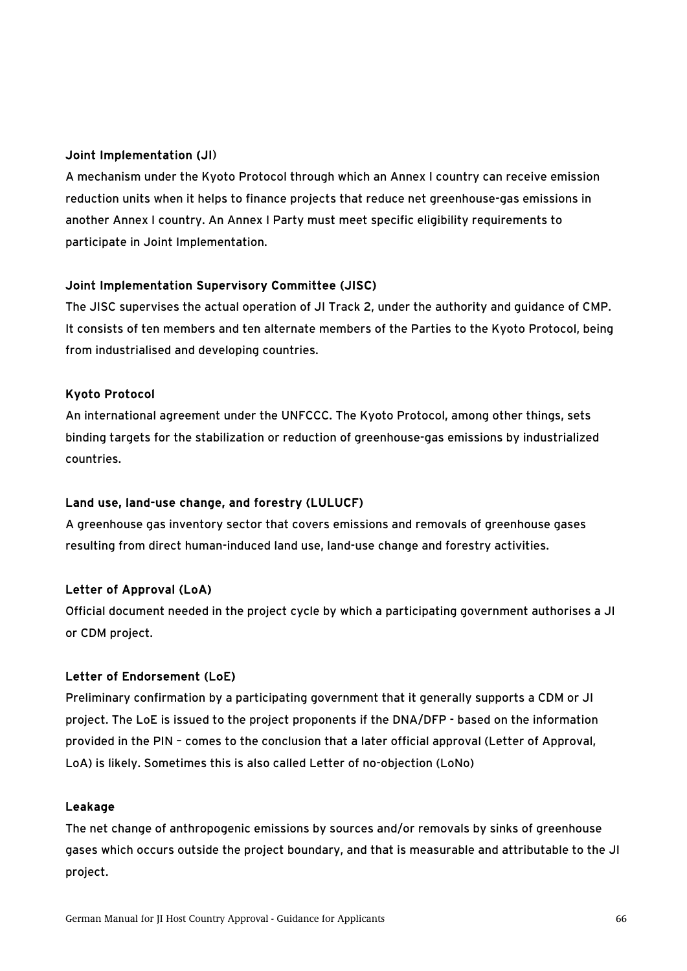#### Joint Implementation (JI)

A mechanism under the Kyoto Protocol through which an Annex I country can receive emission reduction units when it helps to finance projects that reduce net greenhouse-gas emissions in another Annex I country. An Annex I Party must meet specific eligibility requirements to participate in Joint Implementation.

#### Joint Implementation Supervisory Committee (JISC)

The JISC supervises the actual operation of JI Track 2, under the authority and guidance of CMP. It consists of ten members and ten alternate members of the Parties to the Kyoto Protocol, being from industrialised and developing countries.

#### Kyoto Protocol

An international agreement under the UNFCCC. The Kyoto Protocol, among other things, sets binding targets for the stabilization or reduction of greenhouse-gas emissions by industrialized countries.

#### Land use, land-use change, and forestry (LULUCF)

A greenhouse gas inventory sector that covers emissions and removals of greenhouse gases resulting from direct human-induced land use, land-use change and forestry activities.

#### Letter of Approval (LoA)

Official document needed in the project cycle by which a participating government authorises a JI or CDM project.

#### Letter of Endorsement (LoE)

Preliminary confirmation by a participating government that it generally supports a CDM or JI project. The LoE is issued to the project proponents if the DNA/DFP - based on the information provided in the PIN – comes to the conclusion that a later official approval (Letter of Approval, LoA) is likely. Sometimes this is also called Letter of no-objection (LoNo)

#### Leakage

The net change of anthropogenic emissions by sources and/or removals by sinks of greenhouse gases which occurs outside the project boundary, and that is measurable and attributable to the JI project.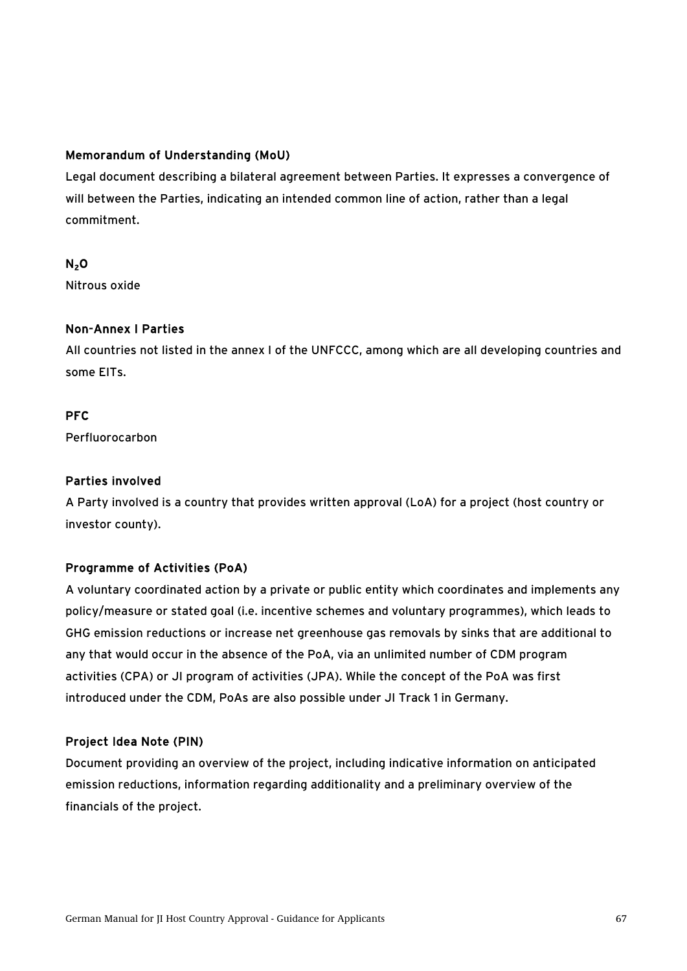#### Memorandum of Understanding (MoU)

Legal document describing a bilateral agreement between Parties. It expresses a convergence of will between the Parties, indicating an intended common line of action, rather than a legal commitment.

#### $N<sub>2</sub>O$

Nitrous oxide

#### Non-Annex I Parties

All countries not listed in the annex I of the UNFCCC, among which are all developing countries and some EITs.

## PFC

Perfluorocarbon

#### Parties involved

A Party involved is a country that provides written approval (LoA) for a project (host country or investor county).

## Programme of Activities (PoA)

A voluntary coordinated action by a private or public entity which coordinates and implements any policy/measure or stated goal (i.e. incentive schemes and voluntary programmes), which leads to GHG emission reductions or increase net greenhouse gas removals by sinks that are additional to any that would occur in the absence of the PoA, via an unlimited number of CDM program activities (CPA) or JI program of activities (JPA). While the concept of the PoA was first introduced under the CDM, PoAs are also possible under JI Track 1 in Germany.

#### Project Idea Note (PIN)

Document providing an overview of the project, including indicative information on anticipated emission reductions, information regarding additionality and a preliminary overview of the financials of the project.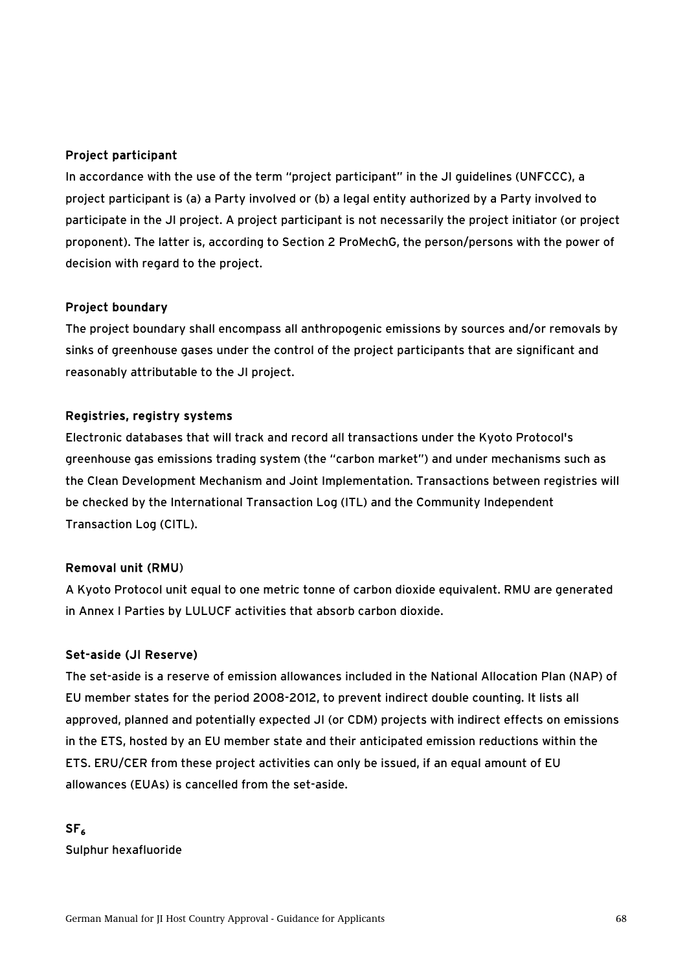#### Project participant

In accordance with the use of the term "project participant" in the JI guidelines (UNFCCC), a project participant is (a) a Party involved or (b) a legal entity authorized by a Party involved to participate in the JI project. A project participant is not necessarily the project initiator (or project proponent). The latter is, according to Section 2 ProMechG, the person/persons with the power of decision with regard to the project.

#### Project boundary

The project boundary shall encompass all anthropogenic emissions by sources and/or removals by sinks of greenhouse gases under the control of the project participants that are significant and reasonably attributable to the JI project.

#### Registries, registry systems

Electronic databases that will track and record all transactions under the Kyoto Protocol's greenhouse gas emissions trading system (the "carbon market") and under mechanisms such as the Clean Development Mechanism and Joint Implementation. Transactions between registries will be checked by the International Transaction Log (ITL) and the Community Independent Transaction Log (CITL).

#### Removal unit (RMU)

A Kyoto Protocol unit equal to one metric tonne of carbon dioxide equivalent. RMU are generated in Annex I Parties by LULUCF activities that absorb carbon dioxide.

#### Set-aside (JI Reserve)

The set-aside is a reserve of emission allowances included in the National Allocation Plan (NAP) of EU member states for the period 2008-2012, to prevent indirect double counting. It lists all approved, planned and potentially expected JI (or CDM) projects with indirect effects on emissions in the ETS, hosted by an EU member state and their anticipated emission reductions within the ETS. ERU/CER from these project activities can only be issued, if an equal amount of EU allowances (EUAs) is cancelled from the set-aside.

#### $SF<sub>6</sub>$

Sulphur hexafluoride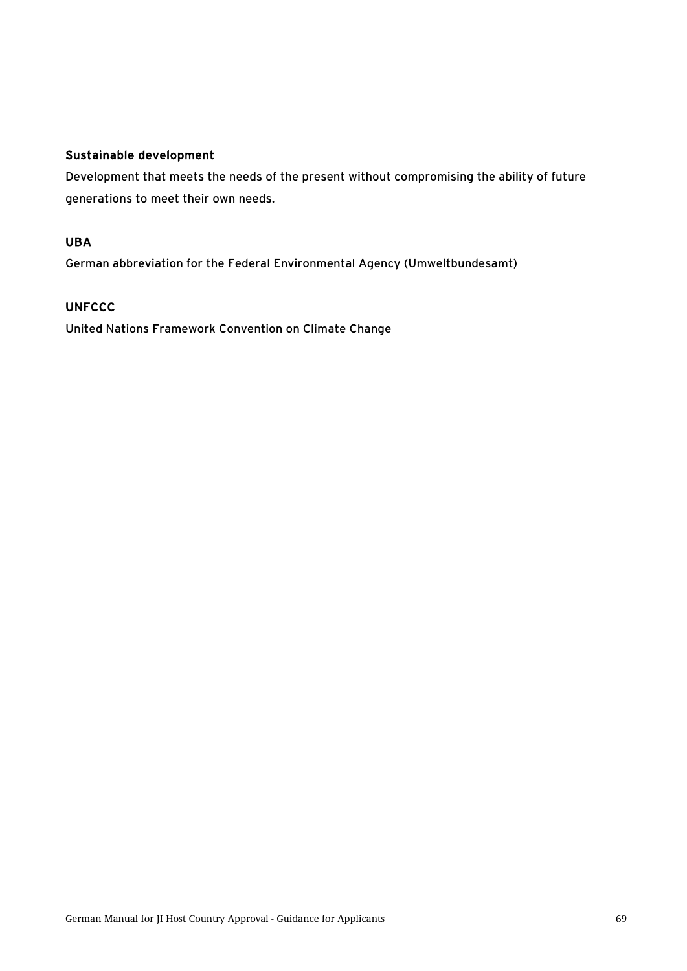#### Sustainable development

Development that meets the needs of the present without compromising the ability of future generations to meet their own needs.

#### UBA

German abbreviation for the Federal Environmental Agency (Umweltbundesamt)

## **UNFCCC**

United Nations Framework Convention on Climate Change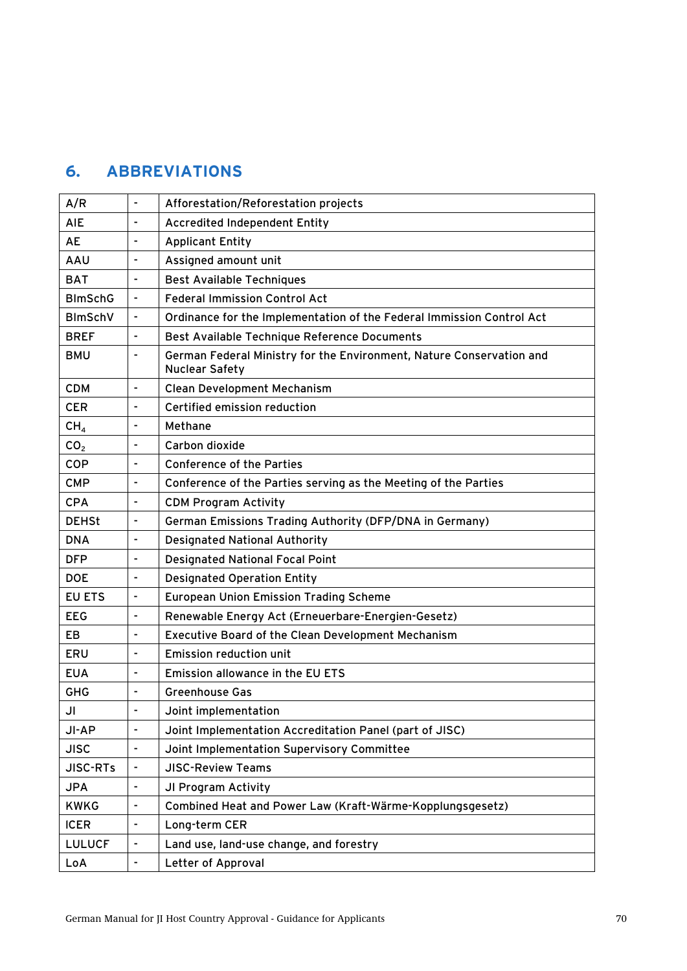## <span id="page-69-0"></span>**6. ABBREVIATIONS**

| A/R             | $\blacksquare$               | Afforestation/Reforestation projects                                                          |
|-----------------|------------------------------|-----------------------------------------------------------------------------------------------|
| <b>AIE</b>      | $\blacksquare$               | <b>Accredited Independent Entity</b>                                                          |
| AE              |                              | <b>Applicant Entity</b>                                                                       |
| AAU             | $\overline{\phantom{a}}$     | Assigned amount unit                                                                          |
| <b>BAT</b>      | $\blacksquare$               | <b>Best Available Techniques</b>                                                              |
| <b>BlmSchG</b>  | $\blacksquare$               | <b>Federal Immission Control Act</b>                                                          |
| <b>BlmSchV</b>  |                              | Ordinance for the Implementation of the Federal Immission Control Act                         |
| <b>BREF</b>     | $\overline{\phantom{a}}$     | Best Available Technique Reference Documents                                                  |
| <b>BMU</b>      | $\overline{a}$               | German Federal Ministry for the Environment, Nature Conservation and<br><b>Nuclear Safety</b> |
| <b>CDM</b>      | $\blacksquare$               | Clean Development Mechanism                                                                   |
| <b>CER</b>      |                              | Certified emission reduction                                                                  |
| CH <sub>4</sub> | $\blacksquare$               | Methane                                                                                       |
| CO <sub>2</sub> | $\blacksquare$               | Carbon dioxide                                                                                |
| COP             | $\blacksquare$               | <b>Conference of the Parties</b>                                                              |
| <b>CMP</b>      | $\blacksquare$               | Conference of the Parties serving as the Meeting of the Parties                               |
| <b>CPA</b>      | $\blacksquare$               | <b>CDM Program Activity</b>                                                                   |
| <b>DEHSt</b>    | $\blacksquare$               | German Emissions Trading Authority (DFP/DNA in Germany)                                       |
| <b>DNA</b>      | $\blacksquare$               | <b>Designated National Authority</b>                                                          |
| <b>DFP</b>      | $\overline{\phantom{a}}$     | <b>Designated National Focal Point</b>                                                        |
| <b>DOE</b>      | $\blacksquare$               | <b>Designated Operation Entity</b>                                                            |
| <b>EU ETS</b>   | $\blacksquare$               | <b>European Union Emission Trading Scheme</b>                                                 |
| <b>EEG</b>      | $\blacksquare$               | Renewable Energy Act (Erneuerbare-Energien-Gesetz)                                            |
| <b>EB</b>       | $\blacksquare$               | <b>Executive Board of the Clean Development Mechanism</b>                                     |
| <b>ERU</b>      | $\blacksquare$               | <b>Emission reduction unit</b>                                                                |
| <b>EUA</b>      | $\overline{\phantom{a}}$     | Emission allowance in the EU ETS                                                              |
| GHG             | $\blacksquare$               | <b>Greenhouse Gas</b>                                                                         |
| JI              |                              | Joint implementation                                                                          |
| JI-AP           | $\overline{\phantom{a}}$     | Joint Implementation Accreditation Panel (part of JISC)                                       |
| <b>JISC</b>     | $\qquad \qquad \blacksquare$ | Joint Implementation Supervisory Committee                                                    |
| <b>JISC-RTs</b> | $\blacksquare$               | <b>JISC-Review Teams</b>                                                                      |
| <b>JPA</b>      | $\blacksquare$               | JI Program Activity                                                                           |
| <b>KWKG</b>     | $\qquad \qquad \blacksquare$ | Combined Heat and Power Law (Kraft-Wärme-Kopplungsgesetz)                                     |
| <b>ICER</b>     | $\blacksquare$               | Long-term CER                                                                                 |
| <b>LULUCF</b>   | $\blacksquare$               | Land use, land-use change, and forestry                                                       |
| LoA             |                              | Letter of Approval                                                                            |